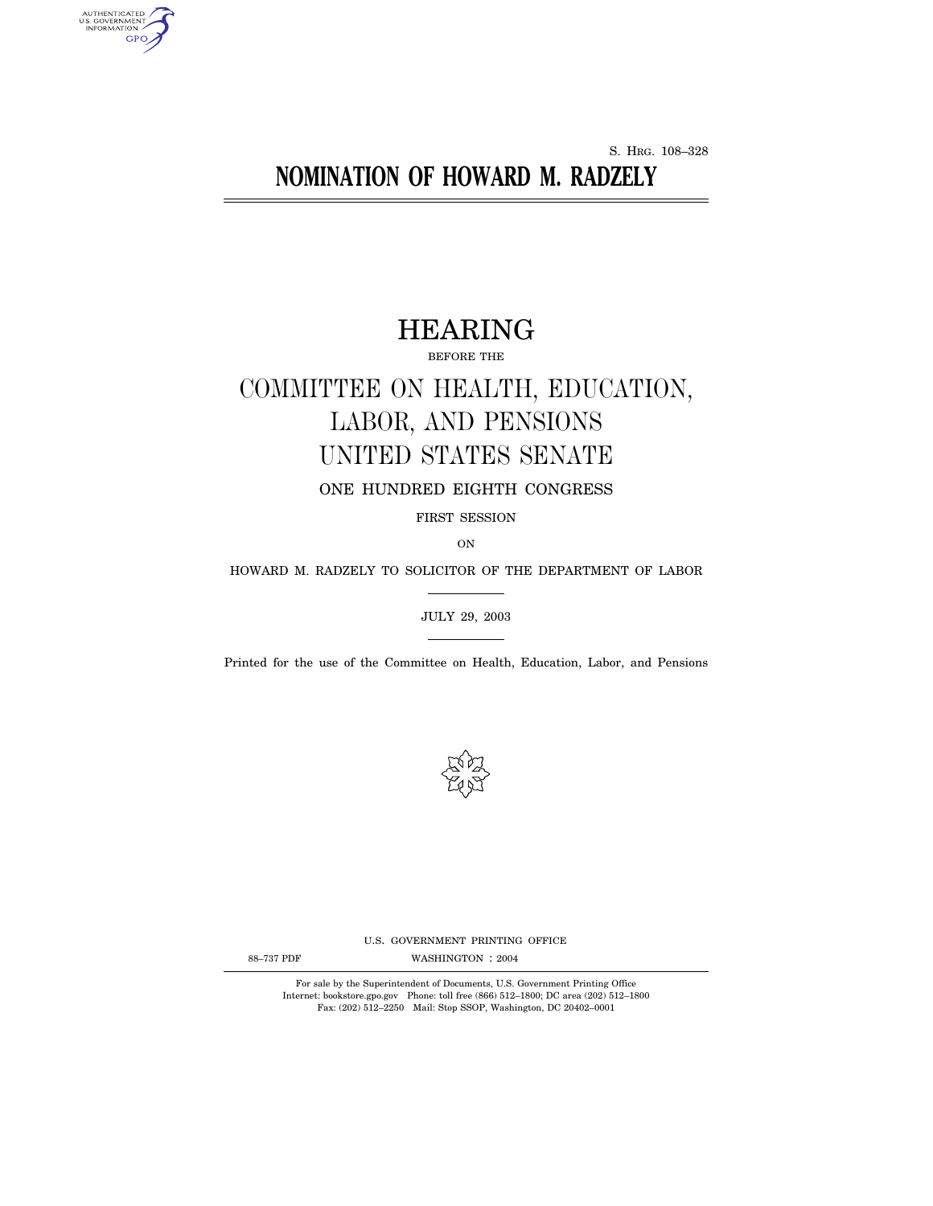S. HRG. 108–328

# **NOMINATION OF HOWARD M. RADZELY**

# HEARING

BEFORE THE

# COMMITTEE ON HEALTH, EDUCATION, LABOR, AND PENSIONS UNITED STATES SENATE

ONE HUNDRED EIGHTH CONGRESS

FIRST SESSION

ON

HOWARD M. RADZELY TO SOLICITOR OF THE DEPARTMENT OF LABOR

JULY 29, 2003

Printed for the use of the Committee on Health, Education, Labor, and Pensions



U.S. GOVERNMENT PRINTING OFFICE

AUTHENTICATED<br>U.S. GOVERNMENT<br>INFORMATION GPO

88-737 PDF WASHINGTON : 2004

For sale by the Superintendent of Documents, U.S. Government Printing Office Internet: bookstore.gpo.gov Phone: toll free (866) 512–1800; DC area (202) 512–1800 Fax: (202) 512–2250 Mail: Stop SSOP, Washington, DC 20402–0001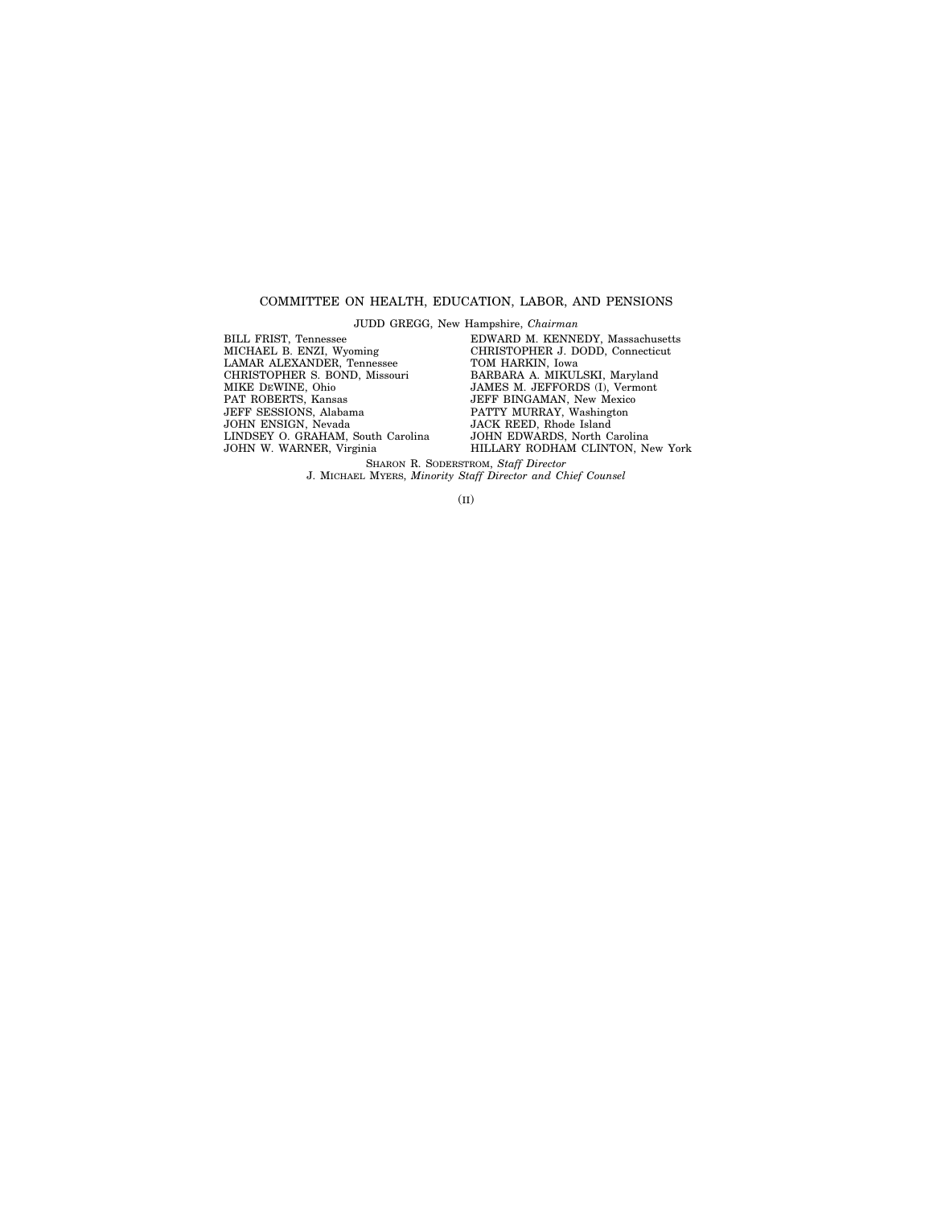# COMMITTEE ON HEALTH, EDUCATION, LABOR, AND PENSIONS

JUDD GREGG, New Hampshire, *Chairman*

BILL FRIST, Tennessee MICHAEL B. ENZI, Wyoming LAMAR ALEXANDER, Tennessee CHRISTOPHER S. BOND, Missouri MIKE DEWINE, Ohio PAT ROBERTS, Kansas JEFF SESSIONS, Alabama JOHN ENSIGN, Nevada LINDSEY O. GRAHAM, South Carolina JOHN W. WARNER, Virginia

EDWARD M. KENNEDY, Massachusetts CHRISTOPHER J. DODD, Connecticut TOM HARKIN, Iowa BARBARA A. MIKULSKI, Maryland JAMES M. JEFFORDS (I), Vermont JEFF BINGAMAN, New Mexico PATTY MURRAY, Washington JACK REED, Rhode Island JOHN EDWARDS, North Carolina HILLARY RODHAM CLINTON, New York

SHARON R. SODERSTROM, *Staff Director* J. MICHAEL MYERS, *Minority Staff Director and Chief Counsel*

(II)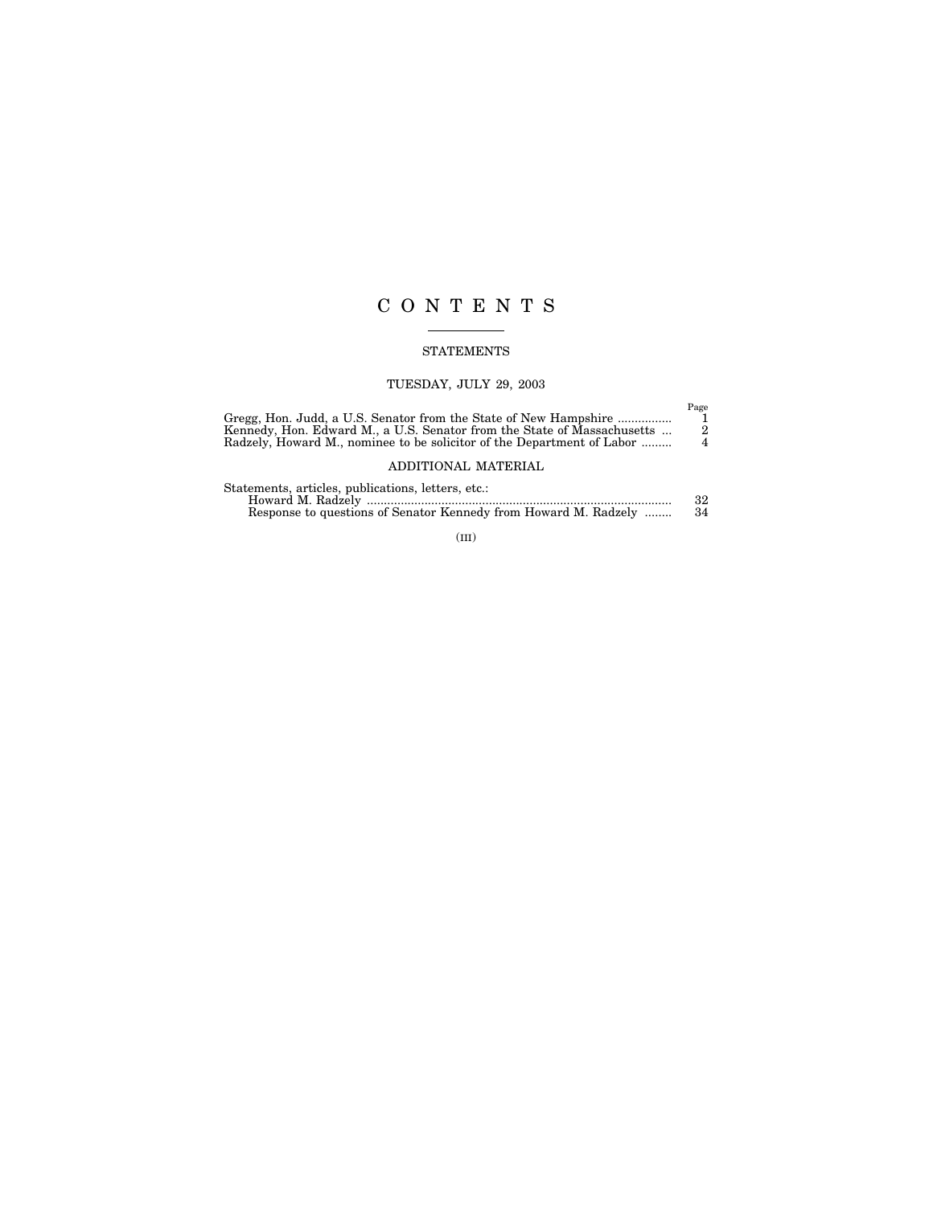# CONTENTS

# STATEMENTS

# TUESDAY, JULY 29, 2003

| Gregg, Hon. Judd, a U.S. Senator from the State of New Hampshire<br>Kennedy, Hon. Edward M., a U.S. Senator from the State of Massachusetts<br>Radzely, Howard M., nominee to be solicitor of the Department of Labor | Page<br>$^{2}$<br>$\overline{4}$ |
|-----------------------------------------------------------------------------------------------------------------------------------------------------------------------------------------------------------------------|----------------------------------|
| ADDITIONAL MATERIAL                                                                                                                                                                                                   |                                  |
| Statements, articles, publications, letters, etc.:<br>Response to questions of Senator Kennedy from Howard M. Radzely                                                                                                 | 32<br>34                         |

(III)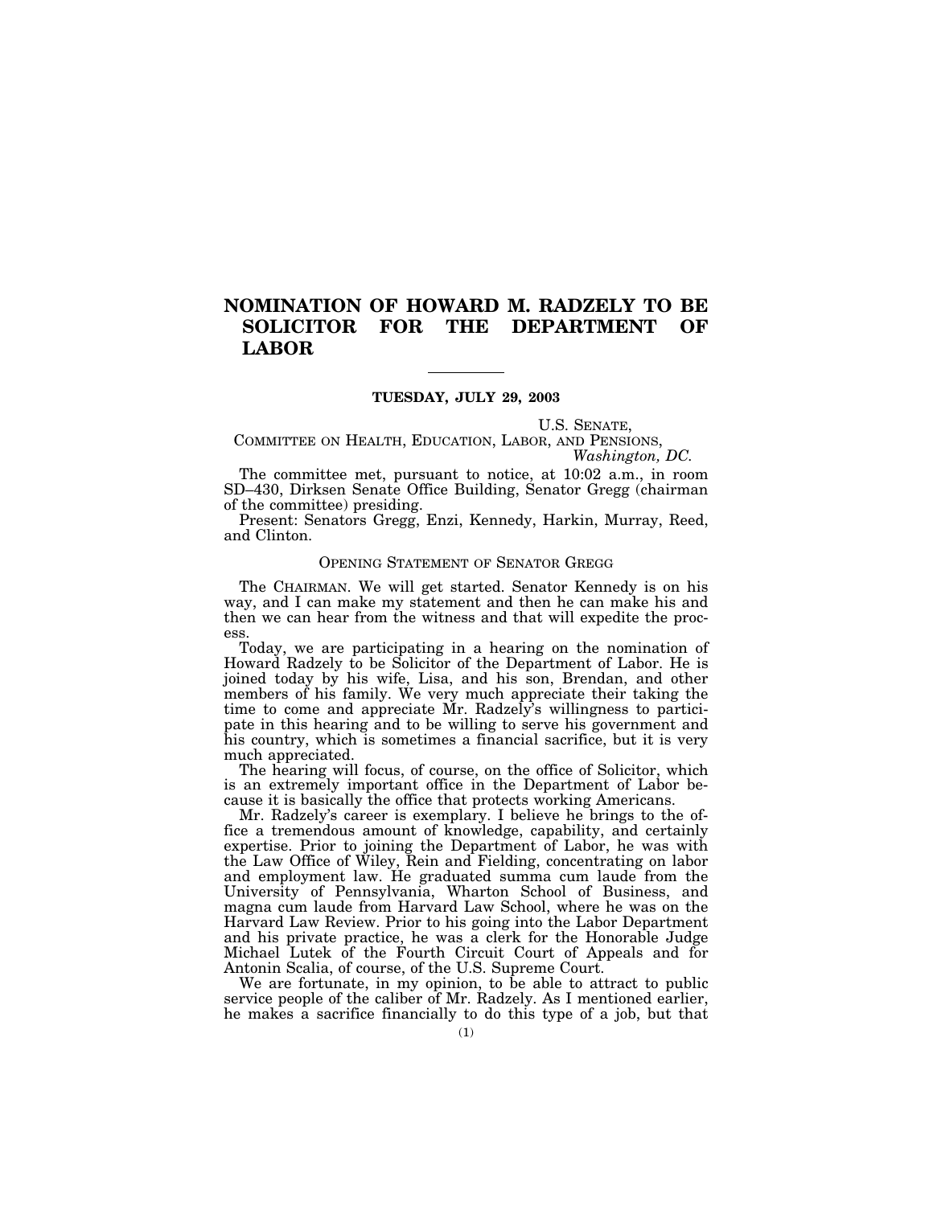# **NOMINATION OF HOWARD M. RADZELY TO BE SOLICITOR FOR THE DEPARTMENT OF LABOR**

## **TUESDAY, JULY 29, 2003**

U.S. SENATE,

COMMITTEE ON HEALTH, EDUCATION, LABOR, AND PENSIONS, *Washington, DC.*

The committee met, pursuant to notice, at 10:02 a.m., in room SD–430, Dirksen Senate Office Building, Senator Gregg (chairman of the committee) presiding.

Present: Senators Gregg, Enzi, Kennedy, Harkin, Murray, Reed, and Clinton.

# OPENING STATEMENT OF SENATOR GREGG

The CHAIRMAN. We will get started. Senator Kennedy is on his way, and I can make my statement and then he can make his and then we can hear from the witness and that will expedite the process.

Today, we are participating in a hearing on the nomination of Howard Radzely to be Solicitor of the Department of Labor. He is joined today by his wife, Lisa, and his son, Brendan, and other members of his family. We very much appreciate their taking the time to come and appreciate Mr. Radzely's willingness to participate in this hearing and to be willing to serve his government and his country, which is sometimes a financial sacrifice, but it is very much appreciated.

The hearing will focus, of course, on the office of Solicitor, which is an extremely important office in the Department of Labor because it is basically the office that protects working Americans.

Mr. Radzely's career is exemplary. I believe he brings to the office a tremendous amount of knowledge, capability, and certainly expertise. Prior to joining the Department of Labor, he was with the Law Office of Wiley, Rein and Fielding, concentrating on labor and employment law. He graduated summa cum laude from the University of Pennsylvania, Wharton School of Business, and magna cum laude from Harvard Law School, where he was on the Harvard Law Review. Prior to his going into the Labor Department and his private practice, he was a clerk for the Honorable Judge Michael Lutek of the Fourth Circuit Court of Appeals and for Antonin Scalia, of course, of the U.S. Supreme Court.

We are fortunate, in my opinion, to be able to attract to public service people of the caliber of Mr. Radzely. As I mentioned earlier, he makes a sacrifice financially to do this type of a job, but that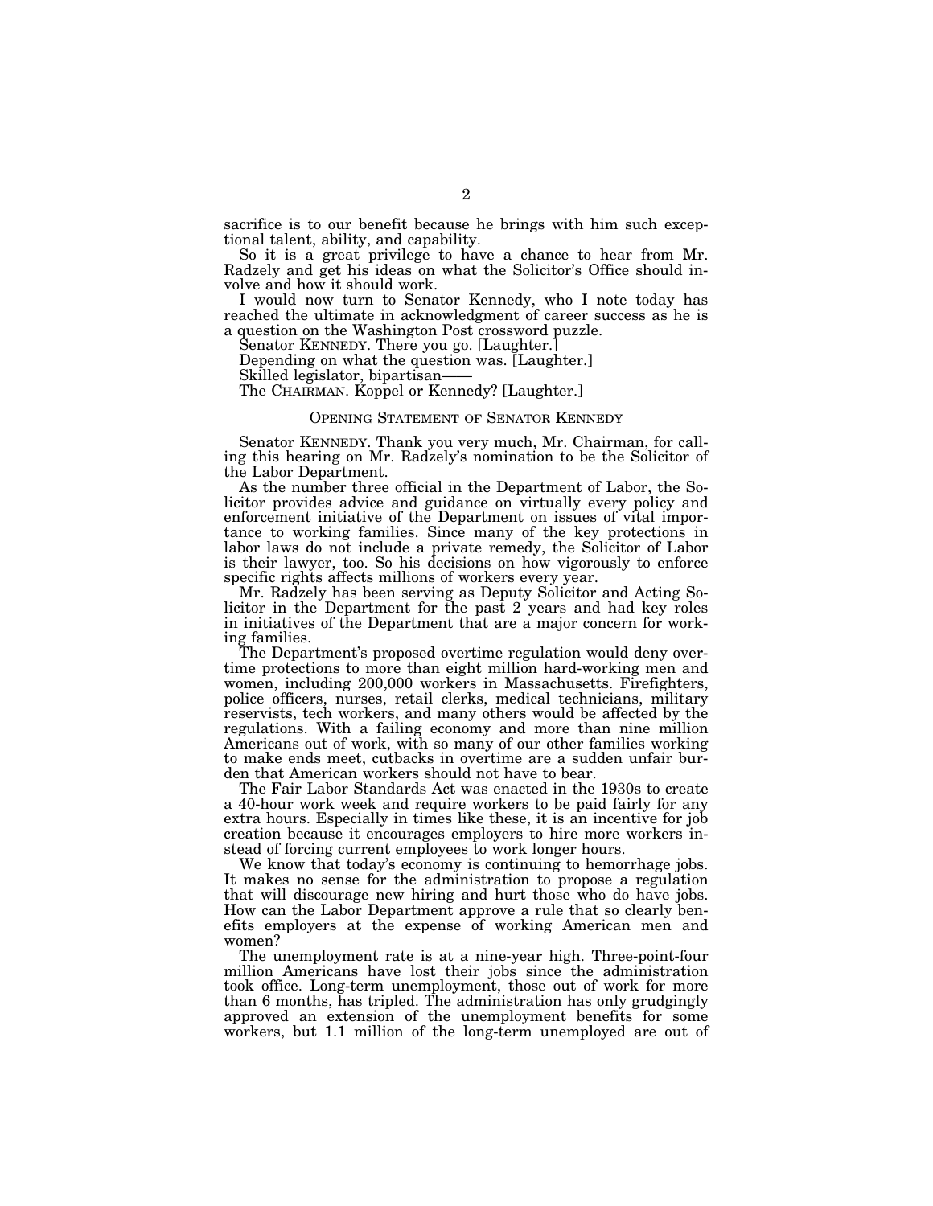sacrifice is to our benefit because he brings with him such exceptional talent, ability, and capability.

So it is a great privilege to have a chance to hear from Mr. Radzely and get his ideas on what the Solicitor's Office should involve and how it should work.

I would now turn to Senator Kennedy, who I note today has reached the ultimate in acknowledgment of career success as he is a question on the Washington Post crossword puzzle.

Senator KENNEDY. There you go. [Laughter.]

Depending on what the question was. [Laughter.]

The CHAIRMAN. Koppel or Kennedy? [Laughter.]

# OPENING STATEMENT OF SENATOR KENNEDY

Senator KENNEDY. Thank you very much, Mr. Chairman, for calling this hearing on Mr. Radzely's nomination to be the Solicitor of the Labor Department.

As the number three official in the Department of Labor, the Solicitor provides advice and guidance on virtually every policy and enforcement initiative of the Department on issues of vital importance to working families. Since many of the key protections in labor laws do not include a private remedy, the Solicitor of Labor is their lawyer, too. So his decisions on how vigorously to enforce specific rights affects millions of workers every year.

Mr. Radzely has been serving as Deputy Solicitor and Acting Solicitor in the Department for the past 2 years and had key roles in initiatives of the Department that are a major concern for working families.

The Department's proposed overtime regulation would deny overtime protections to more than eight million hard-working men and women, including 200,000 workers in Massachusetts. Firefighters, police officers, nurses, retail clerks, medical technicians, military reservists, tech workers, and many others would be affected by the regulations. With a failing economy and more than nine million Americans out of work, with so many of our other families working to make ends meet, cutbacks in overtime are a sudden unfair burden that American workers should not have to bear.

The Fair Labor Standards Act was enacted in the 1930s to create a 40-hour work week and require workers to be paid fairly for any extra hours. Especially in times like these, it is an incentive for job creation because it encourages employers to hire more workers instead of forcing current employees to work longer hours.

We know that today's economy is continuing to hemorrhage jobs. It makes no sense for the administration to propose a regulation that will discourage new hiring and hurt those who do have jobs. How can the Labor Department approve a rule that so clearly benefits employers at the expense of working American men and women?

The unemployment rate is at a nine-year high. Three-point-four million Americans have lost their jobs since the administration took office. Long-term unemployment, those out of work for more than 6 months, has tripled. The administration has only grudgingly approved an extension of the unemployment benefits for some workers, but 1.1 million of the long-term unemployed are out of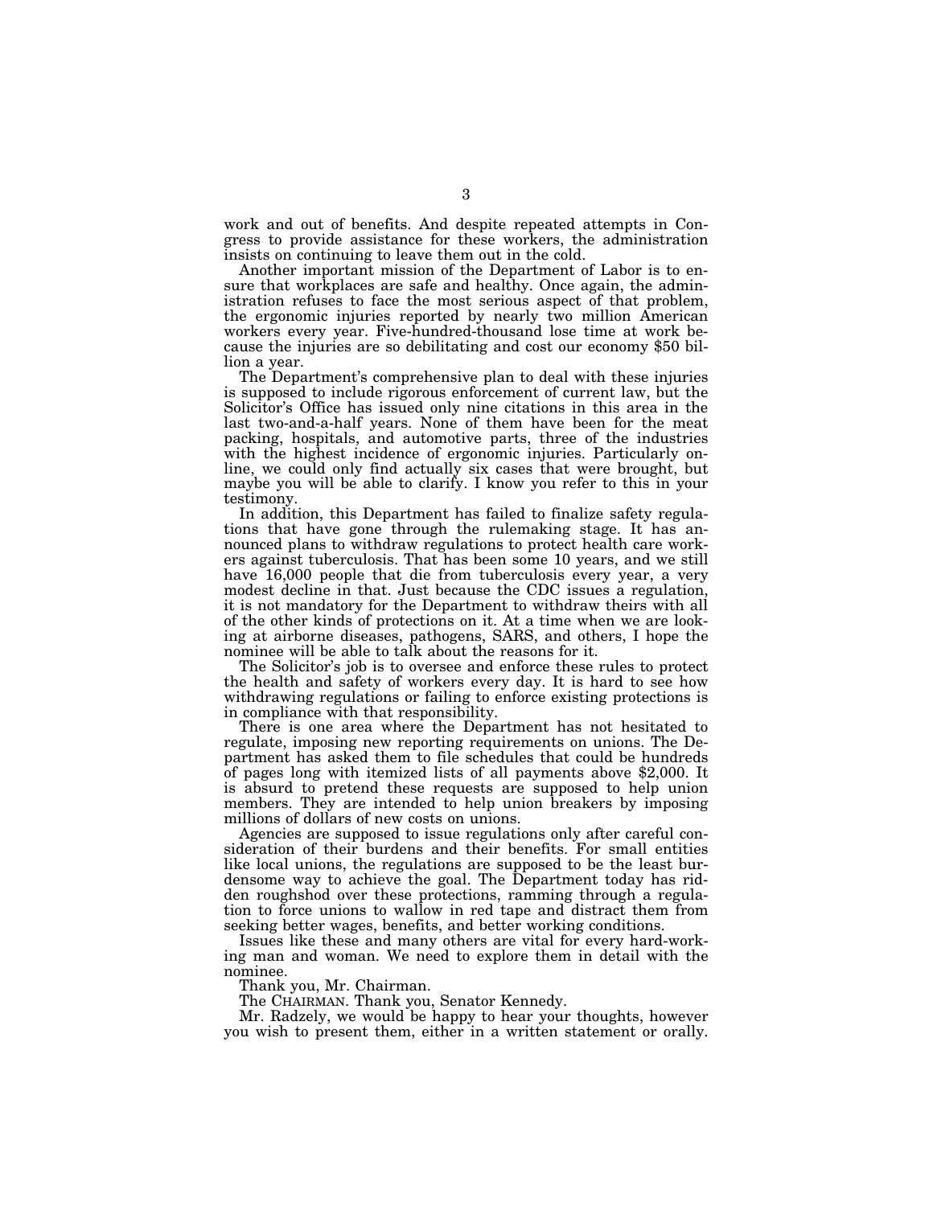work and out of benefits. And despite repeated attempts in Congress to provide assistance for these workers, the administration insists on continuing to leave them out in the cold.

Another important mission of the Department of Labor is to ensure that workplaces are safe and healthy. Once again, the administration refuses to face the most serious aspect of that problem, the ergonomic injuries reported by nearly two million American workers every year. Five-hundred-thousand lose time at work because the injuries are so debilitating and cost our economy \$50 billion a year.

The Department's comprehensive plan to deal with these injuries is supposed to include rigorous enforcement of current law, but the Solicitor's Office has issued only nine citations in this area in the last two-and-a-half years. None of them have been for the meat packing, hospitals, and automotive parts, three of the industries with the highest incidence of ergonomic injuries. Particularly online, we could only find actually six cases that were brought, but maybe you will be able to clarify. I know you refer to this in your testimony.

In addition, this Department has failed to finalize safety regulations that have gone through the rulemaking stage. It has announced plans to withdraw regulations to protect health care workers against tuberculosis. That has been some 10 years, and we still have 16,000 people that die from tuberculosis every year, a very modest decline in that. Just because the CDC issues a regulation, it is not mandatory for the Department to withdraw theirs with all of the other kinds of protections on it. At a time when we are looking at airborne diseases, pathogens, SARS, and others, I hope the nominee will be able to talk about the reasons for it.

The Solicitor's job is to oversee and enforce these rules to protect the health and safety of workers every day. It is hard to see how withdrawing regulations or failing to enforce existing protections is in compliance with that responsibility.

There is one area where the Department has not hesitated to regulate, imposing new reporting requirements on unions. The Department has asked them to file schedules that could be hundreds of pages long with itemized lists of all payments above \$2,000. It is absurd to pretend these requests are supposed to help union members. They are intended to help union breakers by imposing millions of dollars of new costs on unions.

Agencies are supposed to issue regulations only after careful consideration of their burdens and their benefits. For small entities like local unions, the regulations are supposed to be the least burdensome way to achieve the goal. The Department today has ridden roughshod over these protections, ramming through a regulation to force unions to wallow in red tape and distract them from seeking better wages, benefits, and better working conditions.

Issues like these and many others are vital for every hard-working man and woman. We need to explore them in detail with the nominee.

Thank you, Mr. Chairman.

The CHAIRMAN. Thank you, Senator Kennedy.

Mr. Radzely, we would be happy to hear your thoughts, however you wish to present them, either in a written statement or orally.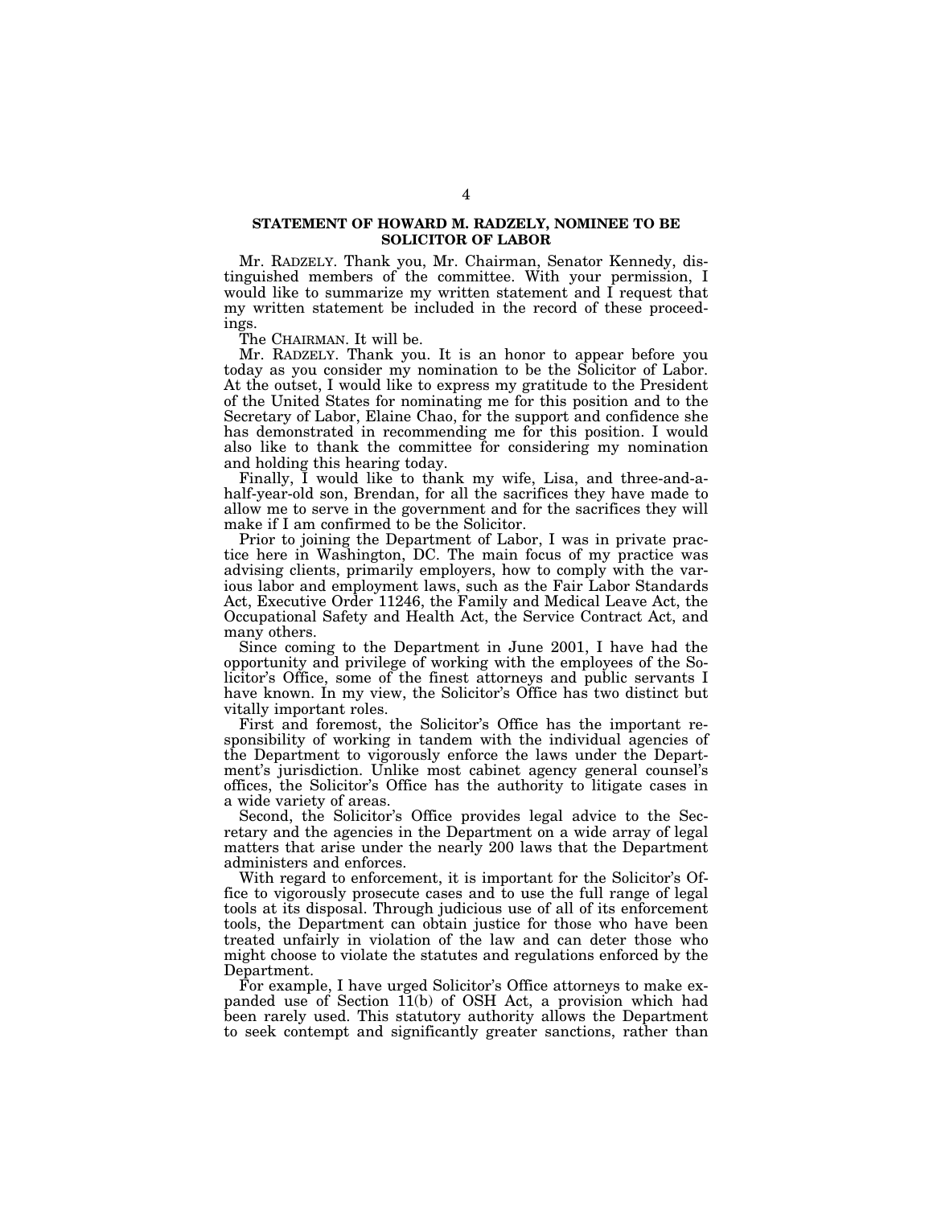# **STATEMENT OF HOWARD M. RADZELY, NOMINEE TO BE SOLICITOR OF LABOR**

Mr. RADZELY. Thank you, Mr. Chairman, Senator Kennedy, distinguished members of the committee. With your permission, I would like to summarize my written statement and I request that my written statement be included in the record of these proceedings.

The CHAIRMAN. It will be.

Mr. RADZELY. Thank you. It is an honor to appear before you today as you consider my nomination to be the Solicitor of Labor. At the outset, I would like to express my gratitude to the President of the United States for nominating me for this position and to the Secretary of Labor, Elaine Chao, for the support and confidence she has demonstrated in recommending me for this position. I would also like to thank the committee for considering my nomination and holding this hearing today.

Finally, I would like to thank my wife, Lisa, and three-and-ahalf-year-old son, Brendan, for all the sacrifices they have made to allow me to serve in the government and for the sacrifices they will make if I am confirmed to be the Solicitor.

Prior to joining the Department of Labor, I was in private practice here in Washington, DC. The main focus of my practice was advising clients, primarily employers, how to comply with the various labor and employment laws, such as the Fair Labor Standards Act, Executive Order 11246, the Family and Medical Leave Act, the Occupational Safety and Health Act, the Service Contract Act, and many others.

Since coming to the Department in June 2001, I have had the opportunity and privilege of working with the employees of the Solicitor's Office, some of the finest attorneys and public servants I have known. In my view, the Solicitor's Office has two distinct but vitally important roles.

First and foremost, the Solicitor's Office has the important responsibility of working in tandem with the individual agencies of the Department to vigorously enforce the laws under the Department's jurisdiction. Unlike most cabinet agency general counsel's offices, the Solicitor's Office has the authority to litigate cases in a wide variety of areas.

Second, the Solicitor's Office provides legal advice to the Secretary and the agencies in the Department on a wide array of legal matters that arise under the nearly 200 laws that the Department administers and enforces.

With regard to enforcement, it is important for the Solicitor's Office to vigorously prosecute cases and to use the full range of legal tools at its disposal. Through judicious use of all of its enforcement tools, the Department can obtain justice for those who have been treated unfairly in violation of the law and can deter those who might choose to violate the statutes and regulations enforced by the Department.

For example, I have urged Solicitor's Office attorneys to make expanded use of Section 11(b) of OSH Act, a provision which had been rarely used. This statutory authority allows the Department to seek contempt and significantly greater sanctions, rather than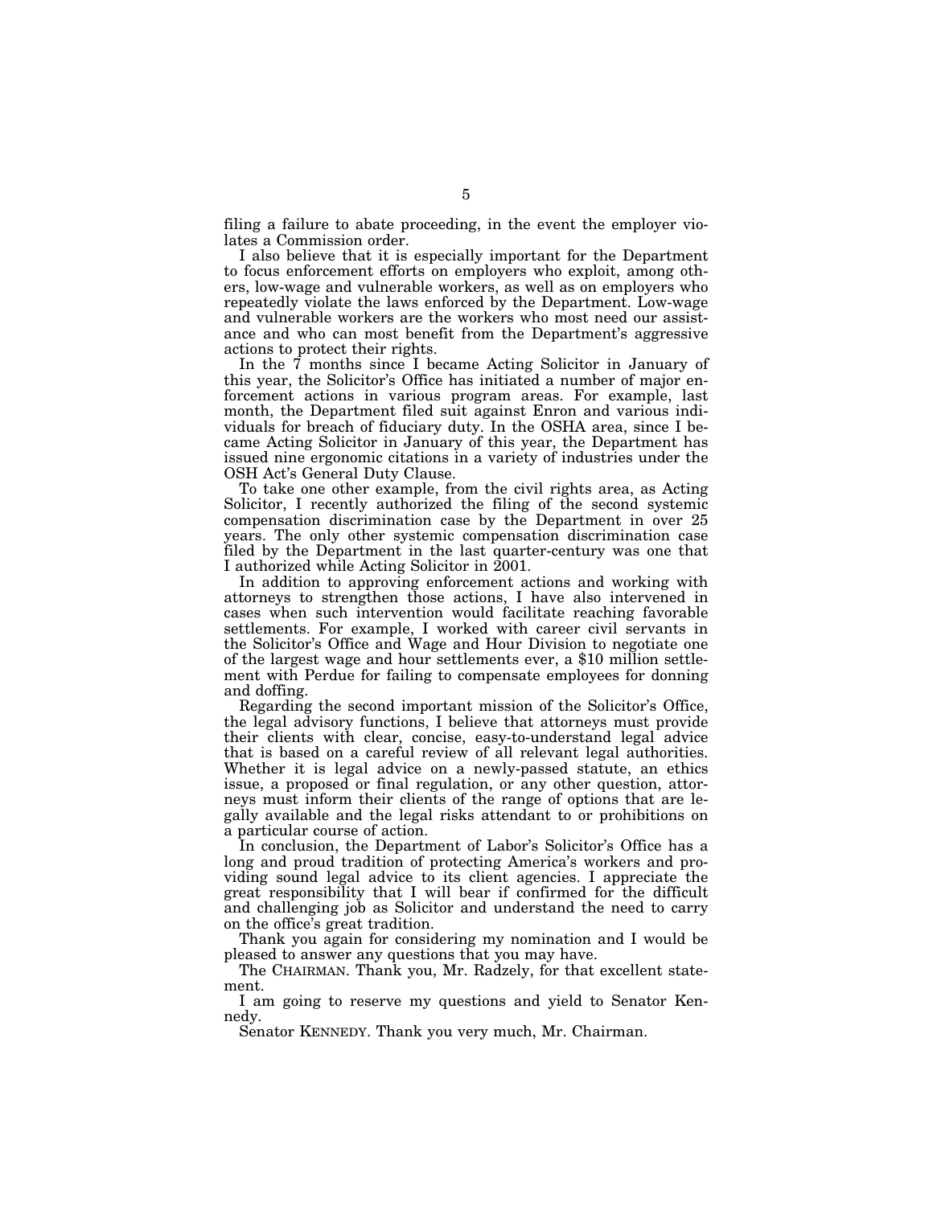filing a failure to abate proceeding, in the event the employer violates a Commission order.

I also believe that it is especially important for the Department to focus enforcement efforts on employers who exploit, among others, low-wage and vulnerable workers, as well as on employers who repeatedly violate the laws enforced by the Department. Low-wage and vulnerable workers are the workers who most need our assistance and who can most benefit from the Department's aggressive actions to protect their rights.

In the 7 months since I became Acting Solicitor in January of this year, the Solicitor's Office has initiated a number of major enforcement actions in various program areas. For example, last month, the Department filed suit against Enron and various individuals for breach of fiduciary duty. In the OSHA area, since I became Acting Solicitor in January of this year, the Department has issued nine ergonomic citations in a variety of industries under the OSH Act's General Duty Clause.

To take one other example, from the civil rights area, as Acting Solicitor, I recently authorized the filing of the second systemic compensation discrimination case by the Department in over 25 years. The only other systemic compensation discrimination case filed by the Department in the last quarter-century was one that I authorized while Acting Solicitor in 2001.

In addition to approving enforcement actions and working with attorneys to strengthen those actions, I have also intervened in cases when such intervention would facilitate reaching favorable settlements. For example, I worked with career civil servants in the Solicitor's Office and Wage and Hour Division to negotiate one of the largest wage and hour settlements ever, a \$10 million settlement with Perdue for failing to compensate employees for donning and doffing.

Regarding the second important mission of the Solicitor's Office, the legal advisory functions, I believe that attorneys must provide their clients with clear, concise, easy-to-understand legal advice that is based on a careful review of all relevant legal authorities. Whether it is legal advice on a newly-passed statute, an ethics issue, a proposed or final regulation, or any other question, attorneys must inform their clients of the range of options that are legally available and the legal risks attendant to or prohibitions on a particular course of action.

In conclusion, the Department of Labor's Solicitor's Office has a long and proud tradition of protecting America's workers and providing sound legal advice to its client agencies. I appreciate the great responsibility that I will bear if confirmed for the difficult and challenging job as Solicitor and understand the need to carry on the office's great tradition.

Thank you again for considering my nomination and I would be pleased to answer any questions that you may have.

The CHAIRMAN. Thank you, Mr. Radzely, for that excellent statement.

I am going to reserve my questions and yield to Senator Kennedy.

Senator KENNEDY. Thank you very much, Mr. Chairman.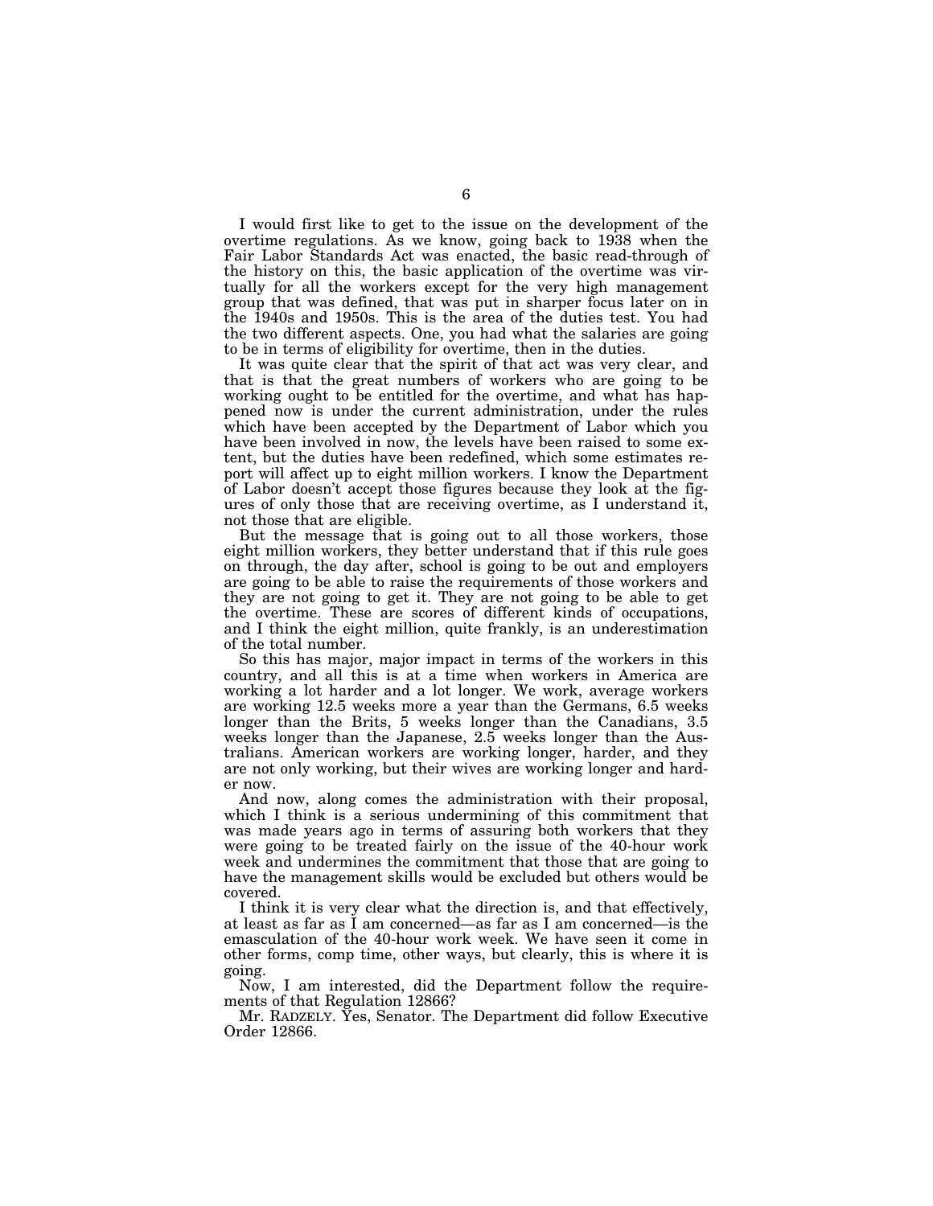I would first like to get to the issue on the development of the overtime regulations. As we know, going back to 1938 when the Fair Labor Standards Act was enacted, the basic read-through of the history on this, the basic application of the overtime was virtually for all the workers except for the very high management group that was defined, that was put in sharper focus later on in the 1940s and 1950s. This is the area of the duties test. You had the two different aspects. One, you had what the salaries are going to be in terms of eligibility for overtime, then in the duties.

It was quite clear that the spirit of that act was very clear, and that is that the great numbers of workers who are going to be working ought to be entitled for the overtime, and what has happened now is under the current administration, under the rules which have been accepted by the Department of Labor which you have been involved in now, the levels have been raised to some extent, but the duties have been redefined, which some estimates report will affect up to eight million workers. I know the Department of Labor doesn't accept those figures because they look at the figures of only those that are receiving overtime, as I understand it, not those that are eligible.

But the message that is going out to all those workers, those eight million workers, they better understand that if this rule goes on through, the day after, school is going to be out and employers are going to be able to raise the requirements of those workers and they are not going to get it. They are not going to be able to get the overtime. These are scores of different kinds of occupations, and I think the eight million, quite frankly, is an underestimation of the total number.

So this has major, major impact in terms of the workers in this country, and all this is at a time when workers in America are working a lot harder and a lot longer. We work, average workers are working 12.5 weeks more a year than the Germans, 6.5 weeks longer than the Brits, 5 weeks longer than the Canadians, 3.5 weeks longer than the Japanese, 2.5 weeks longer than the Australians. American workers are working longer, harder, and they are not only working, but their wives are working longer and harder now.

And now, along comes the administration with their proposal, which I think is a serious undermining of this commitment that was made years ago in terms of assuring both workers that they were going to be treated fairly on the issue of the 40-hour work week and undermines the commitment that those that are going to have the management skills would be excluded but others would be covered.

I think it is very clear what the direction is, and that effectively, at least as far as I am concerned—as far as I am concerned—is the emasculation of the 40-hour work week. We have seen it come in other forms, comp time, other ways, but clearly, this is where it is going.

Now, I am interested, did the Department follow the requirements of that Regulation 12866?

Mr. RADZELY. Yes, Senator. The Department did follow Executive Order 12866.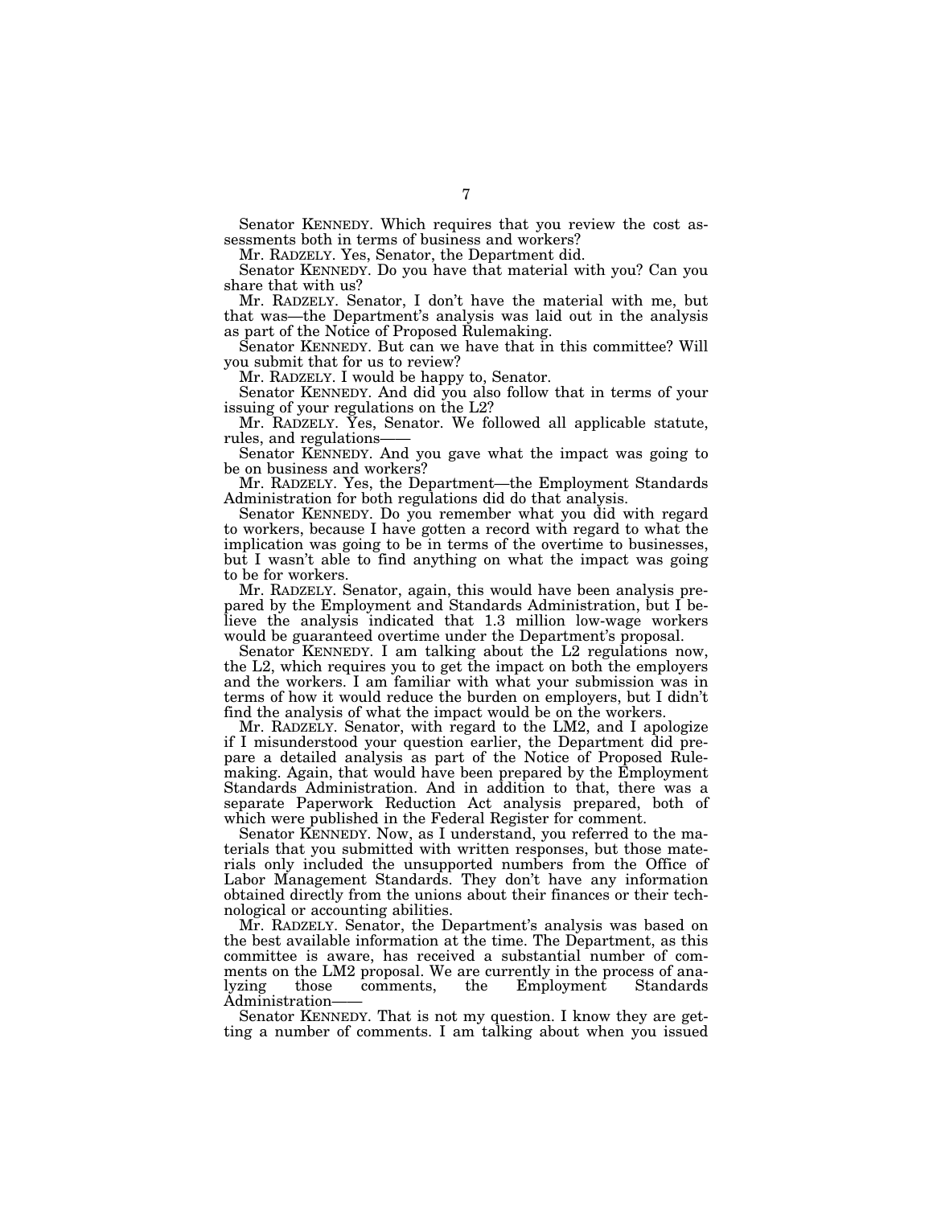Senator KENNEDY. Which requires that you review the cost assessments both in terms of business and workers?

Mr. RADZELY. Yes, Senator, the Department did.

Senator KENNEDY. Do you have that material with you? Can you share that with us?

Mr. RADZELY. Senator, I don't have the material with me, but that was—the Department's analysis was laid out in the analysis as part of the Notice of Proposed Rulemaking.

Senator KENNEDY. But can we have that in this committee? Will you submit that for us to review?

Mr. RADZELY. I would be happy to, Senator.

Senator KENNEDY. And did you also follow that in terms of your issuing of your regulations on the L2?

Mr. RADZELY. Yes, Senator. We followed all applicable statute, rules, and regulations——

Senator KENNEDY. And you gave what the impact was going to be on business and workers?

Mr. RADZELY. Yes, the Department—the Employment Standards Administration for both regulations did do that analysis.

Senator KENNEDY. Do you remember what you did with regard to workers, because I have gotten a record with regard to what the implication was going to be in terms of the overtime to businesses, but I wasn't able to find anything on what the impact was going to be for workers.

Mr. RADZELY. Senator, again, this would have been analysis prepared by the Employment and Standards Administration, but I believe the analysis indicated that 1.3 million low-wage workers would be guaranteed overtime under the Department's proposal.

Senator KENNEDY. I am talking about the L2 regulations now, the L2, which requires you to get the impact on both the employers and the workers. I am familiar with what your submission was in terms of how it would reduce the burden on employers, but I didn't find the analysis of what the impact would be on the workers.

Mr. RADZELY. Senator, with regard to the LM2, and I apologize if I misunderstood your question earlier, the Department did prepare a detailed analysis as part of the Notice of Proposed Rulemaking. Again, that would have been prepared by the Employment Standards Administration. And in addition to that, there was a separate Paperwork Reduction Act analysis prepared, both of which were published in the Federal Register for comment.

Senator KENNEDY. Now, as I understand, you referred to the materials that you submitted with written responses, but those materials only included the unsupported numbers from the Office of Labor Management Standards. They don't have any information obtained directly from the unions about their finances or their technological or accounting abilities.

Mr. RADZELY. Senator, the Department's analysis was based on the best available information at the time. The Department, as this committee is aware, has received a substantial number of comments on the LM2 proposal. We are currently in the process of analyzing those comments, the Employment Standards

Administration——<br>Senator KENNEDY. That is not my question. I know they are getting a number of comments. I am talking about when you issued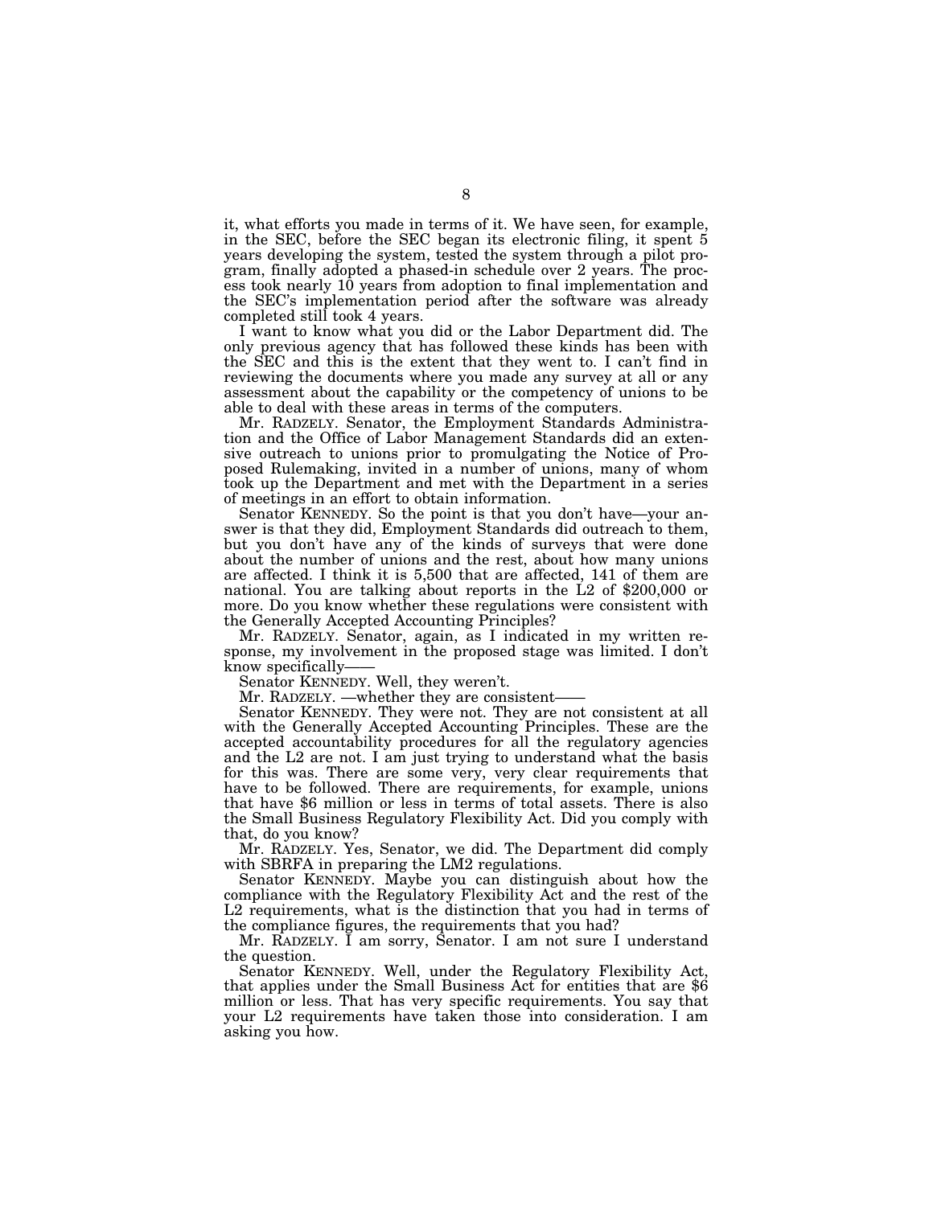it, what efforts you made in terms of it. We have seen, for example, in the SEC, before the SEC began its electronic filing, it spent 5 years developing the system, tested the system through a pilot program, finally adopted a phased-in schedule over 2 years. The process took nearly 10 years from adoption to final implementation and the SEC's implementation period after the software was already completed still took 4 years.

I want to know what you did or the Labor Department did. The only previous agency that has followed these kinds has been with the SEC and this is the extent that they went to. I can't find in reviewing the documents where you made any survey at all or any assessment about the capability or the competency of unions to be able to deal with these areas in terms of the computers.

Mr. RADZELY. Senator, the Employment Standards Administration and the Office of Labor Management Standards did an extensive outreach to unions prior to promulgating the Notice of Proposed Rulemaking, invited in a number of unions, many of whom took up the Department and met with the Department in a series of meetings in an effort to obtain information.

Senator KENNEDY. So the point is that you don't have—your answer is that they did, Employment Standards did outreach to them, but you don't have any of the kinds of surveys that were done about the number of unions and the rest, about how many unions are affected. I think it is 5,500 that are affected, 141 of them are national. You are talking about reports in the L2 of \$200,000 or more. Do you know whether these regulations were consistent with the Generally Accepted Accounting Principles?

Mr. RADZELY. Senator, again, as I indicated in my written response, my involvement in the proposed stage was limited. I don't know specifically—— Senator KENNEDY. Well, they weren't.

Mr. RADZELY. —whether they are consistent—

Senator KENNEDY. They were not. They are not consistent at all with the Generally Accepted Accounting Principles. These are the accepted accountability procedures for all the regulatory agencies and the L2 are not. I am just trying to understand what the basis for this was. There are some very, very clear requirements that have to be followed. There are requirements, for example, unions that have \$6 million or less in terms of total assets. There is also the Small Business Regulatory Flexibility Act. Did you comply with that, do you know?

Mr. RADZELY. Yes, Senator, we did. The Department did comply with SBRFA in preparing the LM2 regulations.

Senator KENNEDY. Maybe you can distinguish about how the compliance with the Regulatory Flexibility Act and the rest of the L2 requirements, what is the distinction that you had in terms of the compliance figures, the requirements that you had?

Mr. RADZELY. I am sorry, Senator. I am not sure I understand

the question.<br>Senator KENNEDY. Well, under the Regulatory Flexibility Act, that applies under the Small Business Act for entities that are \$6 million or less. That has very specific requirements. You say that your L2 requirements have taken those into consideration. I am asking you how.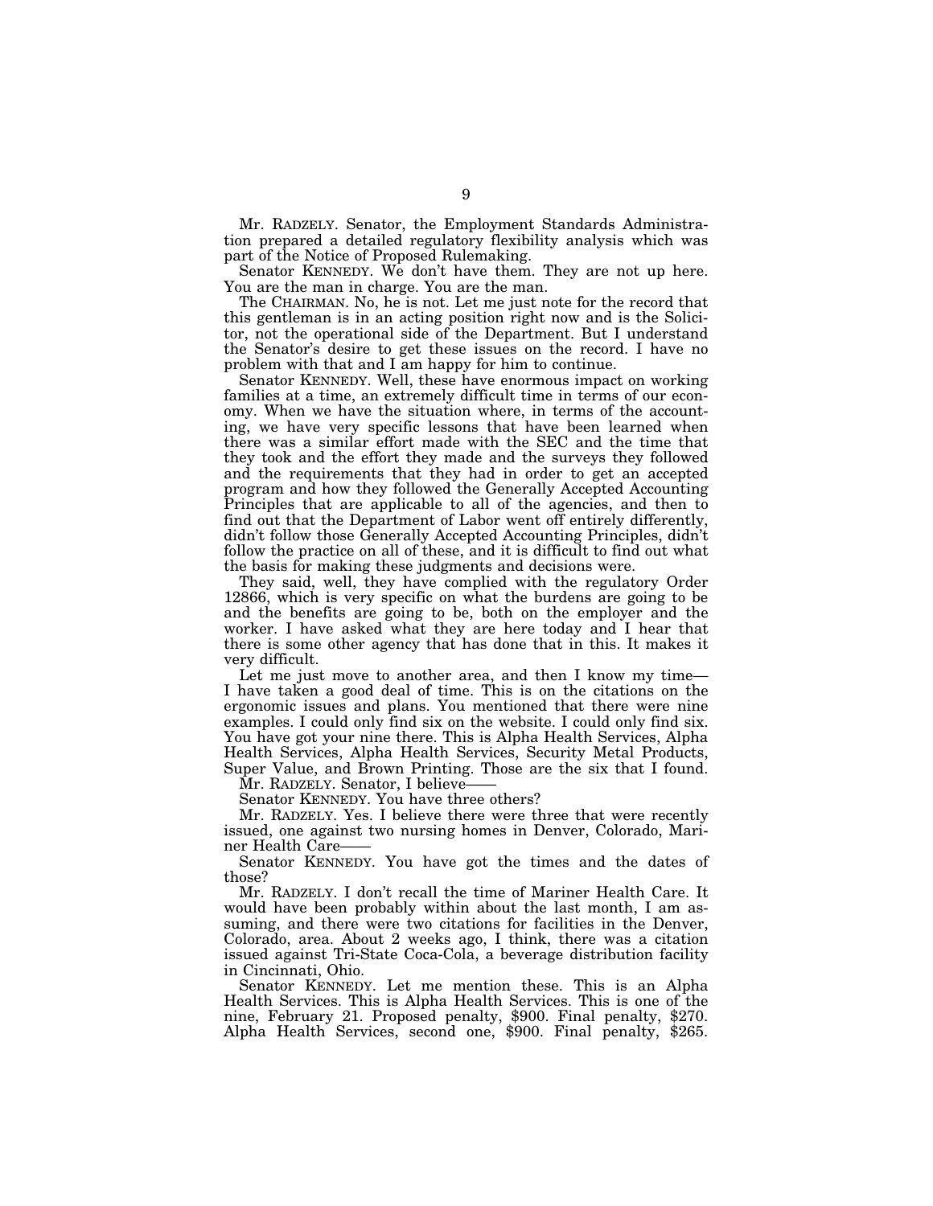Mr. RADZELY. Senator, the Employment Standards Administration prepared a detailed regulatory flexibility analysis which was part of the Notice of Proposed Rulemaking.

Senator KENNEDY. We don't have them. They are not up here. You are the man in charge. You are the man.

The CHAIRMAN. No, he is not. Let me just note for the record that this gentleman is in an acting position right now and is the Solicitor, not the operational side of the Department. But I understand the Senator's desire to get these issues on the record. I have no problem with that and I am happy for him to continue.

Senator KENNEDY. Well, these have enormous impact on working families at a time, an extremely difficult time in terms of our economy. When we have the situation where, in terms of the accounting, we have very specific lessons that have been learned when there was a similar effort made with the SEC and the time that they took and the effort they made and the surveys they followed and the requirements that they had in order to get an accepted program and how they followed the Generally Accepted Accounting Principles that are applicable to all of the agencies, and then to find out that the Department of Labor went off entirely differently, didn't follow those Generally Accepted Accounting Principles, didn't follow the practice on all of these, and it is difficult to find out what the basis for making these judgments and decisions were.

They said, well, they have complied with the regulatory Order 12866, which is very specific on what the burdens are going to be and the benefits are going to be, both on the employer and the worker. I have asked what they are here today and I hear that there is some other agency that has done that in this. It makes it very difficult.

Let me just move to another area, and then I know my time— I have taken a good deal of time. This is on the citations on the ergonomic issues and plans. You mentioned that there were nine examples. I could only find six on the website. I could only find six. You have got your nine there. This is Alpha Health Services, Alpha Health Services, Alpha Health Services, Security Metal Products, Super Value, and Brown Printing. Those are the six that I found.

Mr. RADZELY. Senator, I believe-

Senator KENNEDY. You have three others?

Mr. RADZELY. Yes. I believe there were three that were recently issued, one against two nursing homes in Denver, Colorado, Mariner Health Care-

Senator KENNEDY. You have got the times and the dates of those?

Mr. RADZELY. I don't recall the time of Mariner Health Care. It would have been probably within about the last month, I am assuming, and there were two citations for facilities in the Denver, Colorado, area. About 2 weeks ago, I think, there was a citation issued against Tri-State Coca-Cola, a beverage distribution facility in Cincinnati, Ohio.

Senator KENNEDY. Let me mention these. This is an Alpha Health Services. This is Alpha Health Services. This is one of the nine, February 21. Proposed penalty, \$900. Final penalty, \$270. Alpha Health Services, second one, \$900. Final penalty, \$265.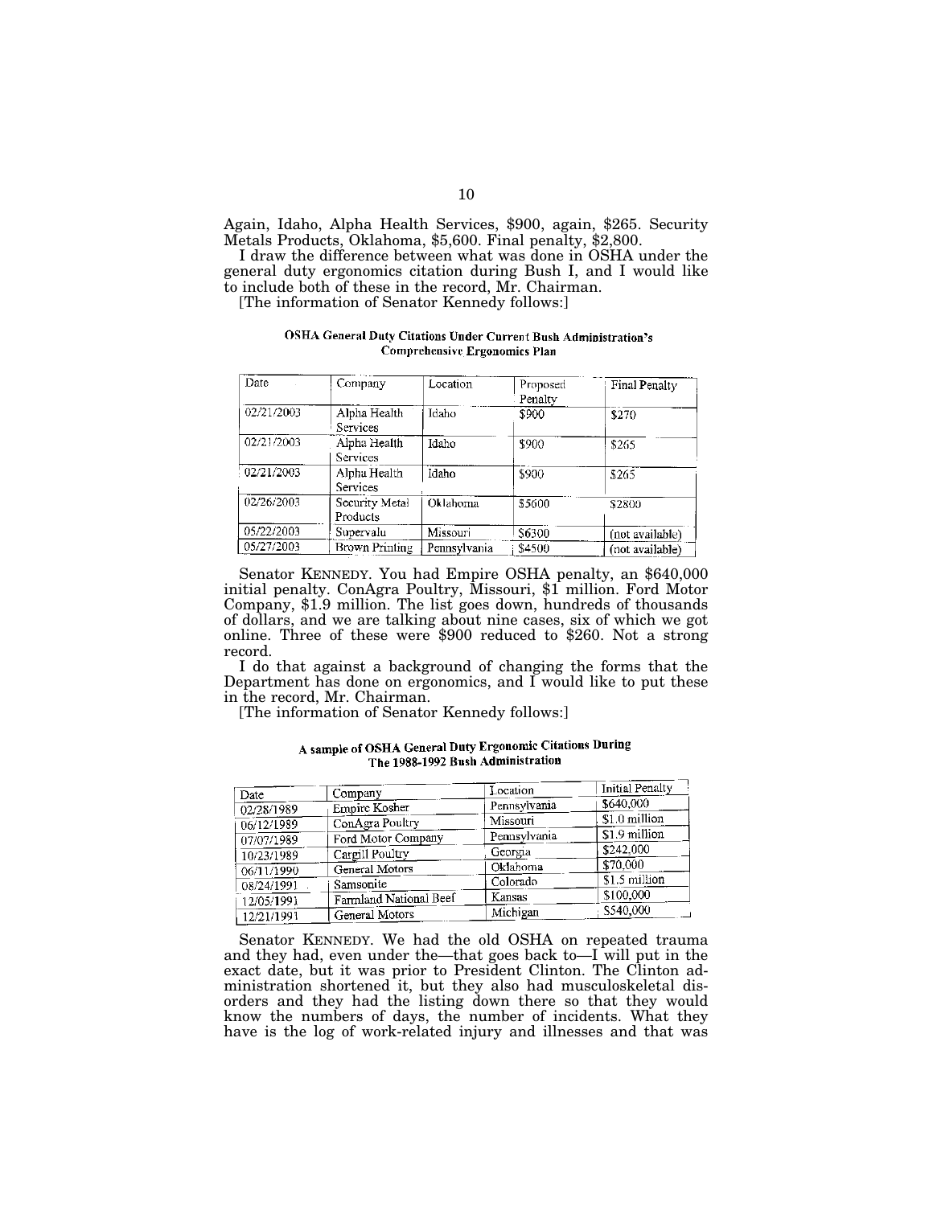Again, Idaho, Alpha Health Services, \$900, again, \$265. Security Metals Products, Oklahoma, \$5,600. Final penalty, \$2,800.

I draw the difference between what was done in OSHA under the general duty ergonomics citation during Bush I, and I would like to include both of these in the record, Mr. Chairman.

[The information of Senator Kennedy follows:]

# OSHA General Duty Citations Under Current Bush Administration's **Comprehensive Ergonomics Plan**

| Date       | Company                         | Location     | Proposed<br>Penalty | Final Penalty   |
|------------|---------------------------------|--------------|---------------------|-----------------|
| 02/21/2003 | Alpha Health<br><b>Services</b> | Idaho        | \$900               | \$270           |
| 02/21/2003 | Alpha Health<br>Services        | Idaho        | 3900                | \$265           |
| 02/21/2003 | Alpha Health<br>Services        | Idaho        | \$900               | \$265           |
| 02/26/2003 | Security Metal<br>Products      | Oklahoma     | \$5600              | \$2800          |
| 05/22/2003 | Supervalu                       | Missouri     | S6300               | (not available) |
| 05/27/2003 | <b>Brown Printing</b>           | Pennsylvania | \$4500              | (not available) |

Senator KENNEDY. You had Empire OSHA penalty, an \$640,000 initial penalty. ConAgra Poultry, Missouri, \$1 million. Ford Motor Company, \$1.9 million. The list goes down, hundreds of thousands of dollars, and we are talking about nine cases, six of which we got online. Three of these were \$900 reduced to \$260. Not a strong record.

I do that against a background of changing the forms that the Department has done on ergonomics, and  $\overline{I}$  would like to put these in the record, Mr. Chairman.

[The information of Senator Kennedy follows:]

| Date       | Company                | Location     | <b>Initial Penalty</b> |
|------------|------------------------|--------------|------------------------|
| 02/28/1989 | Empire Kosher          | Pennsylvania | \$640,000              |
| 06/12/1989 | ConAgra Poultry        | Missouri     | \$1.0 million          |
| 07/07/1989 | Ford Motor Company     | Pennsylvania | \$1.9 million          |
| 10/23/1989 | Cargill Poultry        | Georgia      | \$242.000              |
| 06/11/1990 | General Motors         | Oklahoma     | \$70,000               |
| 08/24/1991 | Samsonite              | Colorado     | \$1.5 million          |
| 12/05/1991 | Farmland National Beef | Kansas       | \$100,000              |
| 12/21/1991 | General Motors         | Michigan     | \$540,000              |

# A sample of OSHA General Duty Ergonomic Citations During The 1988-1992 Bush Administration

Senator KENNEDY. We had the old OSHA on repeated trauma and they had, even under the—that goes back to—I will put in the exact date, but it was prior to President Clinton. The Clinton administration shortened it, but they also had musculoskeletal disorders and they had the listing down there so that they would know the numbers of days, the number of incidents. What they have is the log of work-related injury and illnesses and that was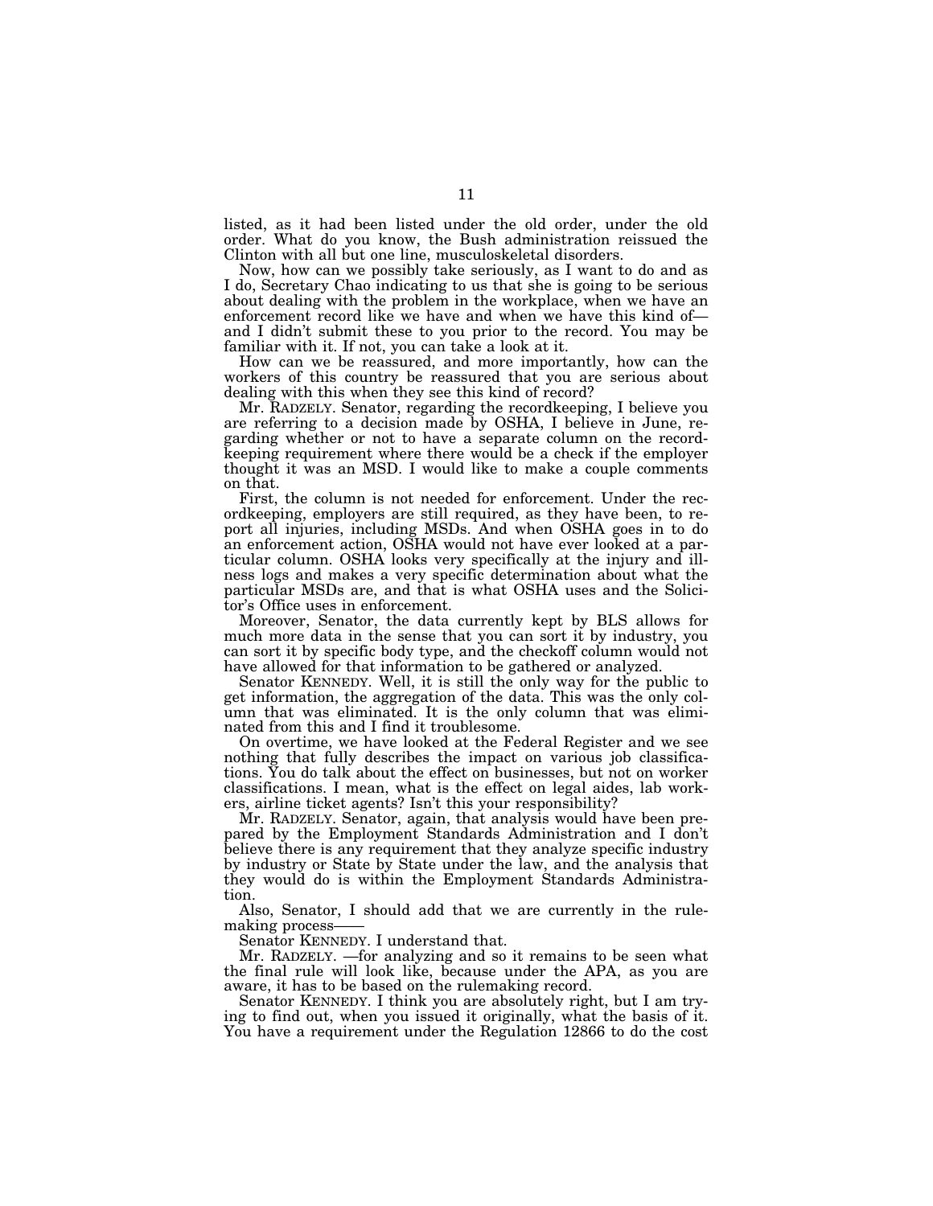listed, as it had been listed under the old order, under the old order. What do you know, the Bush administration reissued the Clinton with all but one line, musculoskeletal disorders.

Now, how can we possibly take seriously, as I want to do and as I do, Secretary Chao indicating to us that she is going to be serious about dealing with the problem in the workplace, when we have an enforcement record like we have and when we have this kind of— and I didn't submit these to you prior to the record. You may be familiar with it. If not, you can take a look at it.

How can we be reassured, and more importantly, how can the workers of this country be reassured that you are serious about dealing with this when they see this kind of record?

Mr. RADZELY. Senator, regarding the recordkeeping, I believe you are referring to a decision made by OSHA, I believe in June, regarding whether or not to have a separate column on the recordkeeping requirement where there would be a check if the employer thought it was an MSD. I would like to make a couple comments on that.

First, the column is not needed for enforcement. Under the recordkeeping, employers are still required, as they have been, to report all injuries, including MSDs. And when OSHA goes in to do an enforcement action, OSHA would not have ever looked at a particular column. OSHA looks very specifically at the injury and illness logs and makes a very specific determination about what the particular MSDs are, and that is what OSHA uses and the Solicitor's Office uses in enforcement.

Moreover, Senator, the data currently kept by BLS allows for much more data in the sense that you can sort it by industry, you can sort it by specific body type, and the checkoff column would not have allowed for that information to be gathered or analyzed.

Senator KENNEDY. Well, it is still the only way for the public to get information, the aggregation of the data. This was the only column that was eliminated. It is the only column that was eliminated from this and I find it troublesome.

On overtime, we have looked at the Federal Register and we see nothing that fully describes the impact on various job classifications. You do talk about the effect on businesses, but not on worker classifications. I mean, what is the effect on legal aides, lab workers, airline ticket agents? Isn't this your responsibility?

Mr. RADZELY. Senator, again, that analysis would have been prepared by the Employment Standards Administration and I don't believe there is any requirement that they analyze specific industry by industry or State by State under the law, and the analysis that they would do is within the Employment Standards Administration.

Also, Senator, I should add that we are currently in the rulemaking process-

Senator KENNEDY. I understand that.

Mr. RADZELY. —for analyzing and so it remains to be seen what the final rule will look like, because under the APA, as you are aware, it has to be based on the rulemaking record.

Senator KENNEDY. I think you are absolutely right, but I am trying to find out, when you issued it originally, what the basis of it. You have a requirement under the Regulation 12866 to do the cost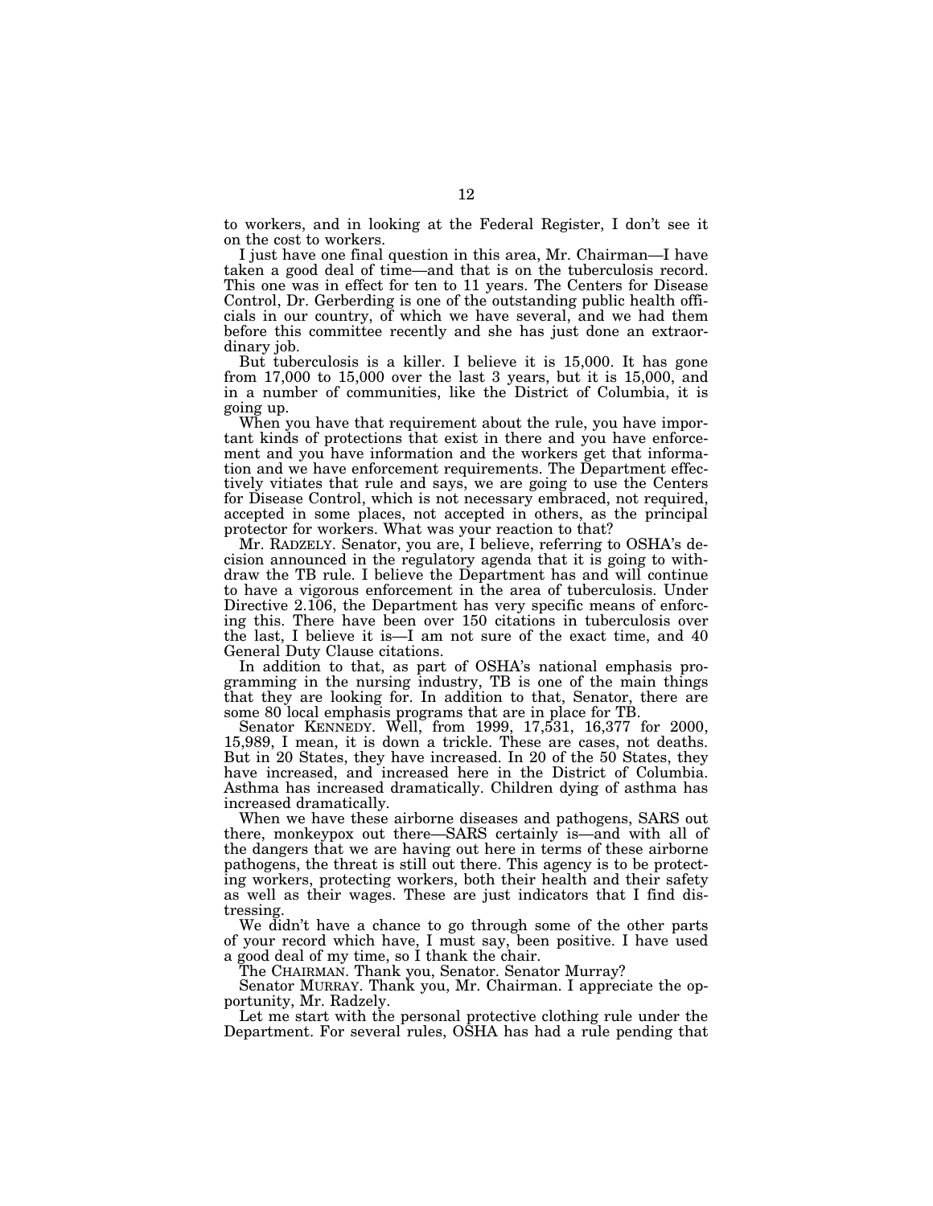to workers, and in looking at the Federal Register, I don't see it on the cost to workers.

I just have one final question in this area, Mr. Chairman—I have taken a good deal of time—and that is on the tuberculosis record. This one was in effect for ten to 11 years. The Centers for Disease Control, Dr. Gerberding is one of the outstanding public health officials in our country, of which we have several, and we had them before this committee recently and she has just done an extraordinary job.

But tuberculosis is a killer. I believe it is 15,000. It has gone from 17,000 to 15,000 over the last 3 years, but it is 15,000, and in a number of communities, like the District of Columbia, it is going up.

When you have that requirement about the rule, you have important kinds of protections that exist in there and you have enforcement and you have information and the workers get that information and we have enforcement requirements. The Department effectively vitiates that rule and says, we are going to use the Centers for Disease Control, which is not necessary embraced, not required, accepted in some places, not accepted in others, as the principal protector for workers. What was your reaction to that?

Mr. RADZELY. Senator, you are, I believe, referring to OSHA's decision announced in the regulatory agenda that it is going to withdraw the TB rule. I believe the Department has and will continue to have a vigorous enforcement in the area of tuberculosis. Under Directive 2.106, the Department has very specific means of enforcing this. There have been over 150 citations in tuberculosis over the last, I believe it is—I am not sure of the exact time, and 40 General Duty Clause citations.

In addition to that, as part of OSHA's national emphasis programming in the nursing industry, TB is one of the main things that they are looking for. In addition to that, Senator, there are some 80 local emphasis programs that are in place for TB.

Senator KENNEDY. Well, from 1999, 17,531, 16,377 for 2000, 15,989, I mean, it is down a trickle. These are cases, not deaths. But in 20 States, they have increased. In 20 of the 50 States, they have increased, and increased here in the District of Columbia. Asthma has increased dramatically. Children dying of asthma has increased dramatically.

When we have these airborne diseases and pathogens, SARS out there, monkeypox out there—SARS certainly is—and with all of the dangers that we are having out here in terms of these airborne pathogens, the threat is still out there. This agency is to be protecting workers, protecting workers, both their health and their safety as well as their wages. These are just indicators that I find distressing.

We didn't have a chance to go through some of the other parts of your record which have, I must say, been positive. I have used a good deal of my time, so I thank the chair.

The CHAIRMAN. Thank you, Senator. Senator Murray?

Senator MURRAY. Thank you, Mr. Chairman. I appreciate the opportunity, Mr. Radzely.

Let me start with the personal protective clothing rule under the Department. For several rules, OSHA has had a rule pending that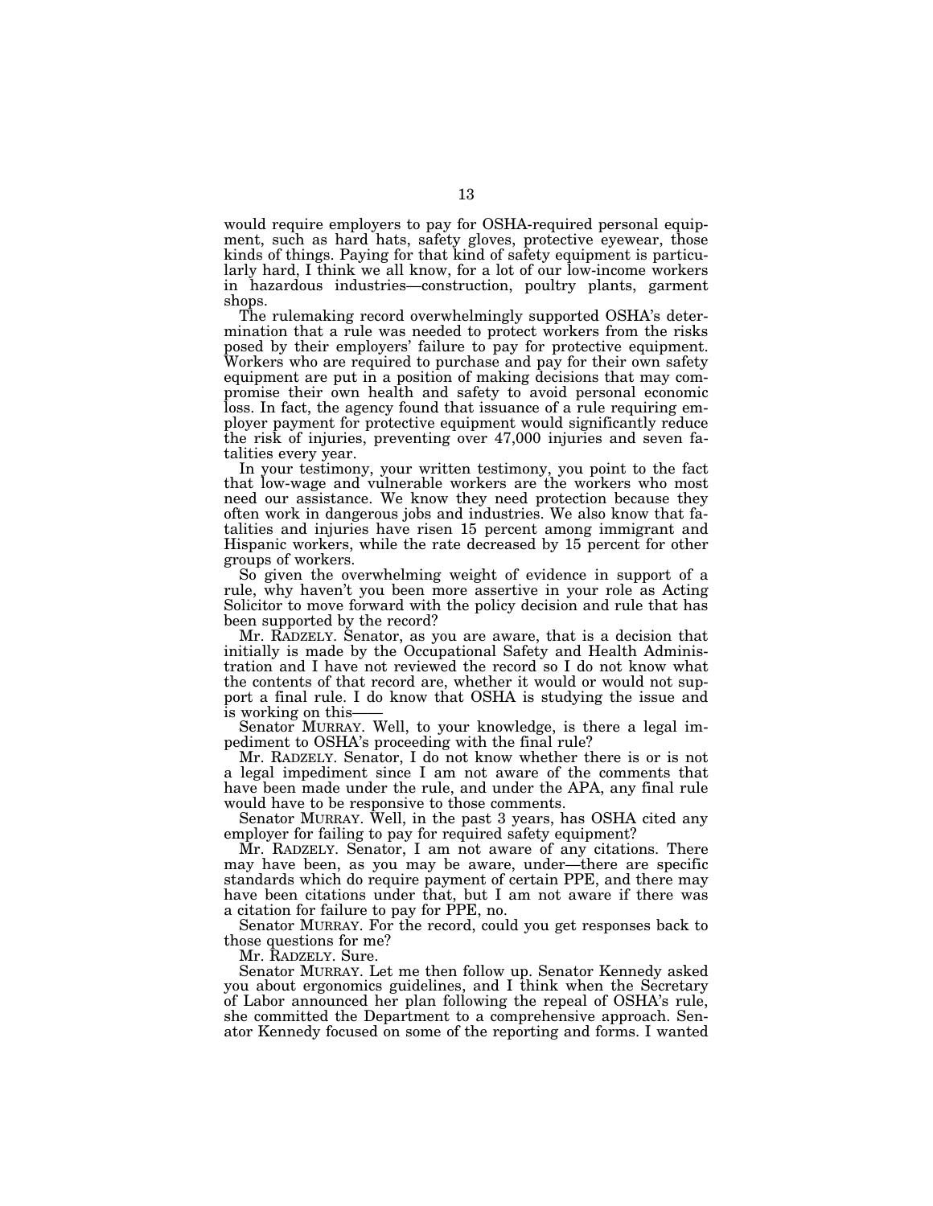would require employers to pay for OSHA-required personal equipment, such as hard hats, safety gloves, protective eyewear, those kinds of things. Paying for that kind of safety equipment is particularly hard, I think we all know, for a lot of our low-income workers in hazardous industries—construction, poultry plants, garment shops.

The rulemaking record overwhelmingly supported OSHA's determination that a rule was needed to protect workers from the risks posed by their employers' failure to pay for protective equipment. Workers who are required to purchase and pay for their own safety equipment are put in a position of making decisions that may compromise their own health and safety to avoid personal economic loss. In fact, the agency found that issuance of a rule requiring employer payment for protective equipment would significantly reduce the risk of injuries, preventing over 47,000 injuries and seven fatalities every year.

In your testimony, your written testimony, you point to the fact that low-wage and vulnerable workers are the workers who most need our assistance. We know they need protection because they often work in dangerous jobs and industries. We also know that fatalities and injuries have risen 15 percent among immigrant and Hispanic workers, while the rate decreased by 15 percent for other groups of workers.

So given the overwhelming weight of evidence in support of a rule, why haven't you been more assertive in your role as Acting Solicitor to move forward with the policy decision and rule that has been supported by the record?

Mr. RADZELY. Senator, as you are aware, that is a decision that initially is made by the Occupational Safety and Health Administration and I have not reviewed the record so I do not know what the contents of that record are, whether it would or would not support a final rule. I do know that OSHA is studying the issue and is working on this—

Senator MURRAY. Well, to your knowledge, is there a legal impediment to OSHA's proceeding with the final rule?

Mr. RADZELY. Senator, I do not know whether there is or is not a legal impediment since I am not aware of the comments that have been made under the rule, and under the APA, any final rule would have to be responsive to those comments.

Senator MURRAY. Well, in the past 3 years, has OSHA cited any employer for failing to pay for required safety equipment?

Mr. RADZELY. Senator, I am not aware of any citations. There may have been, as you may be aware, under—there are specific standards which do require payment of certain PPE, and there may have been citations under that, but I am not aware if there was a citation for failure to pay for PPE, no.

Senator MURRAY. For the record, could you get responses back to those questions for me?

Mr. RADZELY. Sure.

Senator MURRAY. Let me then follow up. Senator Kennedy asked you about ergonomics guidelines, and I think when the Secretary of Labor announced her plan following the repeal of OSHA's rule, she committed the Department to a comprehensive approach. Senator Kennedy focused on some of the reporting and forms. I wanted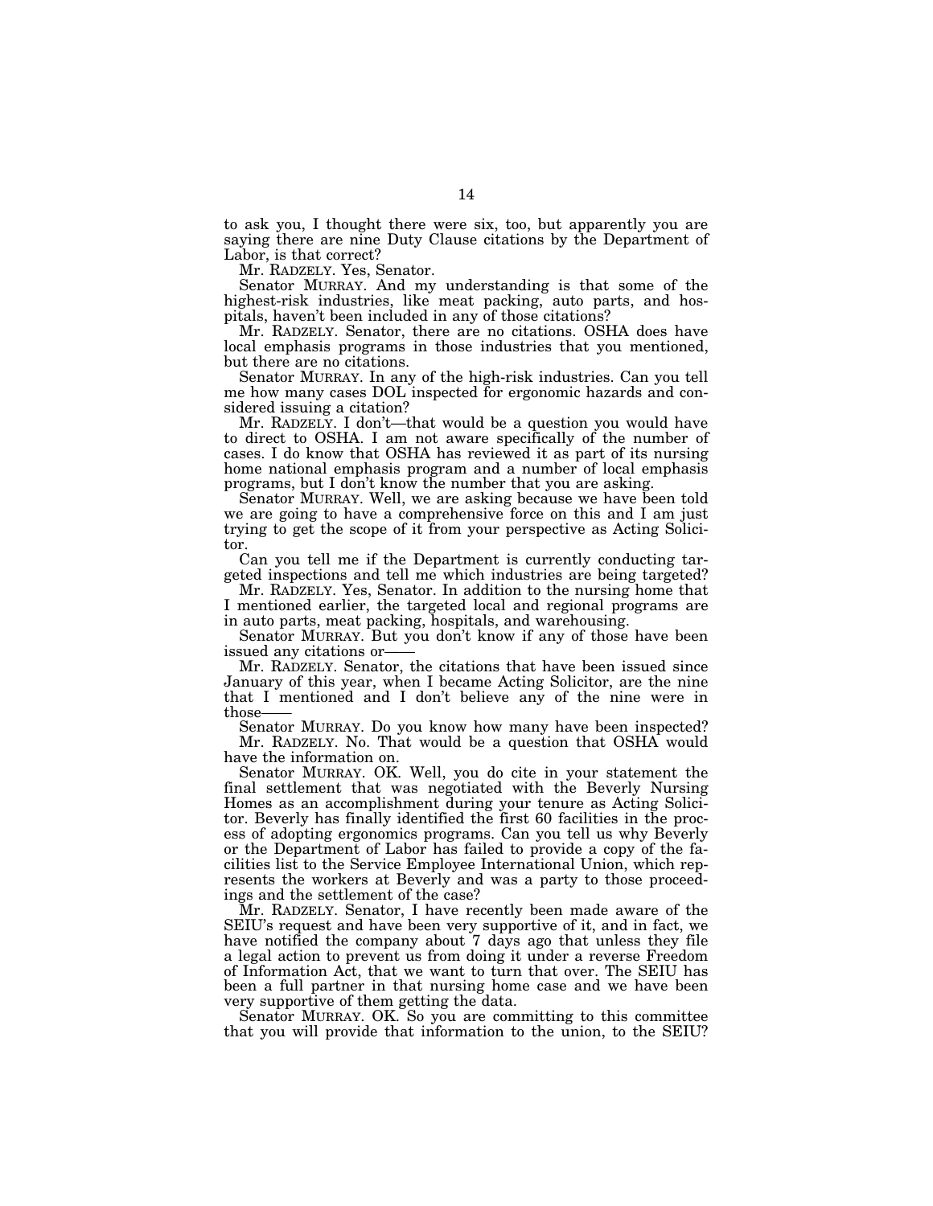to ask you, I thought there were six, too, but apparently you are saying there are nine Duty Clause citations by the Department of Labor, is that correct?

Mr. RADZELY. Yes, Senator.

Senator MURRAY. And my understanding is that some of the highest-risk industries, like meat packing, auto parts, and hospitals, haven't been included in any of those citations?

Mr. RADZELY. Senator, there are no citations. OSHA does have local emphasis programs in those industries that you mentioned, but there are no citations.

Senator MURRAY. In any of the high-risk industries. Can you tell me how many cases DOL inspected for ergonomic hazards and considered issuing a citation?

Mr. RADZELY. I don't—that would be a question you would have to direct to OSHA. I am not aware specifically of the number of cases. I do know that OSHA has reviewed it as part of its nursing home national emphasis program and a number of local emphasis programs, but I don't know the number that you are asking.

Senator MURRAY. Well, we are asking because we have been told we are going to have a comprehensive force on this and I am just trying to get the scope of it from your perspective as Acting Solicitor.

Can you tell me if the Department is currently conducting targeted inspections and tell me which industries are being targeted?

Mr. RADZELY. Yes, Senator. In addition to the nursing home that I mentioned earlier, the targeted local and regional programs are in auto parts, meat packing, hospitals, and warehousing.

Senator MURRAY. But you don't know if any of those have been issued any citations or—

Mr. RADZELY. Senator, the citations that have been issued since January of this year, when I became Acting Solicitor, are the nine that I mentioned and I don't believe any of the nine were in those——<br>Senator MURRAY. Do you know how many have been inspected?

Mr. RADZELY. No. That would be a question that OSHA would have the information on.

Senator MURRAY. OK. Well, you do cite in your statement the final settlement that was negotiated with the Beverly Nursing Homes as an accomplishment during your tenure as Acting Solicitor. Beverly has finally identified the first 60 facilities in the process of adopting ergonomics programs. Can you tell us why Beverly or the Department of Labor has failed to provide a copy of the facilities list to the Service Employee International Union, which represents the workers at Beverly and was a party to those proceedings and the settlement of the case?

Mr. RADZELY. Senator, I have recently been made aware of the SEIU's request and have been very supportive of it, and in fact, we have notified the company about 7 days ago that unless they file a legal action to prevent us from doing it under a reverse Freedom of Information Act, that we want to turn that over. The SEIU has been a full partner in that nursing home case and we have been very supportive of them getting the data.

Senator MURRAY. OK. So you are committing to this committee that you will provide that information to the union, to the SEIU?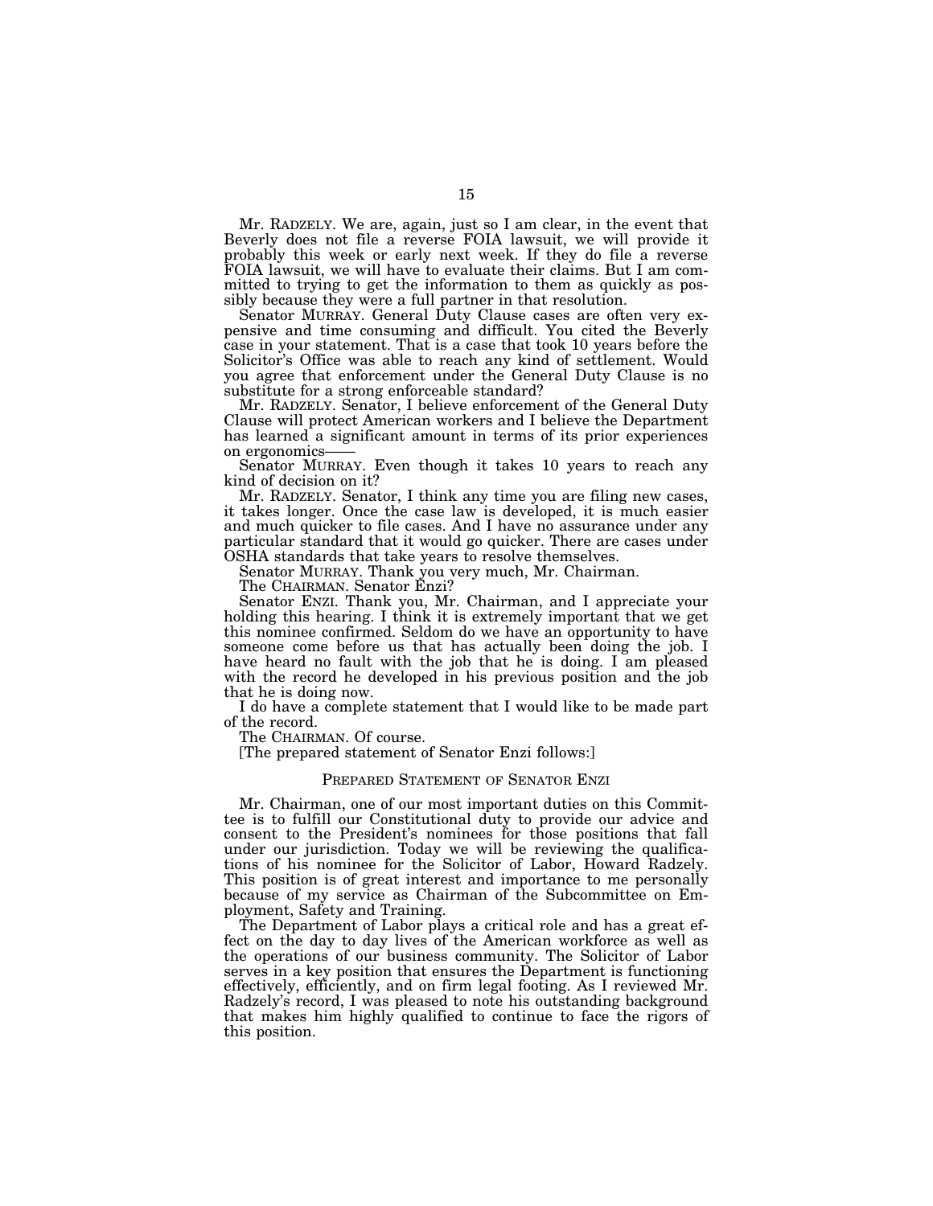Mr. RADZELY. We are, again, just so I am clear, in the event that Beverly does not file a reverse FOIA lawsuit, we will provide it probably this week or early next week. If they do file a reverse FOIA lawsuit, we will have to evaluate their claims. But I am committed to trying to get the information to them as quickly as possibly because they were a full partner in that resolution.

Senator MURRAY. General Duty Clause cases are often very expensive and time consuming and difficult. You cited the Beverly case in your statement. That is a case that took 10 years before the Solicitor's Office was able to reach any kind of settlement. Would you agree that enforcement under the General Duty Clause is no substitute for a strong enforceable standard?

Mr. RADZELY. Senator, I believe enforcement of the General Duty Clause will protect American workers and I believe the Department has learned a significant amount in terms of its prior experiences on ergonomics—

Senator MURRAY. Even though it takes 10 years to reach any kind of decision on it?

Mr. RADZELY. Senator, I think any time you are filing new cases, it takes longer. Once the case law is developed, it is much easier and much quicker to file cases. And I have no assurance under any particular standard that it would go quicker. There are cases under OSHA standards that take years to resolve themselves.

Senator MURRAY. Thank you very much, Mr. Chairman.

The CHAIRMAN. Senator Enzi?

Senator ENZI. Thank you, Mr. Chairman, and I appreciate your holding this hearing. I think it is extremely important that we get this nominee confirmed. Seldom do we have an opportunity to have someone come before us that has actually been doing the job. I have heard no fault with the job that he is doing. I am pleased with the record he developed in his previous position and the job that he is doing now.

I do have a complete statement that I would like to be made part of the record.

The CHAIRMAN. Of course.

[The prepared statement of Senator Enzi follows:]

# PREPARED STATEMENT OF SENATOR ENZI

Mr. Chairman, one of our most important duties on this Committee is to fulfill our Constitutional duty to provide our advice and consent to the President's nominees for those positions that fall under our jurisdiction. Today we will be reviewing the qualifications of his nominee for the Solicitor of Labor, Howard Radzely. This position is of great interest and importance to me personally because of my service as Chairman of the Subcommittee on Employment, Safety and Training.

The Department of Labor plays a critical role and has a great effect on the day to day lives of the American workforce as well as the operations of our business community. The Solicitor of Labor serves in a key position that ensures the Department is functioning effectively, efficiently, and on firm legal footing. As I reviewed Mr. Radzely's record, I was pleased to note his outstanding background that makes him highly qualified to continue to face the rigors of this position.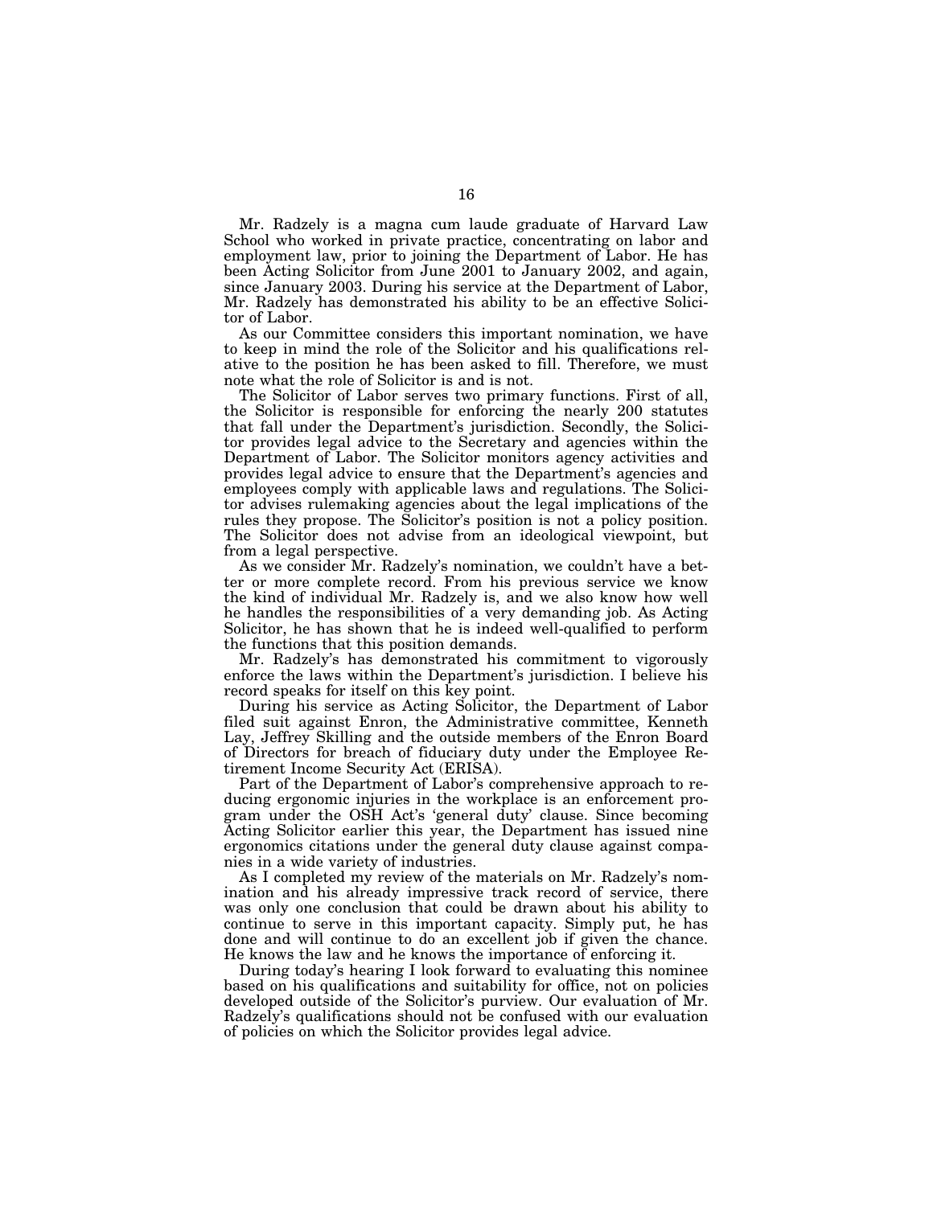Mr. Radzely is a magna cum laude graduate of Harvard Law School who worked in private practice, concentrating on labor and employment law, prior to joining the Department of Labor. He has been Acting Solicitor from June 2001 to January 2002, and again, since January 2003. During his service at the Department of Labor, Mr. Radzely has demonstrated his ability to be an effective Solicitor of Labor.

As our Committee considers this important nomination, we have to keep in mind the role of the Solicitor and his qualifications relative to the position he has been asked to fill. Therefore, we must note what the role of Solicitor is and is not.

The Solicitor of Labor serves two primary functions. First of all, the Solicitor is responsible for enforcing the nearly 200 statutes that fall under the Department's jurisdiction. Secondly, the Solicitor provides legal advice to the Secretary and agencies within the Department of Labor. The Solicitor monitors agency activities and provides legal advice to ensure that the Department's agencies and employees comply with applicable laws and regulations. The Solicitor advises rulemaking agencies about the legal implications of the rules they propose. The Solicitor's position is not a policy position. The Solicitor does not advise from an ideological viewpoint, but from a legal perspective.

As we consider Mr. Radzely's nomination, we couldn't have a better or more complete record. From his previous service we know the kind of individual Mr. Radzely is, and we also know how well he handles the responsibilities of a very demanding job. As Acting Solicitor, he has shown that he is indeed well-qualified to perform the functions that this position demands.

Mr. Radzely's has demonstrated his commitment to vigorously enforce the laws within the Department's jurisdiction. I believe his record speaks for itself on this key point.

During his service as Acting Solicitor, the Department of Labor filed suit against Enron, the Administrative committee, Kenneth Lay, Jeffrey Skilling and the outside members of the Enron Board of Directors for breach of fiduciary duty under the Employee Retirement Income Security Act (ERISA).

Part of the Department of Labor's comprehensive approach to reducing ergonomic injuries in the workplace is an enforcement program under the OSH Act's 'general duty' clause. Since becoming Acting Solicitor earlier this year, the Department has issued nine ergonomics citations under the general duty clause against companies in a wide variety of industries.

As I completed my review of the materials on Mr. Radzely's nomination and his already impressive track record of service, there was only one conclusion that could be drawn about his ability to continue to serve in this important capacity. Simply put, he has done and will continue to do an excellent job if given the chance. He knows the law and he knows the importance of enforcing it.

During today's hearing I look forward to evaluating this nominee based on his qualifications and suitability for office, not on policies developed outside of the Solicitor's purview. Our evaluation of Mr. Radzely's qualifications should not be confused with our evaluation of policies on which the Solicitor provides legal advice.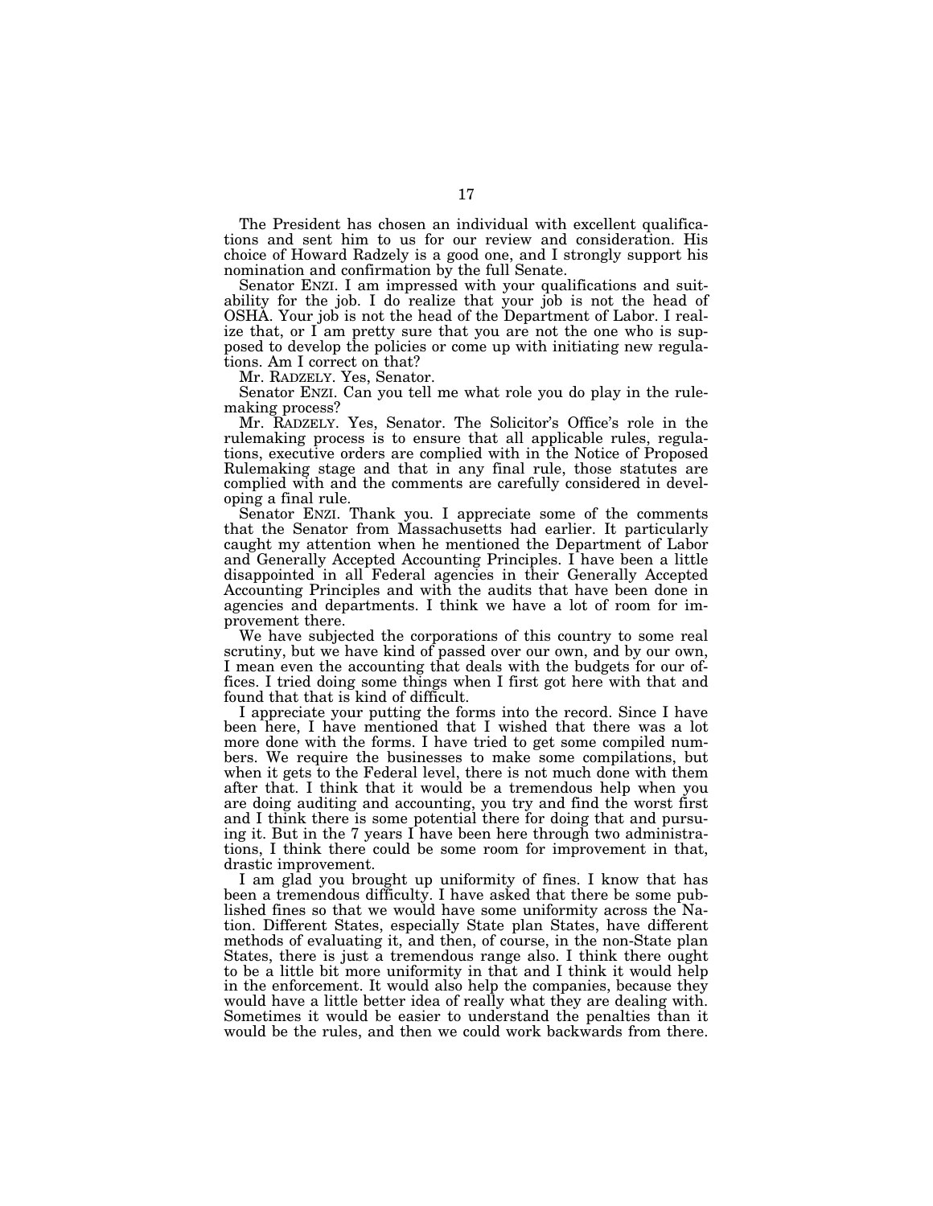The President has chosen an individual with excellent qualifications and sent him to us for our review and consideration. His choice of Howard Radzely is a good one, and I strongly support his nomination and confirmation by the full Senate.

Senator ENZI. I am impressed with your qualifications and suitability for the job. I do realize that your job is not the head of OSHA. Your job is not the head of the Department of Labor. I realize that, or I am pretty sure that you are not the one who is supposed to develop the policies or come up with initiating new regulations. Am I correct on that?

Mr. RADZELY. Yes, Senator.

Senator ENZI. Can you tell me what role you do play in the rulemaking process?

Mr. RADZELY. Yes, Senator. The Solicitor's Office's role in the rulemaking process is to ensure that all applicable rules, regulations, executive orders are complied with in the Notice of Proposed Rulemaking stage and that in any final rule, those statutes are complied with and the comments are carefully considered in developing a final rule.

Senator ENZI. Thank you. I appreciate some of the comments that the Senator from Massachusetts had earlier. It particularly caught my attention when he mentioned the Department of Labor and Generally Accepted Accounting Principles. I have been a little disappointed in all Federal agencies in their Generally Accepted Accounting Principles and with the audits that have been done in agencies and departments. I think we have a lot of room for improvement there.

We have subjected the corporations of this country to some real scrutiny, but we have kind of passed over our own, and by our own, I mean even the accounting that deals with the budgets for our offices. I tried doing some things when I first got here with that and found that that is kind of difficult.

I appreciate your putting the forms into the record. Since I have been here, I have mentioned that I wished that there was a lot more done with the forms. I have tried to get some compiled numbers. We require the businesses to make some compilations, but when it gets to the Federal level, there is not much done with them after that. I think that it would be a tremendous help when you are doing auditing and accounting, you try and find the worst first and I think there is some potential there for doing that and pursuing it. But in the 7 years I have been here through two administrations, I think there could be some room for improvement in that, drastic improvement.

I am glad you brought up uniformity of fines. I know that has been a tremendous difficulty. I have asked that there be some published fines so that we would have some uniformity across the Nation. Different States, especially State plan States, have different methods of evaluating it, and then, of course, in the non-State plan States, there is just a tremendous range also. I think there ought to be a little bit more uniformity in that and I think it would help in the enforcement. It would also help the companies, because they would have a little better idea of really what they are dealing with. Sometimes it would be easier to understand the penalties than it would be the rules, and then we could work backwards from there.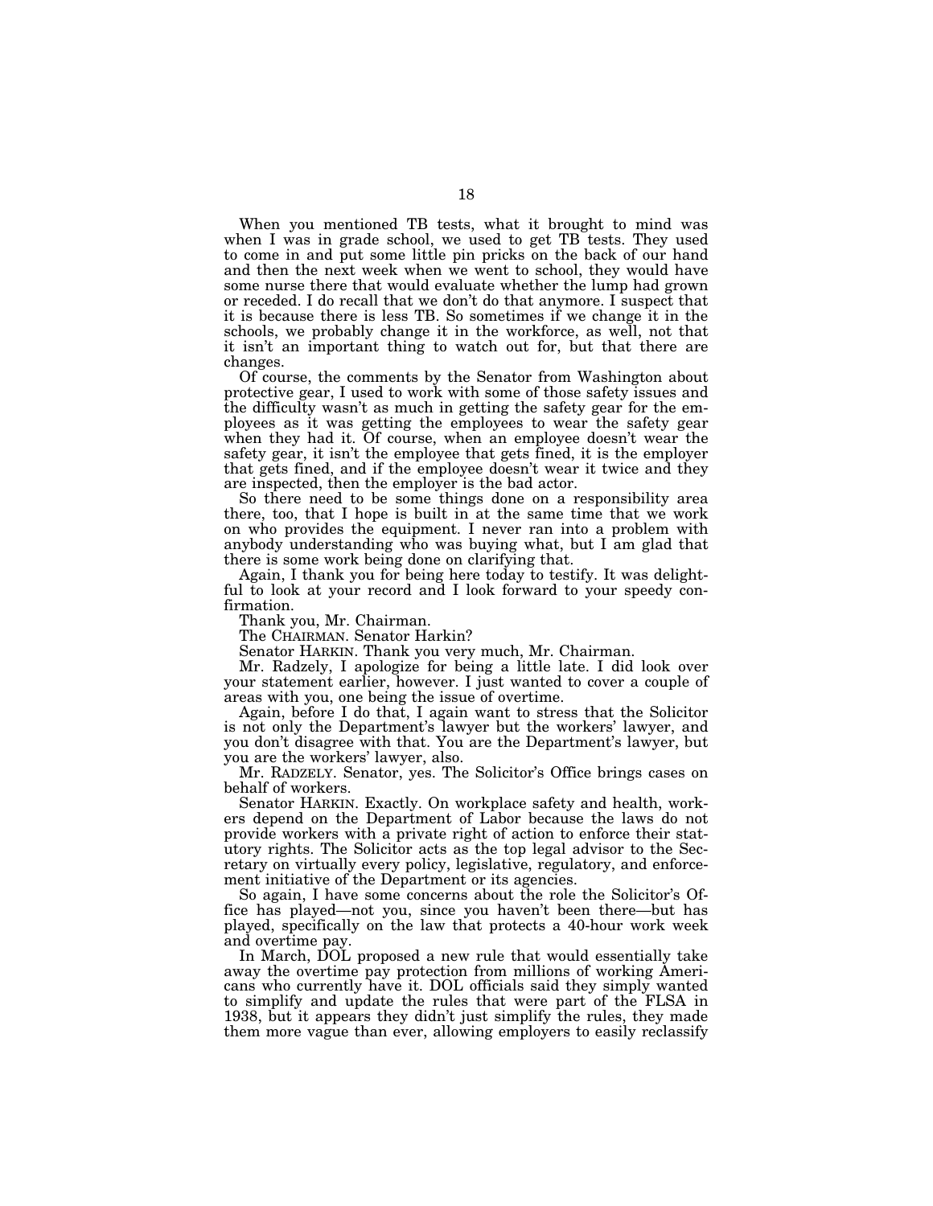When you mentioned TB tests, what it brought to mind was when I was in grade school, we used to get TB tests. They used to come in and put some little pin pricks on the back of our hand and then the next week when we went to school, they would have some nurse there that would evaluate whether the lump had grown or receded. I do recall that we don't do that anymore. I suspect that it is because there is less TB. So sometimes if we change it in the schools, we probably change it in the workforce, as well, not that it isn't an important thing to watch out for, but that there are changes.

Of course, the comments by the Senator from Washington about protective gear, I used to work with some of those safety issues and the difficulty wasn't as much in getting the safety gear for the employees as it was getting the employees to wear the safety gear when they had it. Of course, when an employee doesn't wear the safety gear, it isn't the employee that gets fined, it is the employer that gets fined, and if the employee doesn't wear it twice and they are inspected, then the employer is the bad actor.

So there need to be some things done on a responsibility area there, too, that I hope is built in at the same time that we work on who provides the equipment. I never ran into a problem with anybody understanding who was buying what, but I am glad that there is some work being done on clarifying that.

Again, I thank you for being here today to testify. It was delightful to look at your record and I look forward to your speedy confirmation.

Thank you, Mr. Chairman.

The CHAIRMAN. Senator Harkin?

Senator HARKIN. Thank you very much, Mr. Chairman.

Mr. Radzely, I apologize for being a little late. I did look over your statement earlier, however. I just wanted to cover a couple of areas with you, one being the issue of overtime.

Again, before I do that, I again want to stress that the Solicitor is not only the Department's lawyer but the workers' lawyer, and you don't disagree with that. You are the Department's lawyer, but you are the workers' lawyer, also.

Mr. RADZELY. Senator, yes. The Solicitor's Office brings cases on behalf of workers.

Senator HARKIN. Exactly. On workplace safety and health, workers depend on the Department of Labor because the laws do not provide workers with a private right of action to enforce their statutory rights. The Solicitor acts as the top legal advisor to the Secretary on virtually every policy, legislative, regulatory, and enforcement initiative of the Department or its agencies.

So again, I have some concerns about the role the Solicitor's Office has played—not you, since you haven't been there—but has played, specifically on the law that protects a 40-hour work week and overtime pay.

In March, DOL proposed a new rule that would essentially take away the overtime pay protection from millions of working Americans who currently have it. DOL officials said they simply wanted to simplify and update the rules that were part of the FLSA in 1938, but it appears they didn't just simplify the rules, they made them more vague than ever, allowing employers to easily reclassify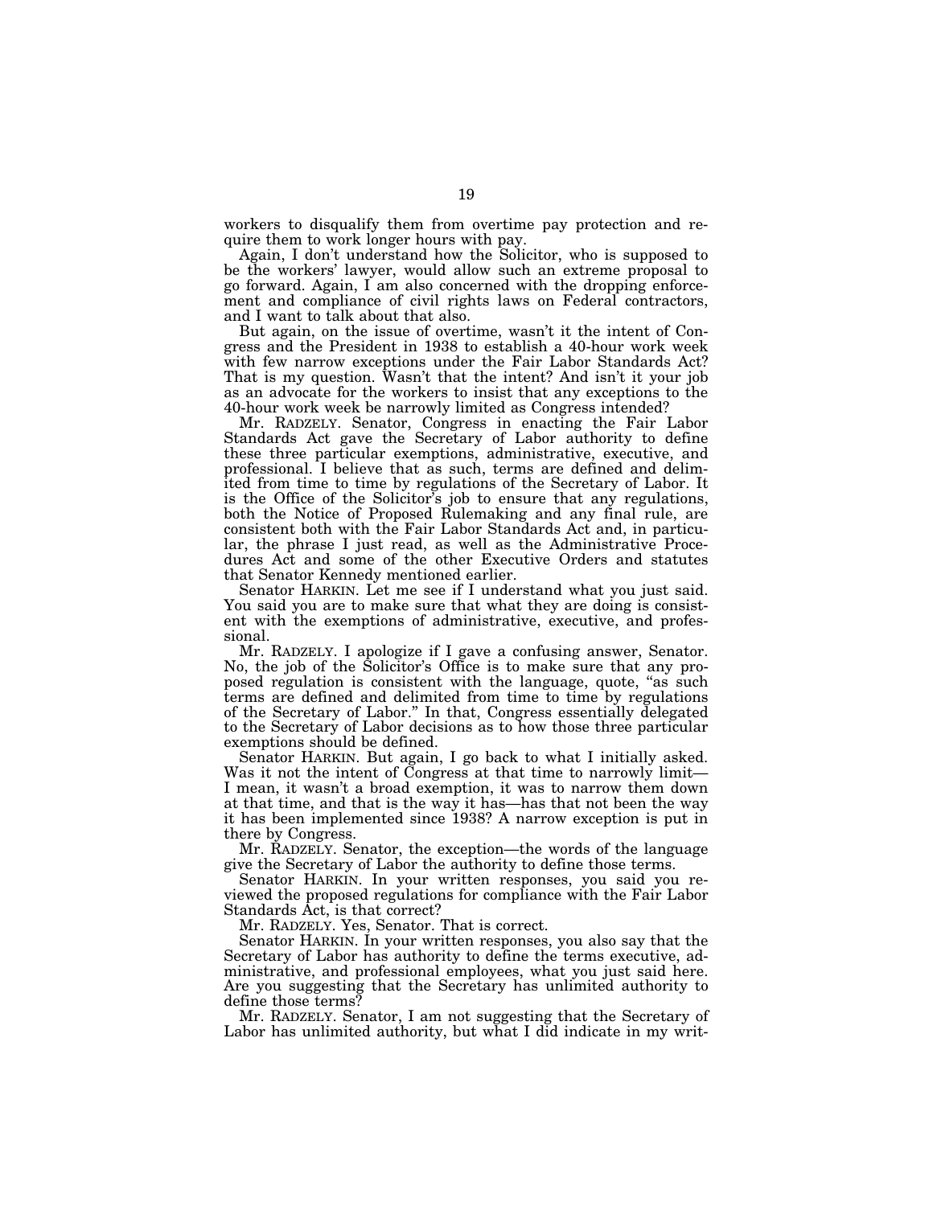workers to disqualify them from overtime pay protection and require them to work longer hours with pay.

Again, I don't understand how the Solicitor, who is supposed to be the workers' lawyer, would allow such an extreme proposal to go forward. Again, I am also concerned with the dropping enforcement and compliance of civil rights laws on Federal contractors, and I want to talk about that also.

But again, on the issue of overtime, wasn't it the intent of Congress and the President in 1938 to establish a 40-hour work week with few narrow exceptions under the Fair Labor Standards Act? That is my question. Wasn't that the intent? And isn't it your job as an advocate for the workers to insist that any exceptions to the 40-hour work week be narrowly limited as Congress intended?

Mr. RADZELY. Senator, Congress in enacting the Fair Labor Standards Act gave the Secretary of Labor authority to define these three particular exemptions, administrative, executive, and professional. I believe that as such, terms are defined and delimited from time to time by regulations of the Secretary of Labor. It is the Office of the Solicitor's job to ensure that any regulations, both the Notice of Proposed Rulemaking and any final rule, are consistent both with the Fair Labor Standards Act and, in particular, the phrase I just read, as well as the Administrative Procedures Act and some of the other Executive Orders and statutes that Senator Kennedy mentioned earlier.

Senator HARKIN. Let me see if I understand what you just said. You said you are to make sure that what they are doing is consistent with the exemptions of administrative, executive, and professional.

Mr. RADZELY. I apologize if I gave a confusing answer, Senator. No, the job of the Solicitor's Office is to make sure that any proposed regulation is consistent with the language, quote, ''as such terms are defined and delimited from time to time by regulations of the Secretary of Labor.'' In that, Congress essentially delegated to the Secretary of Labor decisions as to how those three particular exemptions should be defined.

Senator HARKIN. But again, I go back to what I initially asked. Was it not the intent of Congress at that time to narrowly limit—I mean, it wasn't a broad exemption, it was to narrow them down at that time, and that is the way it has—has that not been the way it has been implemented since 1938? A narrow exception is put in there by Congress.

Mr. RADZELY. Senator, the exception—the words of the language give the Secretary of Labor the authority to define those terms.

Senator HARKIN. In your written responses, you said you reviewed the proposed regulations for compliance with the Fair Labor Standards Act, is that correct?

Mr. RADZELY. Yes, Senator. That is correct.

Senator HARKIN. In your written responses, you also say that the Secretary of Labor has authority to define the terms executive, administrative, and professional employees, what you just said here. Are you suggesting that the Secretary has unlimited authority to define those terms?

Mr. RADZELY. Senator, I am not suggesting that the Secretary of Labor has unlimited authority, but what I did indicate in my writ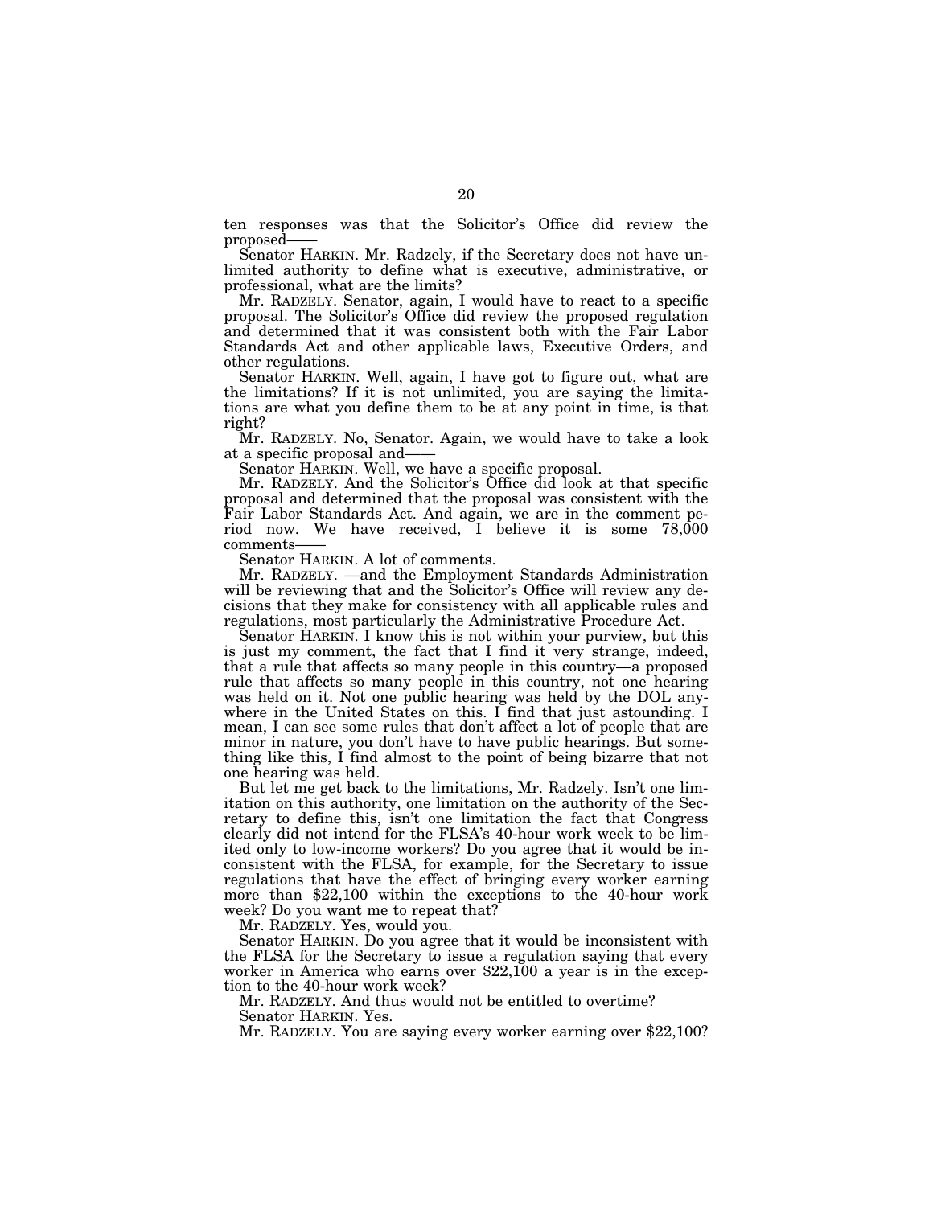ten responses was that the Solicitor's Office did review the

Senator HARKIN. Mr. Radzely, if the Secretary does not have unlimited authority to define what is executive, administrative, or professional, what are the limits?

Mr. RADZELY. Senator, again, I would have to react to a specific proposal. The Solicitor's Office did review the proposed regulation and determined that it was consistent both with the Fair Labor Standards Act and other applicable laws, Executive Orders, and other regulations.

Senator HARKIN. Well, again, I have got to figure out, what are the limitations? If it is not unlimited, you are saying the limitations are what you define them to be at any point in time, is that right?

Mr. RADZELY. No, Senator. Again, we would have to take a look at a specific proposal and——

Senator HARKIN. Well, we have a specific proposal.

Mr. RADZELY. And the Solicitor's Office did look at that specific proposal and determined that the proposal was consistent with the Fair Labor Standards Act. And again, we are in the comment period now. We have received, I believe it is some 78,000 comments—— Senator HARKIN. A lot of comments.

Mr. RADZELY. —and the Employment Standards Administration will be reviewing that and the Solicitor's Office will review any decisions that they make for consistency with all applicable rules and regulations, most particularly the Administrative Procedure Act.

Senator HARKIN. I know this is not within your purview, but this is just my comment, the fact that I find it very strange, indeed, that a rule that affects so many people in this country—a proposed rule that affects so many people in this country, not one hearing was held on it. Not one public hearing was held by the DOL anywhere in the United States on this. I find that just astounding. I mean, I can see some rules that don't affect a lot of people that are minor in nature, you don't have to have public hearings. But something like this, I find almost to the point of being bizarre that not one hearing was held.

But let me get back to the limitations, Mr. Radzely. Isn't one limitation on this authority, one limitation on the authority of the Secretary to define this, isn't one limitation the fact that Congress clearly did not intend for the FLSA's 40-hour work week to be limited only to low-income workers? Do you agree that it would be inconsistent with the FLSA, for example, for the Secretary to issue regulations that have the effect of bringing every worker earning more than \$22,100 within the exceptions to the 40-hour work week? Do you want me to repeat that?

Mr. RADZELY. Yes, would you.

Senator HARKIN. Do you agree that it would be inconsistent with the FLSA for the Secretary to issue a regulation saying that every worker in America who earns over \$22,100 a year is in the exception to the 40-hour work week?

Mr. RADZELY. And thus would not be entitled to overtime? Senator HARKIN. Yes.

Mr. RADZELY. You are saying every worker earning over \$22,100?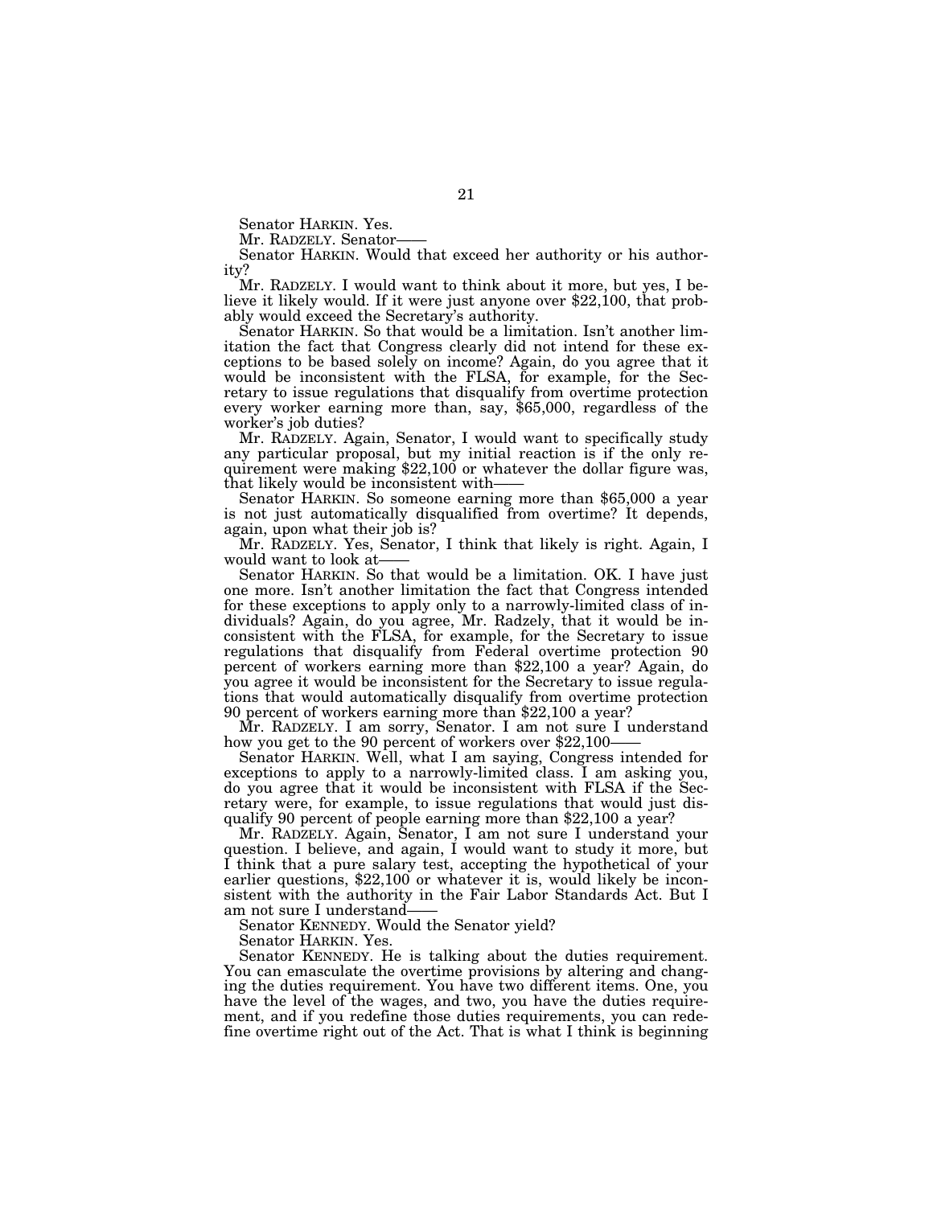Senator HARKIN. Yes.<br>Mr. RADZELY. Senator

Senator HARKIN. Would that exceed her authority or his authority?<br>Mr. RADZELY. I would want to think about it more, but yes, I be-

lieve it likely would. If it were just anyone over \$22,100, that probably would exceed the Secretary's authority.

Senator HARKIN. So that would be a limitation. Isn't another limitation the fact that Congress clearly did not intend for these exceptions to be based solely on income? Again, do you agree that it would be inconsistent with the FLSA, for example, for the Secretary to issue regulations that disqualify from overtime protection every worker earning more than, say, \$65,000, regardless of the worker's job duties?

Mr. RADZELY. Again, Senator, I would want to specifically study any particular proposal, but my initial reaction is if the only requirement were making \$22,100 or whatever the dollar figure was, that likely would be inconsistent with——

Senator HARKIN. So someone earning more than \$65,000 a year is not just automatically disqualified from overtime? It depends, again, upon what their job is?

Mr. RADZELY. Yes, Senator, I think that likely is right. Again, I

Senator HARKIN. So that would be a limitation. OK. I have just one more. Isn't another limitation the fact that Congress intended for these exceptions to apply only to a narrowly-limited class of individuals? Again, do you agree, Mr. Radzely, that it would be inconsistent with the FLSA, for example, for the Secretary to issue regulations that disqualify from Federal overtime protection 90 percent of workers earning more than \$22,100 a year? Again, do you agree it would be inconsistent for the Secretary to issue regulations that would automatically disqualify from overtime protection 90 percent of workers earning more than \$22,100 a year?

Mr. RADZELY. I am sorry, Senator. I am not sure I understand how you get to the 90 percent of workers over \$22,100–

Senator HARKIN. Well, what I am saying, Congress intended for exceptions to apply to a narrowly-limited class. I am asking you, do you agree that it would be inconsistent with FLSA if the Secretary were, for example, to issue regulations that would just disqualify 90 percent of people earning more than \$22,100 a year?

Mr. RADZELY. Again, Senator, I am not sure I understand your question. I believe, and again, I would want to study it more, but I think that a pure salary test, accepting the hypothetical of your earlier questions, \$22,100 or whatever it is, would likely be inconsistent with the authority in the Fair Labor Standards Act. But I am not sure I understand-

Senator KENNEDY. Would the Senator yield?

Senator HARKIN. Yes.

Senator KENNEDY. He is talking about the duties requirement. You can emasculate the overtime provisions by altering and changing the duties requirement. You have two different items. One, you have the level of the wages, and two, you have the duties requirement, and if you redefine those duties requirements, you can redefine overtime right out of the Act. That is what I think is beginning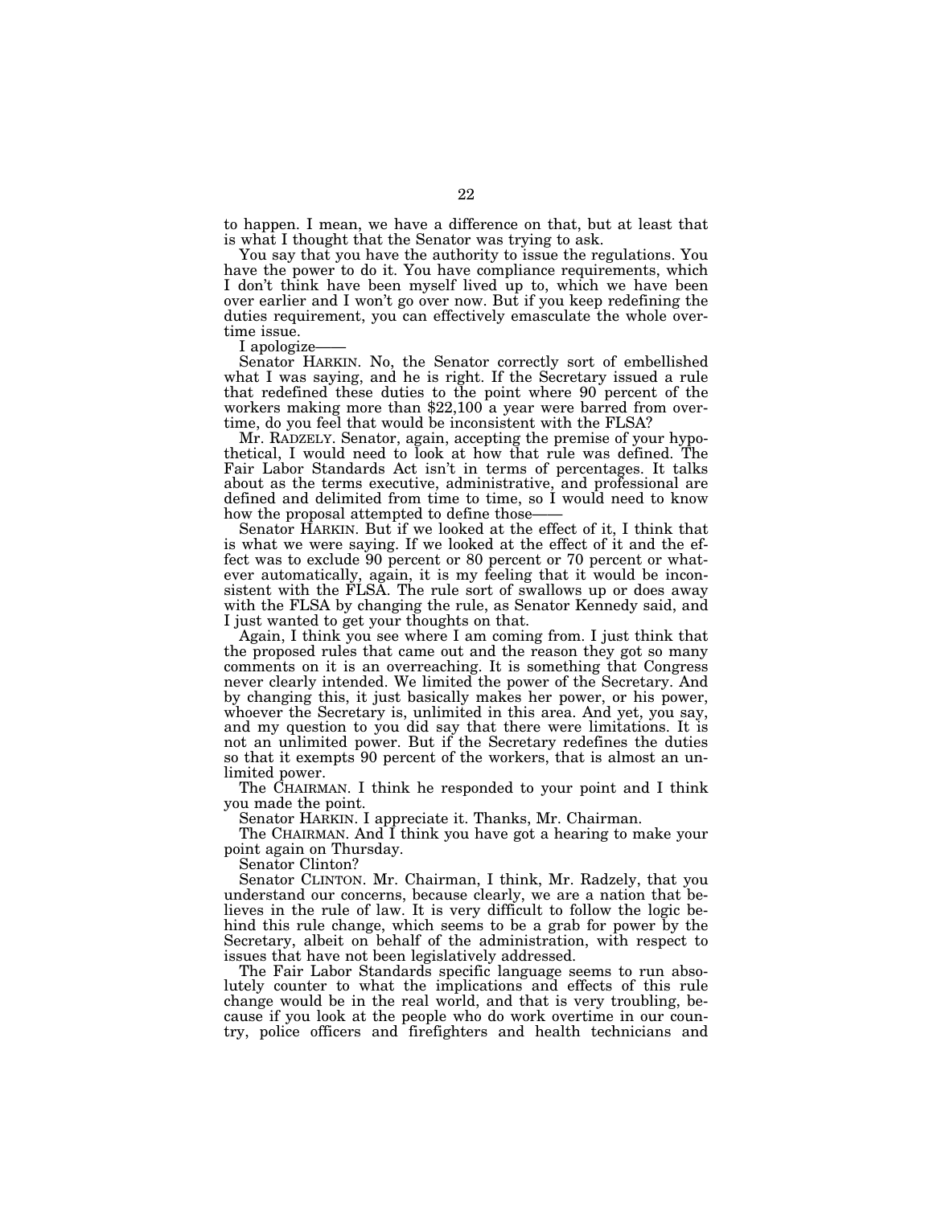to happen. I mean, we have a difference on that, but at least that is what I thought that the Senator was trying to ask.

You say that you have the authority to issue the regulations. You have the power to do it. You have compliance requirements, which I don't think have been myself lived up to, which we have been over earlier and I won't go over now. But if you keep redefining the duties requirement, you can effectively emasculate the whole over-

time issue.<br>I apologize-

Senator HARKIN. No, the Senator correctly sort of embellished what I was saying, and he is right. If the Secretary issued a rule that redefined these duties to the point where 90 percent of the workers making more than \$22,100 a year were barred from overtime, do you feel that would be inconsistent with the FLSA?

Mr. RADZELY. Senator, again, accepting the premise of your hypothetical, I would need to look at how that rule was defined. The Fair Labor Standards Act isn't in terms of percentages. It talks about as the terms executive, administrative, and professional are defined and delimited from time to time, so I would need to know how the proposal attempted to define those-

Senator HARKIN. But if we looked at the effect of it, I think that is what we were saying. If we looked at the effect of it and the effect was to exclude 90 percent or 80 percent or 70 percent or whatever automatically, again, it is my feeling that it would be inconsistent with the FLSA. The rule sort of swallows up or does away with the FLSA by changing the rule, as Senator Kennedy said, and I just wanted to get your thoughts on that.

Again, I think you see where I am coming from. I just think that the proposed rules that came out and the reason they got so many comments on it is an overreaching. It is something that Congress never clearly intended. We limited the power of the Secretary. And by changing this, it just basically makes her power, or his power, whoever the Secretary is, unlimited in this area. And yet, you say, and my question to you did say that there were limitations. It is not an unlimited power. But if the Secretary redefines the duties so that it exempts 90 percent of the workers, that is almost an unlimited power.

The CHAIRMAN. I think he responded to your point and I think you made the point.

Senator HARKIN. I appreciate it. Thanks, Mr. Chairman.

The CHAIRMAN. And I think you have got a hearing to make your point again on Thursday.

Senator Clinton?

Senator CLINTON. Mr. Chairman, I think, Mr. Radzely, that you understand our concerns, because clearly, we are a nation that believes in the rule of law. It is very difficult to follow the logic behind this rule change, which seems to be a grab for power by the Secretary, albeit on behalf of the administration, with respect to issues that have not been legislatively addressed.

The Fair Labor Standards specific language seems to run absolutely counter to what the implications and effects of this rule change would be in the real world, and that is very troubling, because if you look at the people who do work overtime in our country, police officers and firefighters and health technicians and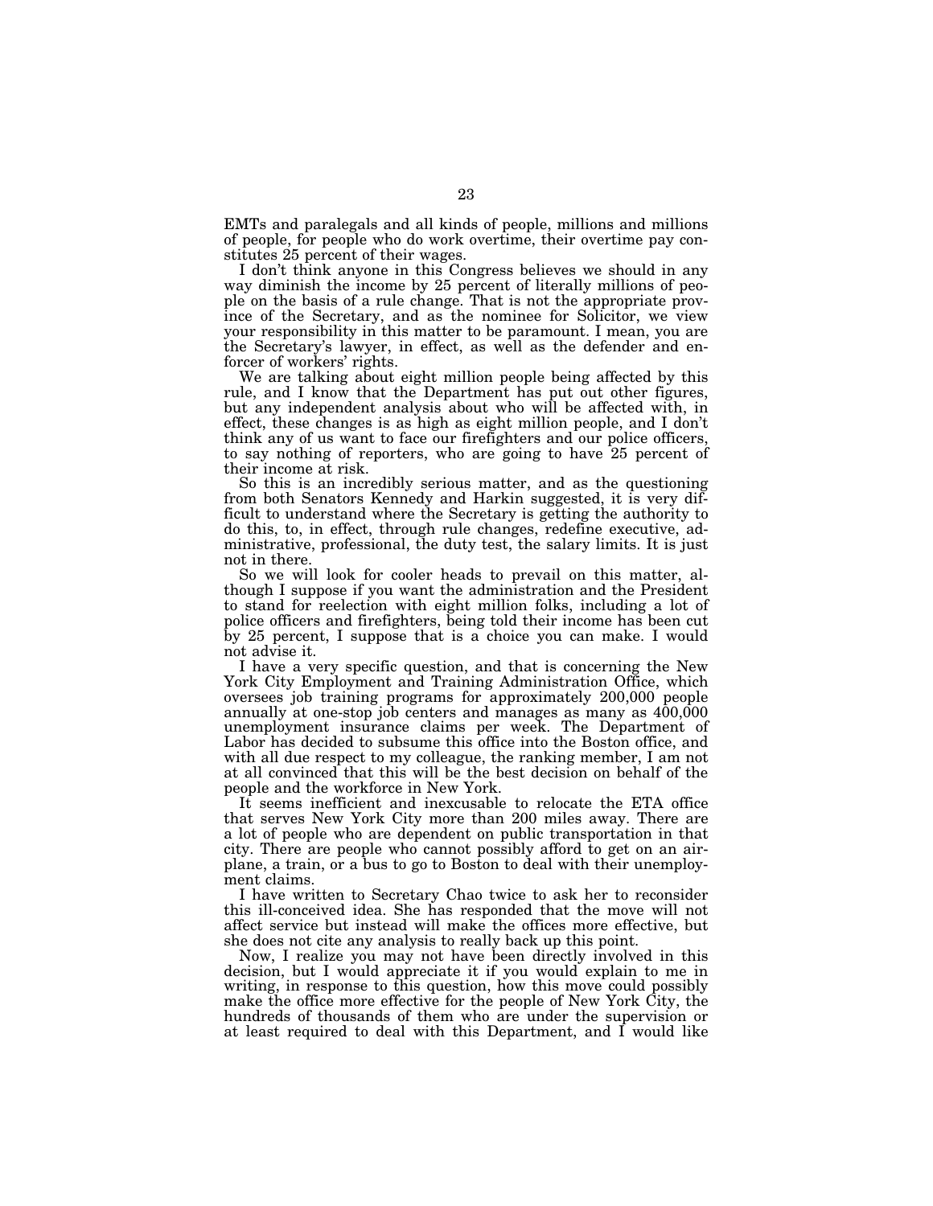EMTs and paralegals and all kinds of people, millions and millions of people, for people who do work overtime, their overtime pay constitutes 25 percent of their wages.

I don't think anyone in this Congress believes we should in any way diminish the income by 25 percent of literally millions of people on the basis of a rule change. That is not the appropriate province of the Secretary, and as the nominee for Solicitor, we view your responsibility in this matter to be paramount. I mean, you are the Secretary's lawyer, in effect, as well as the defender and enforcer of workers' rights.

We are talking about eight million people being affected by this rule, and I know that the Department has put out other figures, but any independent analysis about who will be affected with, in effect, these changes is as high as eight million people, and I don't think any of us want to face our firefighters and our police officers, to say nothing of reporters, who are going to have 25 percent of their income at risk.

So this is an incredibly serious matter, and as the questioning from both Senators Kennedy and Harkin suggested, it is very difficult to understand where the Secretary is getting the authority to do this, to, in effect, through rule changes, redefine executive, administrative, professional, the duty test, the salary limits. It is just not in there.

So we will look for cooler heads to prevail on this matter, although I suppose if you want the administration and the President to stand for reelection with eight million folks, including a lot of police officers and firefighters, being told their income has been cut by 25 percent, I suppose that is a choice you can make. I would not advise it.

I have a very specific question, and that is concerning the New York City Employment and Training Administration Office, which oversees job training programs for approximately 200,000 people annually at one-stop job centers and manages as many as  $400,000$ unemployment insurance claims per week. The Department of Labor has decided to subsume this office into the Boston office, and with all due respect to my colleague, the ranking member, I am not at all convinced that this will be the best decision on behalf of the people and the workforce in New York.

It seems inefficient and inexcusable to relocate the ETA office that serves New York City more than 200 miles away. There are a lot of people who are dependent on public transportation in that city. There are people who cannot possibly afford to get on an airplane, a train, or a bus to go to Boston to deal with their unemployment claims.

I have written to Secretary Chao twice to ask her to reconsider this ill-conceived idea. She has responded that the move will not affect service but instead will make the offices more effective, but she does not cite any analysis to really back up this point.

Now, I realize you may not have been directly involved in this decision, but I would appreciate it if you would explain to me in writing, in response to this question, how this move could possibly make the office more effective for the people of New York City, the hundreds of thousands of them who are under the supervision or at least required to deal with this Department, and I would like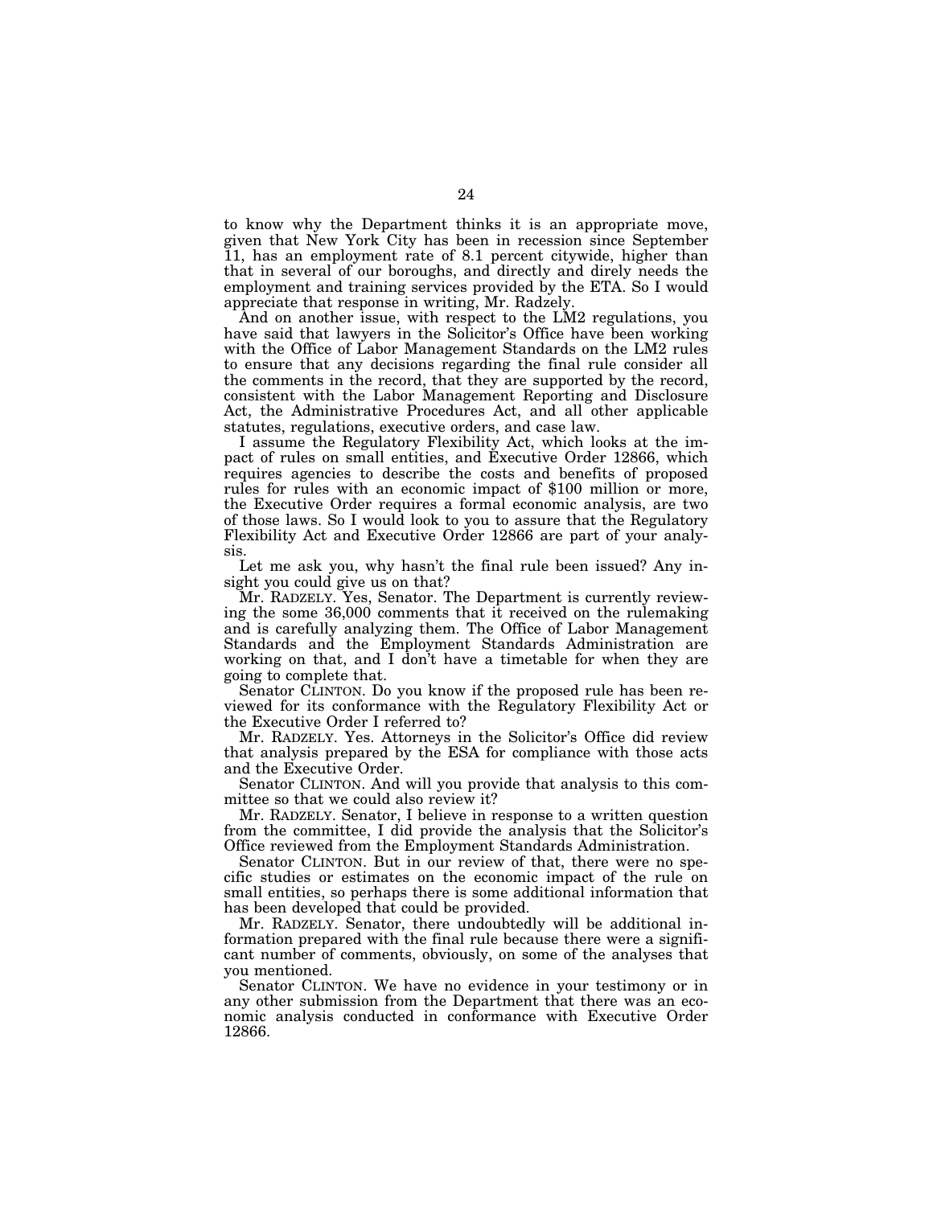to know why the Department thinks it is an appropriate move, given that New York City has been in recession since September 11, has an employment rate of 8.1 percent citywide, higher than that in several of our boroughs, and directly and direly needs the employment and training services provided by the ETA. So I would appreciate that response in writing, Mr. Radzely.

And on another issue, with respect to the LM2 regulations, you have said that lawyers in the Solicitor's Office have been working with the Office of Labor Management Standards on the LM2 rules to ensure that any decisions regarding the final rule consider all the comments in the record, that they are supported by the record, consistent with the Labor Management Reporting and Disclosure Act, the Administrative Procedures Act, and all other applicable statutes, regulations, executive orders, and case law.

I assume the Regulatory Flexibility Act, which looks at the impact of rules on small entities, and Executive Order 12866, which requires agencies to describe the costs and benefits of proposed rules for rules with an economic impact of \$100 million or more, the Executive Order requires a formal economic analysis, are two of those laws. So I would look to you to assure that the Regulatory Flexibility Act and Executive Order 12866 are part of your analysis.

Let me ask you, why hasn't the final rule been issued? Any insight you could give us on that?

Mr. RADZELY. Yes, Senator. The Department is currently reviewing the some 36,000 comments that it received on the rulemaking and is carefully analyzing them. The Office of Labor Management Standards and the Employment Standards Administration are working on that, and I don't have a timetable for when they are going to complete that.

Senator CLINTON. Do you know if the proposed rule has been reviewed for its conformance with the Regulatory Flexibility Act or the Executive Order I referred to?

Mr. RADZELY. Yes. Attorneys in the Solicitor's Office did review that analysis prepared by the ESA for compliance with those acts and the Executive Order.

Senator CLINTON. And will you provide that analysis to this committee so that we could also review it?

Mr. RADZELY. Senator, I believe in response to a written question from the committee, I did provide the analysis that the Solicitor's Office reviewed from the Employment Standards Administration.

Senator CLINTON. But in our review of that, there were no specific studies or estimates on the economic impact of the rule on small entities, so perhaps there is some additional information that has been developed that could be provided.

Mr. RADZELY. Senator, there undoubtedly will be additional information prepared with the final rule because there were a significant number of comments, obviously, on some of the analyses that you mentioned.

Senator CLINTON. We have no evidence in your testimony or in any other submission from the Department that there was an economic analysis conducted in conformance with Executive Order 12866.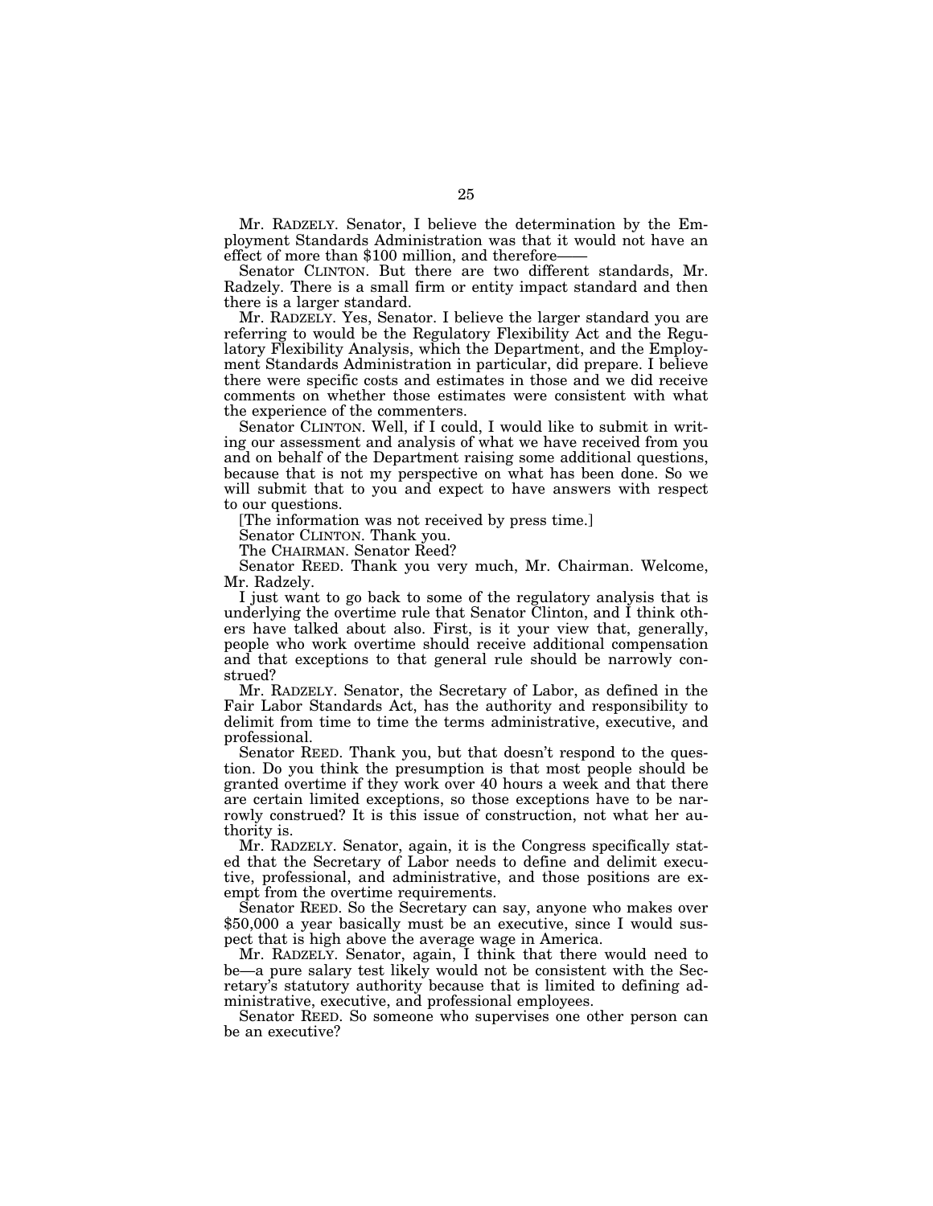Mr. RADZELY. Senator, I believe the determination by the Employment Standards Administration was that it would not have an effect of more than \$100 million, and therefore-

Senator CLINTON. But there are two different standards, Mr. Radzely. There is a small firm or entity impact standard and then there is a larger standard.

Mr. RADZELY. Yes, Senator. I believe the larger standard you are referring to would be the Regulatory Flexibility Act and the Regulatory Flexibility Analysis, which the Department, and the Employment Standards Administration in particular, did prepare. I believe there were specific costs and estimates in those and we did receive comments on whether those estimates were consistent with what the experience of the commenters.

Senator CLINTON. Well, if I could, I would like to submit in writing our assessment and analysis of what we have received from you and on behalf of the Department raising some additional questions, because that is not my perspective on what has been done. So we will submit that to you and expect to have answers with respect to our questions.

[The information was not received by press time.]

Senator CLINTON. Thank you.

The CHAIRMAN. Senator Reed?

Senator REED. Thank you very much, Mr. Chairman. Welcome, Mr. Radzely.

I just want to go back to some of the regulatory analysis that is underlying the overtime rule that Senator Clinton, and I think others have talked about also. First, is it your view that, generally, people who work overtime should receive additional compensation and that exceptions to that general rule should be narrowly construed?

Mr. RADZELY. Senator, the Secretary of Labor, as defined in the Fair Labor Standards Act, has the authority and responsibility to delimit from time to time the terms administrative, executive, and professional.

Senator REED. Thank you, but that doesn't respond to the question. Do you think the presumption is that most people should be granted overtime if they work over 40 hours a week and that there are certain limited exceptions, so those exceptions have to be narrowly construed? It is this issue of construction, not what her authority is.

Mr. RADZELY. Senator, again, it is the Congress specifically stated that the Secretary of Labor needs to define and delimit executive, professional, and administrative, and those positions are exempt from the overtime requirements.

Senator REED. So the Secretary can say, anyone who makes over \$50,000 a year basically must be an executive, since I would suspect that is high above the average wage in America.

Mr. RADZELY. Senator, again, I think that there would need to be—a pure salary test likely would not be consistent with the Secretary's statutory authority because that is limited to defining administrative, executive, and professional employees.

Senator REED. So someone who supervises one other person can be an executive?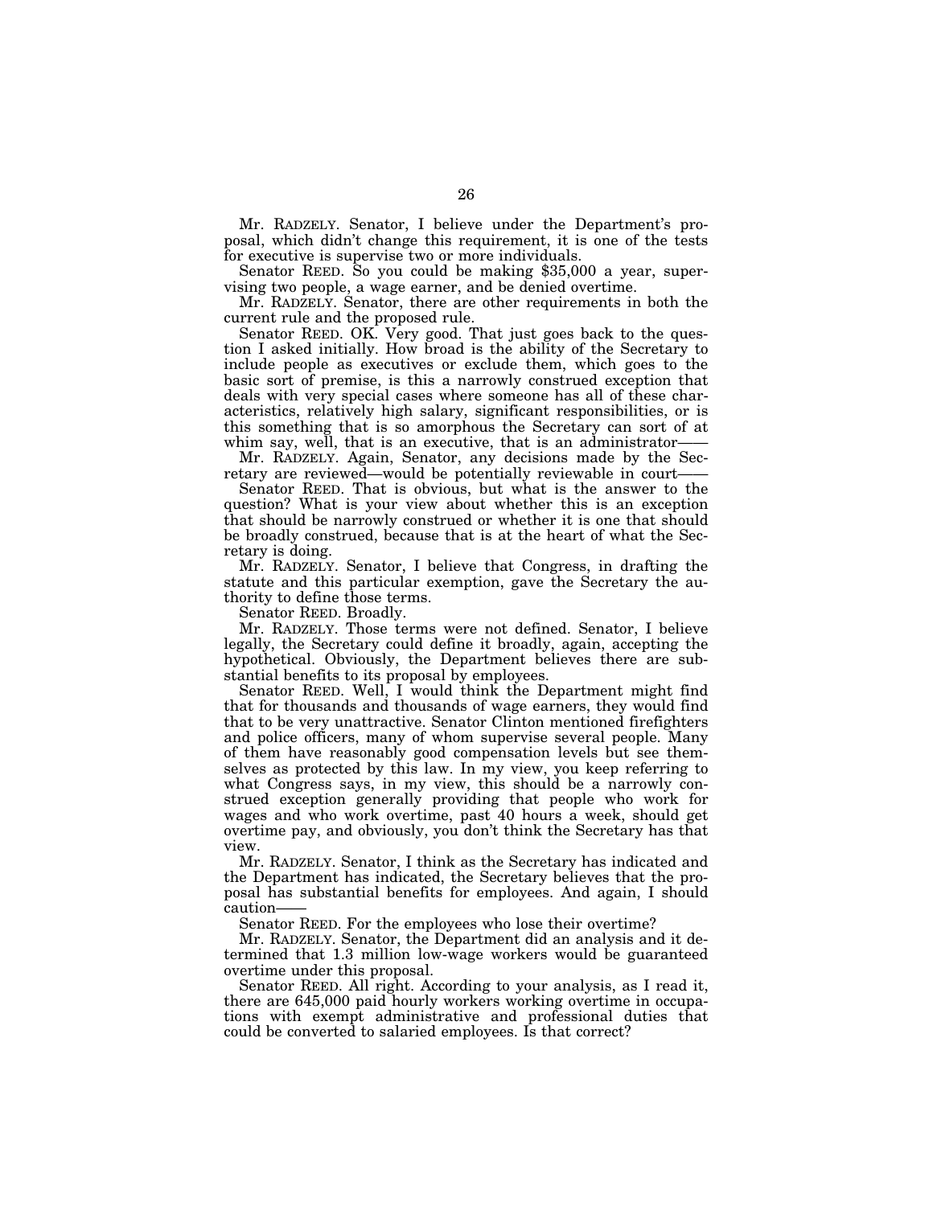Mr. RADZELY. Senator, I believe under the Department's proposal, which didn't change this requirement, it is one of the tests for executive is supervise two or more individuals.

Senator REED. So you could be making \$35,000 a year, supervising two people, a wage earner, and be denied overtime.

Mr. RADZELY. Senator, there are other requirements in both the current rule and the proposed rule.

Senator REED. OK. Very good. That just goes back to the question I asked initially. How broad is the ability of the Secretary to include people as executives or exclude them, which goes to the basic sort of premise, is this a narrowly construed exception that deals with very special cases where someone has all of these characteristics, relatively high salary, significant responsibilities, or is this something that is so amorphous the Secretary can sort of at whim say, well, that is an executive, that is an administrator-

Mr. RADZELY. Again, Senator, any decisions made by the Secretary are reviewed—would be potentially reviewable in court-

Senator REED. That is obvious, but what is the answer to the question? What is your view about whether this is an exception that should be narrowly construed or whether it is one that should be broadly construed, because that is at the heart of what the Secretary is doing.

Mr. RADZELY. Senator, I believe that Congress, in drafting the statute and this particular exemption, gave the Secretary the authority to define those terms.

Senator REED. Broadly.

Mr. RADZELY. Those terms were not defined. Senator, I believe legally, the Secretary could define it broadly, again, accepting the hypothetical. Obviously, the Department believes there are substantial benefits to its proposal by employees.

Senator REED. Well, I would think the Department might find that for thousands and thousands of wage earners, they would find that to be very unattractive. Senator Clinton mentioned firefighters and police officers, many of whom supervise several people. Many of them have reasonably good compensation levels but see themselves as protected by this law. In my view, you keep referring to what Congress says, in my view, this should be a narrowly construed exception generally providing that people who work for wages and who work overtime, past 40 hours a week, should get overtime pay, and obviously, you don't think the Secretary has that view.

Mr. RADZELY. Senator, I think as the Secretary has indicated and the Department has indicated, the Secretary believes that the proposal has substantial benefits for employees. And again, I should caution——

Senator REED. For the employees who lose their overtime?

Mr. RADZELY. Senator, the Department did an analysis and it determined that 1.3 million low-wage workers would be guaranteed overtime under this proposal.

Senator REED. All right. According to your analysis, as I read it, there are 645,000 paid hourly workers working overtime in occupations with exempt administrative and professional duties that could be converted to salaried employees. Is that correct?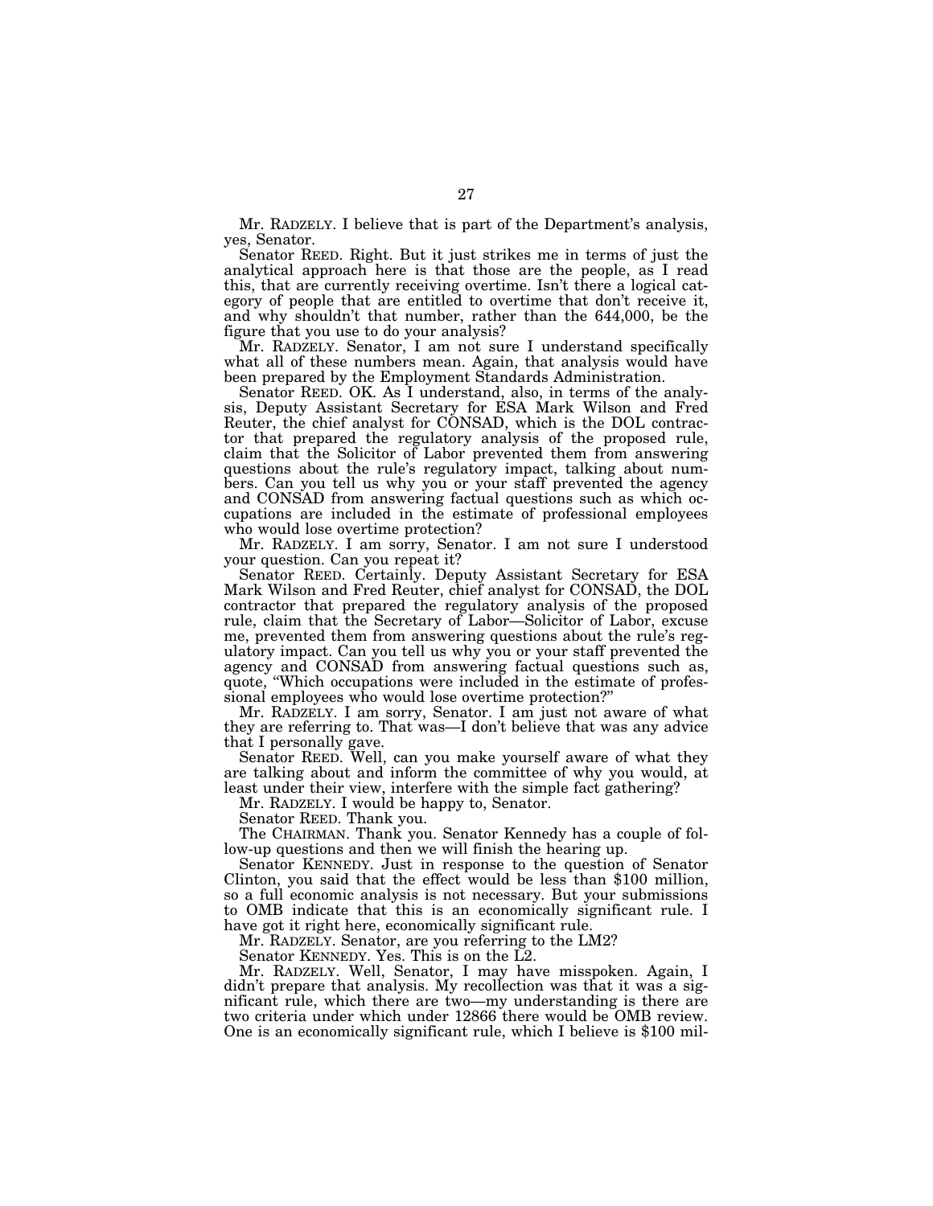Mr. RADZELY. I believe that is part of the Department's analysis, yes, Senator.

Senator REED. Right. But it just strikes me in terms of just the analytical approach here is that those are the people, as I read this, that are currently receiving overtime. Isn't there a logical category of people that are entitled to overtime that don't receive it, and why shouldn't that number, rather than the 644,000, be the figure that you use to do your analysis?

Mr. RADZELY. Senator, I am not sure I understand specifically what all of these numbers mean. Again, that analysis would have been prepared by the Employment Standards Administration.

Senator REED. OK. As I understand, also, in terms of the analysis, Deputy Assistant Secretary for ESA Mark Wilson and Fred Reuter, the chief analyst for CONSAD, which is the DOL contractor that prepared the regulatory analysis of the proposed rule, claim that the Solicitor of Labor prevented them from answering questions about the rule's regulatory impact, talking about numbers. Can you tell us why you or your staff prevented the agency and CONSAD from answering factual questions such as which occupations are included in the estimate of professional employees who would lose overtime protection?

Mr. RADZELY. I am sorry, Senator. I am not sure I understood your question. Can you repeat it?

Senator REED. Certainly. Deputy Assistant Secretary for ESA Mark Wilson and Fred Reuter, chief analyst for CONSAD, the DOL contractor that prepared the regulatory analysis of the proposed rule, claim that the Secretary of Labor—Solicitor of Labor, excuse me, prevented them from answering questions about the rule's regulatory impact. Can you tell us why you or your staff prevented the agency and CONSAD from answering factual questions such as, quote, ''Which occupations were included in the estimate of professional employees who would lose overtime protection?'' Mr. RADZELY. I am sorry, Senator. I am just not aware of what

they are referring to. That was—I don't believe that was any advice that I personally gave.

Senator REED. Well, can you make yourself aware of what they are talking about and inform the committee of why you would, at least under their view, interfere with the simple fact gathering?

Mr. RADZELY. I would be happy to, Senator.

Senator REED. Thank you.

The CHAIRMAN. Thank you. Senator Kennedy has a couple of follow-up questions and then we will finish the hearing up.

Senator KENNEDY. Just in response to the question of Senator Clinton, you said that the effect would be less than \$100 million, so a full economic analysis is not necessary. But your submissions to OMB indicate that this is an economically significant rule. I have got it right here, economically significant rule.

Mr. RADZELY. Senator, are you referring to the LM2?

Senator KENNEDY. Yes. This is on the L2.

Mr. RADZELY. Well, Senator, I may have misspoken. Again, I didn't prepare that analysis. My recollection was that it was a significant rule, which there are two—my understanding is there are two criteria under which under 12866 there would be OMB review. One is an economically significant rule, which I believe is \$100 mil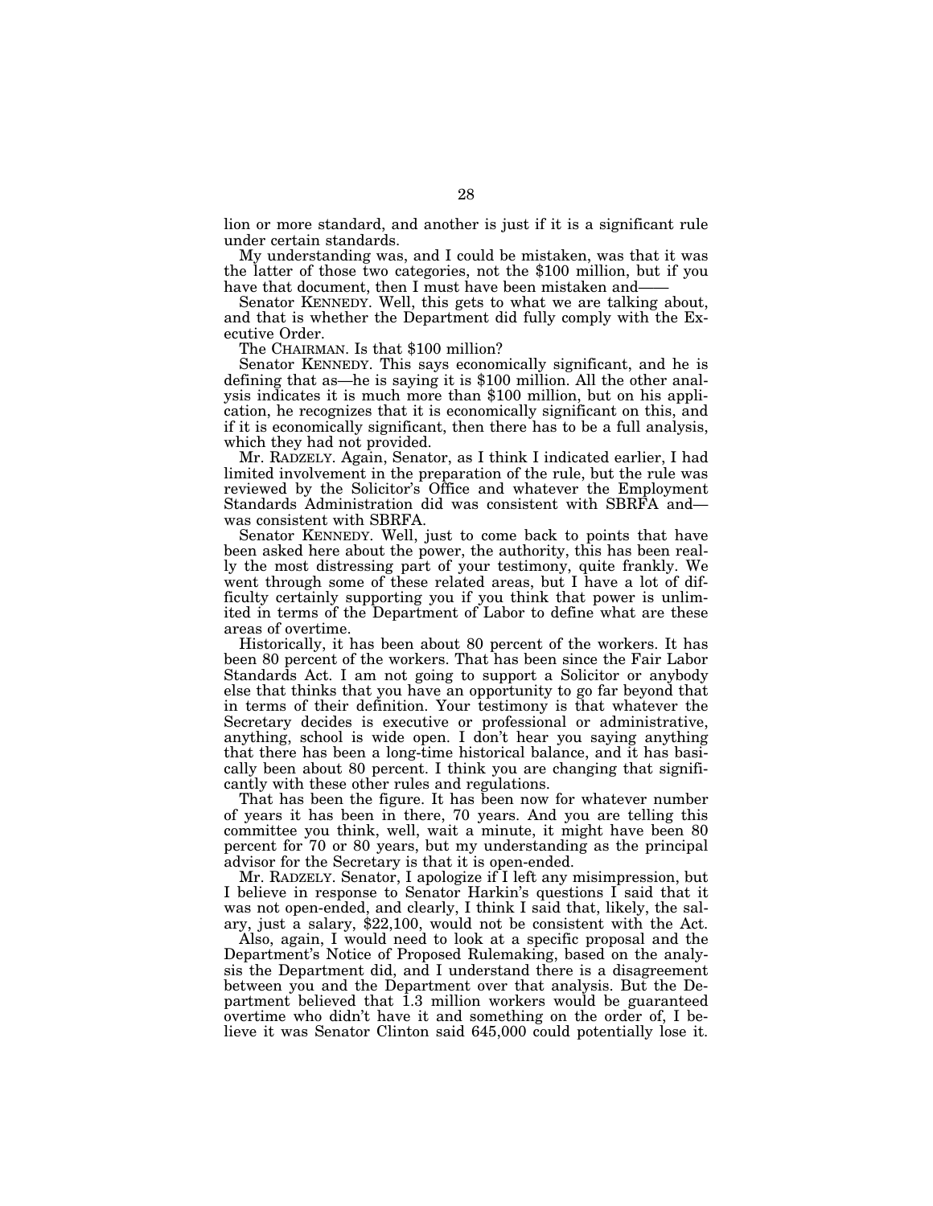lion or more standard, and another is just if it is a significant rule under certain standards.

My understanding was, and I could be mistaken, was that it was the latter of those two categories, not the \$100 million, but if you have that document, then I must have been mistaken and-

Senator KENNEDY. Well, this gets to what we are talking about, and that is whether the Department did fully comply with the Executive Order.

The CHAIRMAN. Is that \$100 million?

Senator KENNEDY. This says economically significant, and he is defining that as—he is saying it is \$100 million. All the other analysis indicates it is much more than \$100 million, but on his application, he recognizes that it is economically significant on this, and if it is economically significant, then there has to be a full analysis, which they had not provided.

Mr. RADZELY. Again, Senator, as I think I indicated earlier, I had limited involvement in the preparation of the rule, but the rule was reviewed by the Solicitor's Office and whatever the Employment Standards Administration did was consistent with SBRFA and was consistent with SBRFA.

Senator KENNEDY. Well, just to come back to points that have been asked here about the power, the authority, this has been really the most distressing part of your testimony, quite frankly. We went through some of these related areas, but I have a lot of difficulty certainly supporting you if you think that power is unlimited in terms of the Department of Labor to define what are these areas of overtime.

Historically, it has been about 80 percent of the workers. It has been 80 percent of the workers. That has been since the Fair Labor Standards Act. I am not going to support a Solicitor or anybody else that thinks that you have an opportunity to go far beyond that in terms of their definition. Your testimony is that whatever the Secretary decides is executive or professional or administrative, anything, school is wide open. I don't hear you saying anything that there has been a long-time historical balance, and it has basically been about 80 percent. I think you are changing that significantly with these other rules and regulations.

That has been the figure. It has been now for whatever number of years it has been in there, 70 years. And you are telling this committee you think, well, wait a minute, it might have been 80 percent for 70 or 80 years, but my understanding as the principal advisor for the Secretary is that it is open-ended.

Mr. RADZELY. Senator, I apologize if I left any misimpression, but I believe in response to Senator Harkin's questions I said that it was not open-ended, and clearly, I think I said that, likely, the salary, just a salary, \$22,100, would not be consistent with the Act.

Also, again, I would need to look at a specific proposal and the Department's Notice of Proposed Rulemaking, based on the analysis the Department did, and I understand there is a disagreement between you and the Department over that analysis. But the Department believed that 1.3 million workers would be guaranteed overtime who didn't have it and something on the order of, I believe it was Senator Clinton said 645,000 could potentially lose it.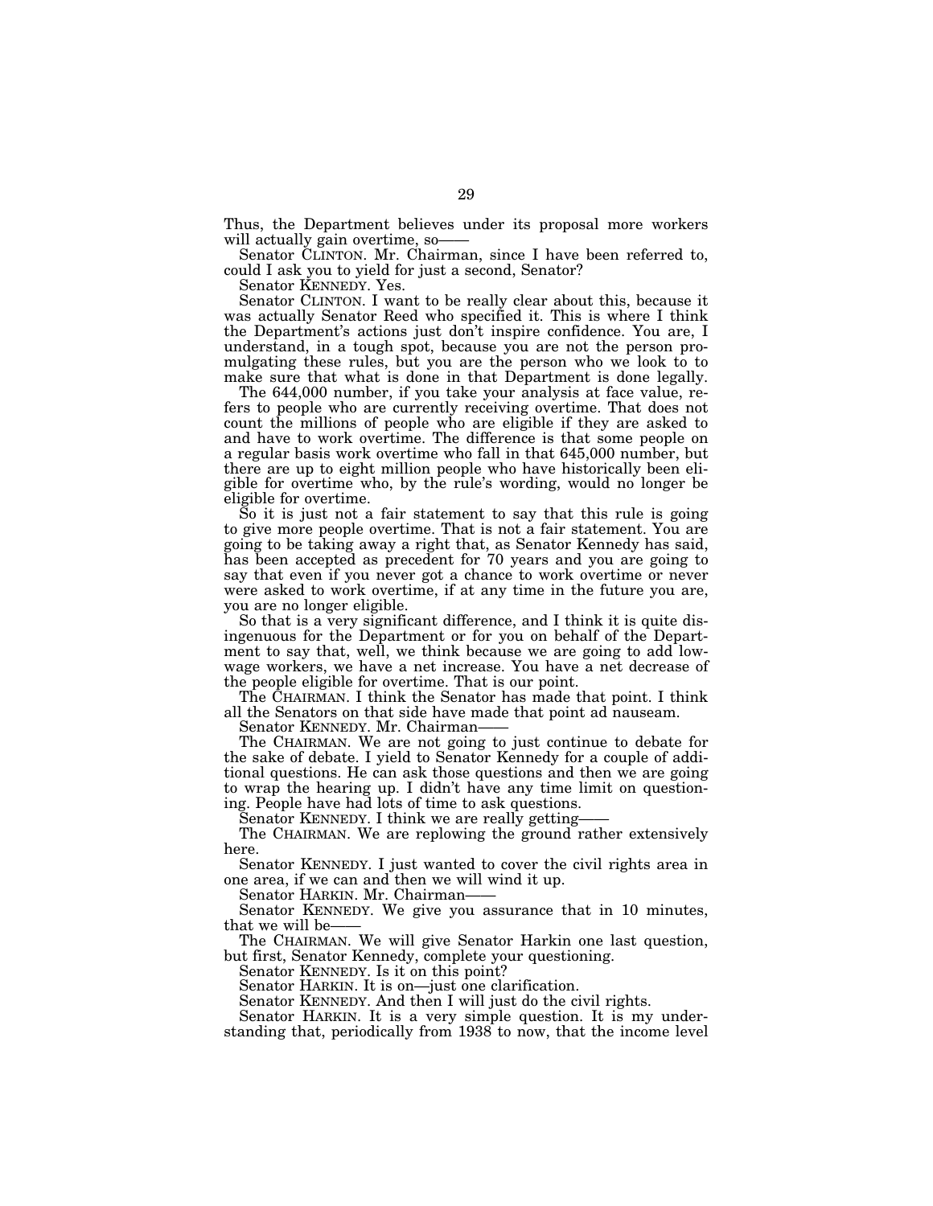Thus, the Department believes under its proposal more workers

Senator CLINTON. Mr. Chairman, since I have been referred to, could I ask you to yield for just a second, Senator?

Senator KENNEDY. Yes.

Senator CLINTON. I want to be really clear about this, because it was actually Senator Reed who specified it. This is where I think the Department's actions just don't inspire confidence. You are, I understand, in a tough spot, because you are not the person promulgating these rules, but you are the person who we look to to make sure that what is done in that Department is done legally.

The 644,000 number, if you take your analysis at face value, refers to people who are currently receiving overtime. That does not count the millions of people who are eligible if they are asked to and have to work overtime. The difference is that some people on a regular basis work overtime who fall in that 645,000 number, but there are up to eight million people who have historically been eligible for overtime who, by the rule's wording, would no longer be eligible for overtime.

So it is just not a fair statement to say that this rule is going to give more people overtime. That is not a fair statement. You are going to be taking away a right that, as Senator Kennedy has said, has been accepted as precedent for 70 years and you are going to say that even if you never got a chance to work overtime or never were asked to work overtime, if at any time in the future you are, you are no longer eligible.

So that is a very significant difference, and I think it is quite disingenuous for the Department or for you on behalf of the Department to say that, well, we think because we are going to add lowwage workers, we have a net increase. You have a net decrease of the people eligible for overtime. That is our point.

The CHAIRMAN. I think the Senator has made that point. I think all the Senators on that side have made that point ad nauseam.

Senator KENNEDY. Mr. Chairman——

The CHAIRMAN. We are not going to just continue to debate for the sake of debate. I yield to Senator Kennedy for a couple of additional questions. He can ask those questions and then we are going to wrap the hearing up. I didn't have any time limit on questioning. People have had lots of time to ask questions.

Senator KENNEDY. I think we are really getting-

The CHAIRMAN. We are replowing the ground rather extensively here.

Senator KENNEDY. I just wanted to cover the civil rights area in one area, if we can and then we will wind it up.

Senator HARKIN. Mr. Chairman——

Senator KENNEDY. We give you assurance that in 10 minutes, that we will be-

The CHAIRMAN. We will give Senator Harkin one last question, but first, Senator Kennedy, complete your questioning.

Senator KENNEDY. Is it on this point?

Senator HARKIN. It is on—just one clarification.

Senator KENNEDY. And then I will just do the civil rights.

Senator HARKIN. It is a very simple question. It is my understanding that, periodically from 1938 to now, that the income level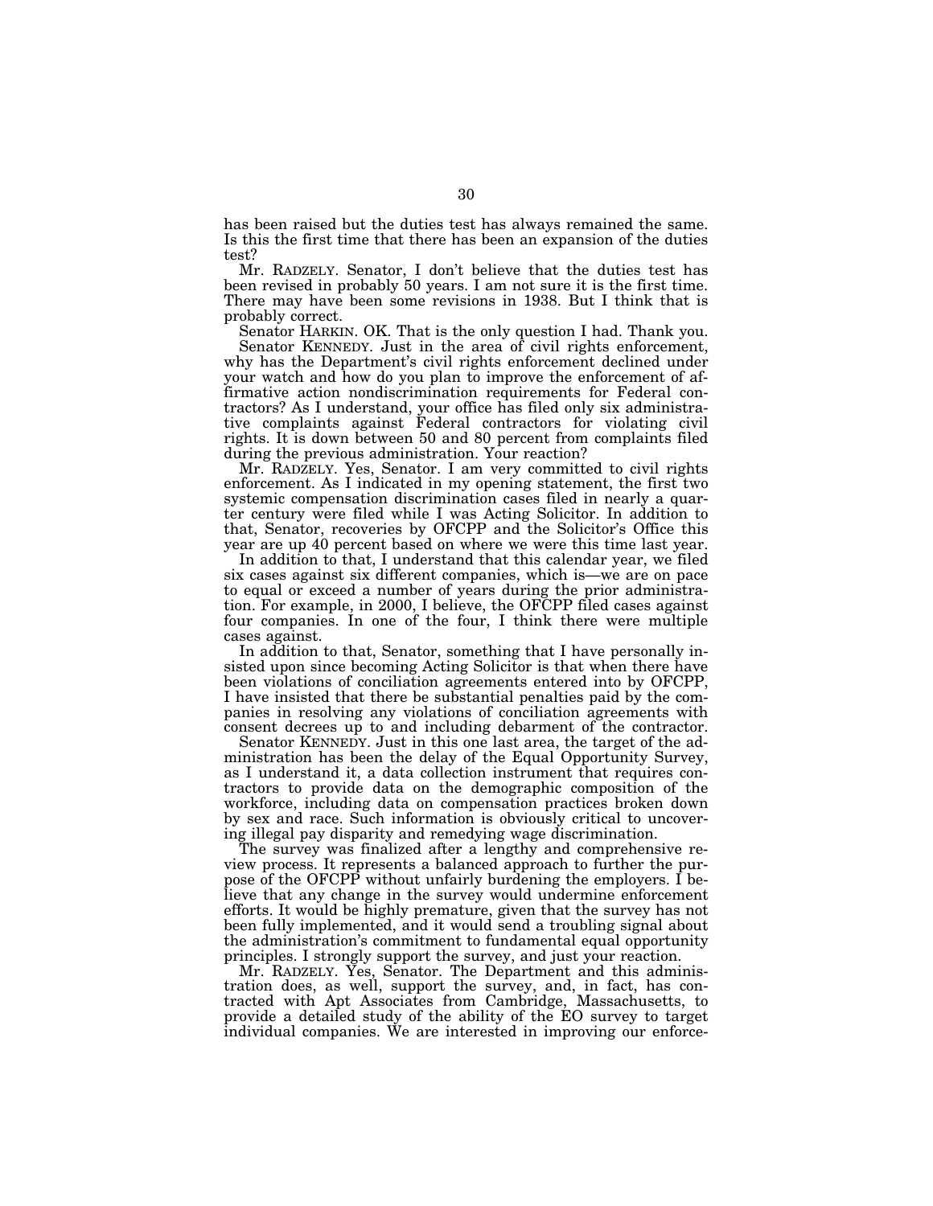has been raised but the duties test has always remained the same. Is this the first time that there has been an expansion of the duties test?

Mr. RADZELY. Senator, I don't believe that the duties test has been revised in probably 50 years. I am not sure it is the first time. There may have been some revisions in 1938. But I think that is probably correct.

Senator HARKIN. OK. That is the only question I had. Thank you.

Senator KENNEDY. Just in the area of civil rights enforcement, why has the Department's civil rights enforcement declined under your watch and how do you plan to improve the enforcement of affirmative action nondiscrimination requirements for Federal contractors? As I understand, your office has filed only six administrative complaints against Federal contractors for violating civil rights. It is down between 50 and 80 percent from complaints filed during the previous administration. Your reaction?

Mr. RADZELY. Yes, Senator. I am very committed to civil rights enforcement. As I indicated in my opening statement, the first two systemic compensation discrimination cases filed in nearly a quarter century were filed while I was Acting Solicitor. In addition to that, Senator, recoveries by OFCPP and the Solicitor's Office this year are up 40 percent based on where we were this time last year.

In addition to that, I understand that this calendar year, we filed six cases against six different companies, which is—we are on pace to equal or exceed a number of years during the prior administration. For example, in 2000, I believe, the OFCPP filed cases against four companies. In one of the four, I think there were multiple cases against.

In addition to that, Senator, something that I have personally insisted upon since becoming Acting Solicitor is that when there have been violations of conciliation agreements entered into by OFCPP, I have insisted that there be substantial penalties paid by the companies in resolving any violations of conciliation agreements with consent decrees up to and including debarment of the contractor.

Senator KENNEDY. Just in this one last area, the target of the administration has been the delay of the Equal Opportunity Survey, as I understand it, a data collection instrument that requires contractors to provide data on the demographic composition of the workforce, including data on compensation practices broken down by sex and race. Such information is obviously critical to uncovering illegal pay disparity and remedying wage discrimination.

The survey was finalized after a lengthy and comprehensive review process. It represents a balanced approach to further the purpose of the OFCPP without unfairly burdening the employers. I believe that any change in the survey would undermine enforcement efforts. It would be highly premature, given that the survey has not been fully implemented, and it would send a troubling signal about the administration's commitment to fundamental equal opportunity principles. I strongly support the survey, and just your reaction.

Mr. RADZELY. Yes, Senator. The Department and this administration does, as well, support the survey, and, in fact, has contracted with Apt Associates from Cambridge, Massachusetts, to provide a detailed study of the ability of the EO survey to target individual companies. We are interested in improving our enforce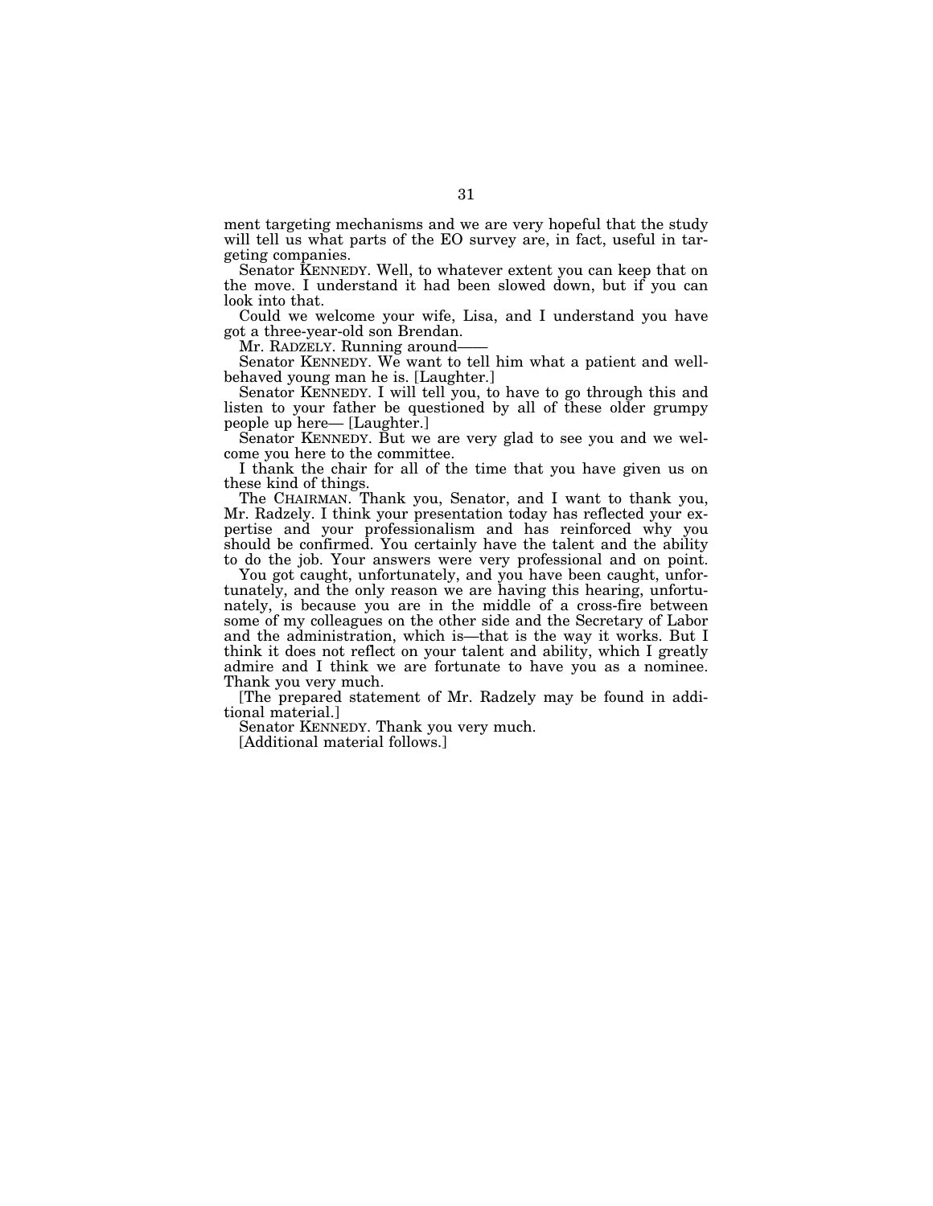ment targeting mechanisms and we are very hopeful that the study will tell us what parts of the EO survey are, in fact, useful in targeting companies.

Senator KENNEDY. Well, to whatever extent you can keep that on the move. I understand it had been slowed down, but if you can look into that.

Could we welcome your wife, Lisa, and I understand you have got a three-year-old son Brendan.

Senator KENNEDY. We want to tell him what a patient and wellbehaved young man he is. [Laughter.]

Senator KENNEDY. I will tell you, to have to go through this and listen to your father be questioned by all of these older grumpy people up here— [Laughter.]

Senator KENNEDY. But we are very glad to see you and we welcome you here to the committee.

I thank the chair for all of the time that you have given us on these kind of things.

The CHAIRMAN. Thank you, Senator, and I want to thank you, Mr. Radzely. I think your presentation today has reflected your expertise and your professionalism and has reinforced why you should be confirmed. You certainly have the talent and the ability to do the job. Your answers were very professional and on point.

You got caught, unfortunately, and you have been caught, unfortunately, and the only reason we are having this hearing, unfortunately, is because you are in the middle of a cross-fire between some of my colleagues on the other side and the Secretary of Labor and the administration, which is—that is the way it works. But I think it does not reflect on your talent and ability, which I greatly admire and I think we are fortunate to have you as a nominee. Thank you very much.

[The prepared statement of Mr. Radzely may be found in additional material.]

Senator KENNEDY. Thank you very much.

[Additional material follows.]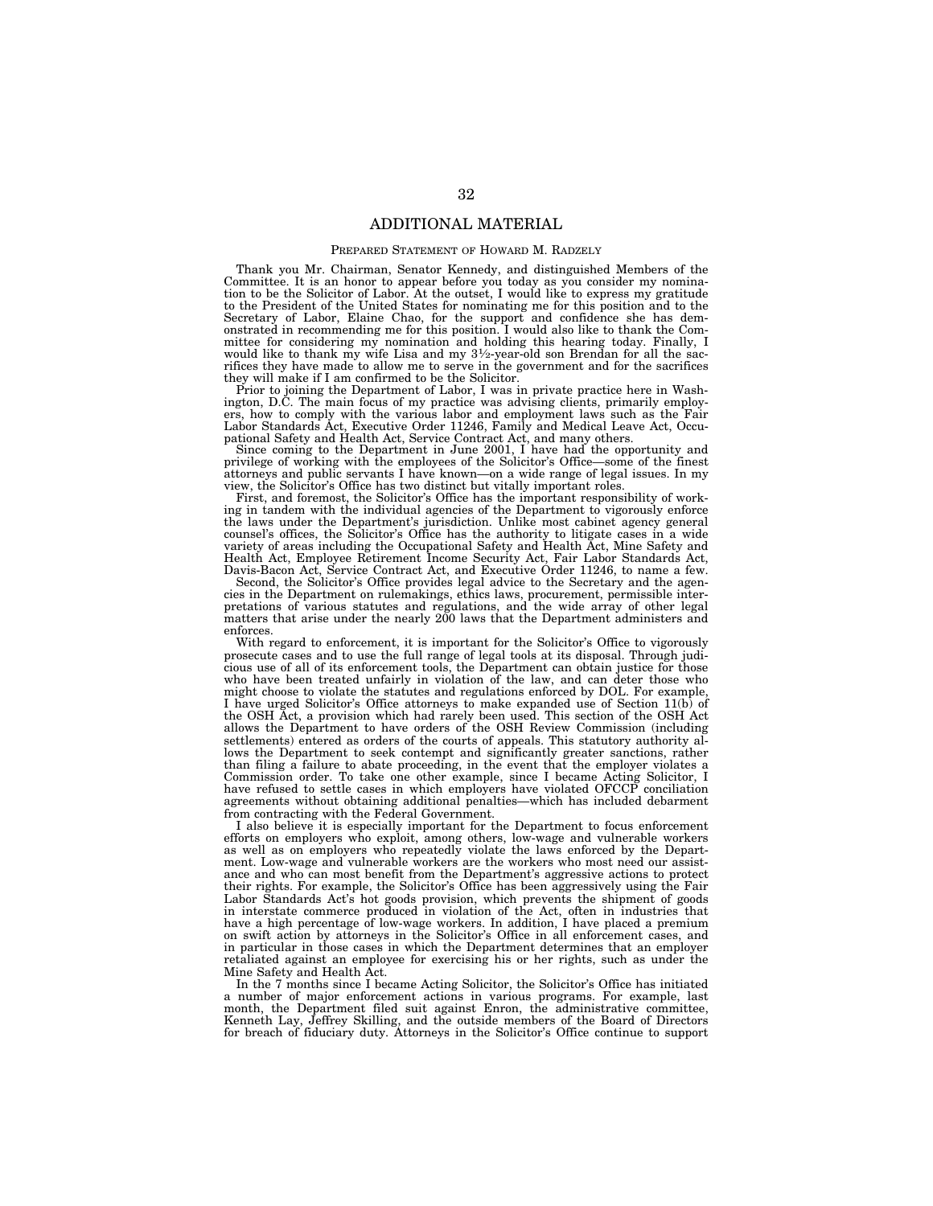# ADDITIONAL MATERIAL

## PREPARED STATEMENT OF HOWARD M. RADZELY

Thank you Mr. Chairman, Senator Kennedy, and distinguished Members of the Committee. It is an honor to appear before you today as you consider my nomination to be the Solicitor of Labor. At the outset, I would like to express my gratitude to the President of the United States for nominating me for this position and to the Secretary of Labor, Elaine Chao, for the support and confidence she has dem-onstrated in recommending me for this position. I would also like to thank the Committee for considering my nomination and holding this hearing today. Finally, I would like to thank my wife Lisa and my  $3\frac{1}{2}$ -year-old son Brendan for all the sacrifices they have made to allow me to serve in the government and for the sacrifices they will make if I am confirmed to be the Solicitor.

Prior to joining the Department of Labor, I was in private practice here in Washington, D.C. The main focus of my practice was advising clients, primarily employers, how to comply with the various labor and employment laws such as the Fair Labor Standards Act, Executive Order 11246, Family and Medical Leave Act, Occupational Safety and Health Act, Service Contract Act, and many others.

Since coming to the Department in June 2001, I have had the opportunity and privilege of working with the employees of the Solicitor's Office—some of the finest attorneys and public servants I have known—on a wide range of legal issues. In my view, the Solicitor's Office has two distinct but vitally important roles.

First, and foremost, the Solicitor's Office has the important responsibility of working in tandem with the individual agencies of the Department to vigorously enforce the laws under the Department's jurisdiction. Unlike most cabinet agency general counsel's offices, the Solicitor's Office has the authority to litigate cases in a wide variety of areas including the Occupational Safety and Health Act, Mine Safety and Health Act, Employee Retirement Income Security Act, Fair Labor Standards Act, Davis-Bacon Act, Service Contract Act, and Executive Order 11246, to name a few.

Second, the Solicitor's Office provides legal advice to the Secretary and the agencies in the Department on rulemakings, ethics laws, procurement, permissible inter-pretations of various statutes and regulations, and the wide array of other legal matters that arise under the nearly 200 laws that the Department administers and enforces.

With regard to enforcement, it is important for the Solicitor's Office to vigorously prosecute cases and to use the full range of legal tools at its disposal. Through judicious use of all of its enforcement tools, the Department can obtain justice for those who have been treated unfairly in violation of the law, and can deter those who might choose to violate the statutes and regulations enforced by DOL. For example, I have urged Solicitor's Office attorneys to make expanded use of Section 11(b) of the OSH Act, a provision which had rarely been used. This section of the OSH Act allows the Department to have orders of the OSH Review Commission (including settlements) entered as orders of the courts of appeals. This statutory authority allows the Department to seek contempt and significantly greater sanctions, rather than filing a failure to abate proceeding, in the event that the employer violates a Commission order. To take one other example, since I became Acting Solicitor, I have refused to settle cases in which employers have violated OFCCP conciliation agreements without obtaining additional penalties—which has included debarment from contracting with the Federal Government.

I also believe it is especially important for the Department to focus enforcement efforts on employers who exploit, among others, low-wage and vulnerable workers as well as on employers who repeatedly violate the laws enforced by the Department. Low-wage and vulnerable workers are the workers who most need our assistance and who can most benefit from the Department's aggressive actions to protect their rights. For example, the Solicitor's Office has been aggressively using the Fair Labor Standards Act's hot goods provision, which prevents the shipment of goods in interstate commerce produced in violation of the Act, often in industries that have a high percentage of low-wage workers. In addition, I have placed a premium on swift action by attorneys in the Solicitor's Office in all enforcement cases, and in particular in those cases in which the Department determines that an employer retaliated against an employee for exercising his or her rights, such as under the Mine Safety and Health Act.

In the 7 months since I became Acting Solicitor, the Solicitor's Office has initiated a number of major enforcement actions in various programs. For example, last month, the Department filed suit against Enron, the administrative committee, Kenneth Lay, Jeffrey Skilling, and the outside members of the Board of Directors for breach of fiduciary duty. Attorneys in the Solicitor's Office continue to support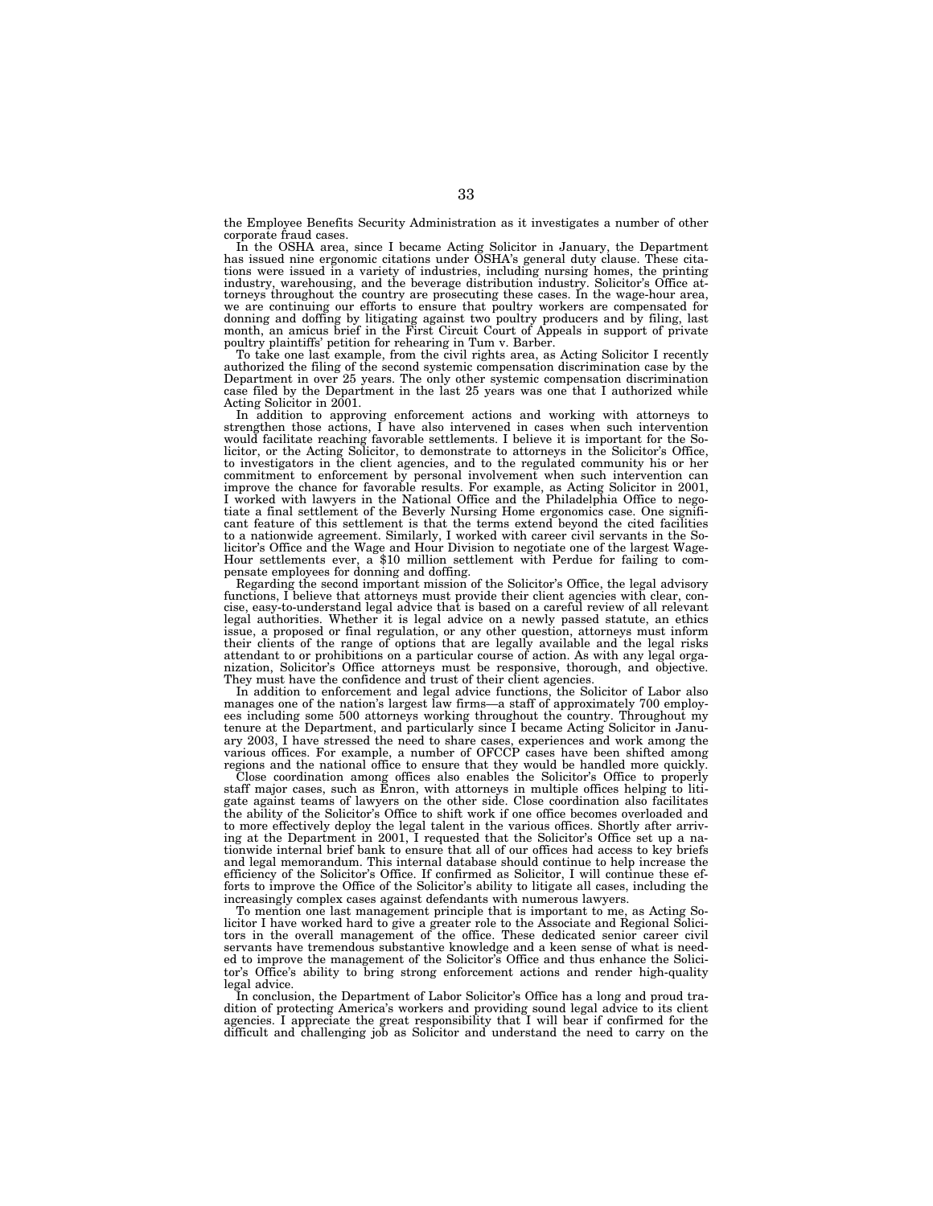the Employee Benefits Security Administration as it investigates a number of other corporate fraud cases.

In the OSHA area, since I became Acting Solicitor in January, the Department has issued nine ergonomic citations under OSHA's general duty clause. These citations were issued in a variety of industries, including nursing homes, the printing industry, warehousing, and the beverage distribution industry. Solicitor's Office attorneys throughout the country are prosecuting these cases. In the wage-hour area, we are continuing our efforts to ensure that poultry workers are compensated for donning and doffing by litigating against two poultry producers and by filing, last month, an amicus brief in the First Circuit Court of Appeals in support of private poultry plaintiffs' petition for rehearing in Tum v. Barber.

To take one last example, from the civil rights area, as Acting Solicitor I recently authorized the filing of the second systemic compensation discrimination case by the Department in over 25 years. The only other systemic compensation discrimination case filed by the Department in the last 25 years was one that I authorized while Acting Solicitor in 2001.

In addition to approving enforcement actions and working with attorneys to strengthen those actions, I have also intervened in cases when such intervention would facilitate reaching favorable settlements. I believe it is important for the Solicitor, or the Acting Solicitor, to demonstrate to attorneys in the Solicitor's Office, to investigators in the client agencies, and to the regulated community his or her commitment to enforcement by personal involvement when such intervention can improve the chance for favorable results. For example, as Acting Solicitor in 2001, I worked with lawyers in the National Office and the Philadelphia Office to nego-tiate a final settlement of the Beverly Nursing Home ergonomics case. One significant feature of this settlement is that the terms extend beyond the cited facilities to a nationwide agreement. Similarly, I worked with career civil servants in the So-<br>licitor's Office and the Wage and Hour Division to negotiate one of the largest Wagelicitor's Office and the Wage and Hour Division to negotiate one of the largest Wage- Hour settlements ever, a \$10 million settlement with Perdue for failing to com-pensate employees for donning and doffing.

Regarding the second important mission of the Solicitor's Office, the legal advisory functions, I believe that attorneys must provide their client agencies with clear, concise, easy-to-understand legal advice that is based on a careful review of all relevant legal authorities. Whether it is legal advice on a newly passed statute, an ethics<br>issue, a proposed or final regulation, or any other question, attorneys must inform<br>their clients of the range of options that are legally attendant to or prohibitions on a particular course of action. As with any legal organization, Solicitor's Office attorneys must be responsive, thorough, and objective. They must have the confidence and trust of their client agencies.

In addition to enforcement and legal advice functions, the Solicitor of Labor also m didn't be substituted that the second in the second of approximately 700 employees including some 500 attorneys working throughout the country. Throughout my tenure at the Department, and particularly since I became Acting Solicitor in January 2003, I have stressed the need to share cases, experiences and work among the various offices. For example, a number of OFCCP cases have been shifted among regions and the national office to ensure that they would be handled more quickly.

Close coordination among offices also enables the Solicitor's Office to properly staff major cases, such as Enron, with attorneys in multiple offices helping to litigate against teams of lawyers on the other side. Close coordination also facilitates the ability of the Solicitor's Office to shift work if one office becomes overloaded and to more effectively deploy the legal talent in the various offices. Shortly after arriving at the Department in 2001, I requested that the Solicitor's Office set up a nationwide internal brief bank to ensure that all of our offices had access to key briefs and legal memorandum. This internal database should continue to help increase the efficiency of the Solicitor's Office. If confirmed as Solicitor, I will continue these efforts to improve the Office of the Solicitor's ability to litigate all cases, including the increasingly complex cases against defendants with numerous lawyers.

To mention one last management principle that is important to me, as Acting Solicitor I have worked hard to give a greater role to the Associate and Regional Solicitors in the overall management of the office. These dedicated senior career civil servants have tremendous substantive knowledge and a keen sense of what is needed to improve the management of the Solicitor's Office and thus enhance the Solicitor's Office's ability to bring strong enforcement actions and render high-quality legal advice.

In conclusion, the Department of Labor Solicitor's Office has a long and proud tradition of protecting America's workers and providing sound legal advice to its client agencies. I appreciate the great responsibility that I will bear if confirmed for the difficult and challenging job as Solicitor and understand the need to carry on the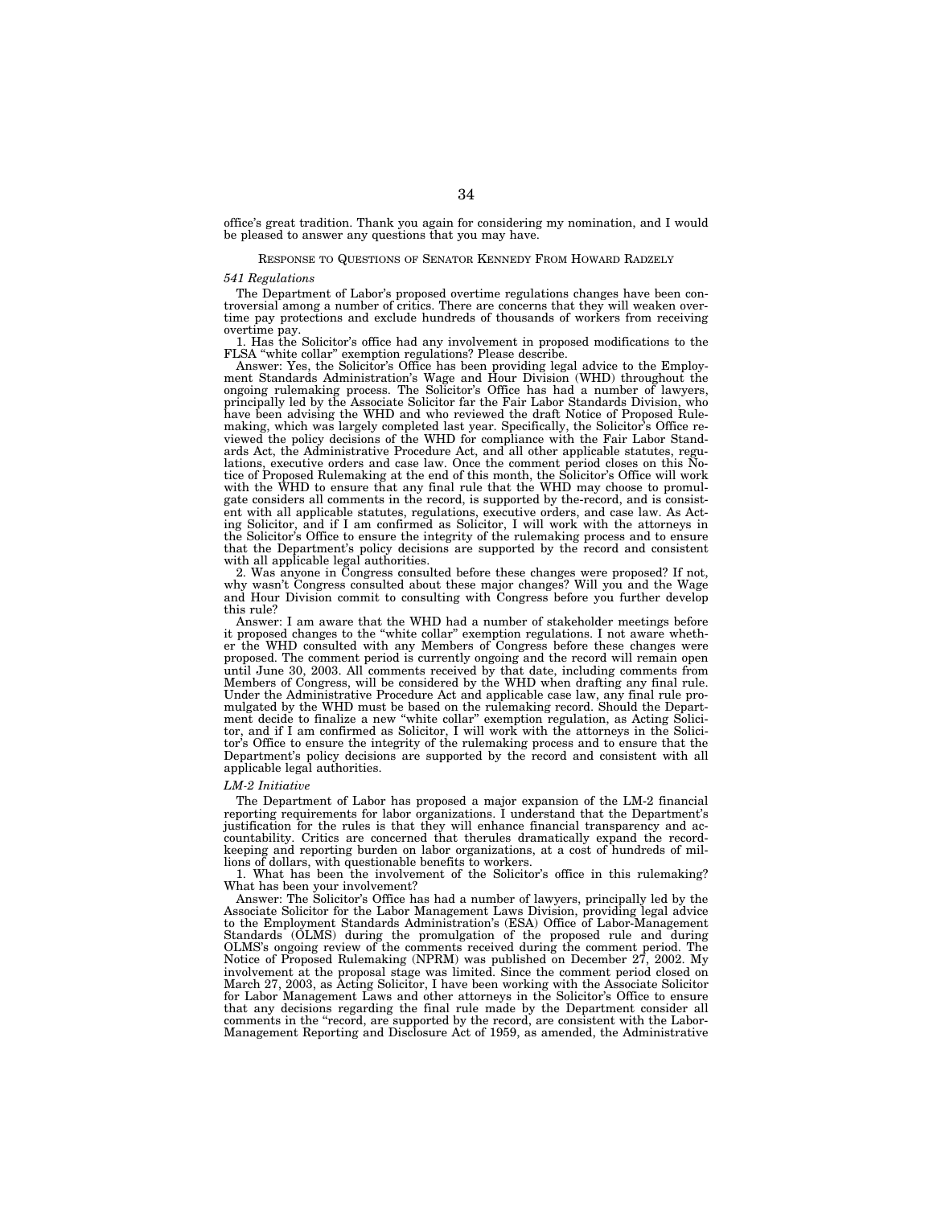office's great tradition. Thank you again for considering my nomination, and I would be pleased to answer any questions that you may have.

## RESPONSE TO QUESTIONS OF SENATOR KENNEDY FROM HOWARD RADZELY

#### *541 Regulations*

The Department of Labor's proposed overtime regulations changes have been controversial among a number of critics. There are concerns that they will weaken overtime pay protections and exclude hundreds of thousands of workers from receiving overtime pay.

1. Has the Solicitor's office had any involvement in proposed modifications to the FLSA "white collar" exemption regulations? Please describe.

Answer: Yes, the Solicitor's Office has been providing legal advice to the Employment Standards Administration's Wage and Hour Division (WHD) throughout the ongoing rulemaking process. The Solicitor's Office has had a number of lawyers, principally led by the Associate Solicitor far the Fair Labor Standards Division, who have been advising the WHD and who reviewed the draft Notice of Proposed Rulemaking, which was largely completed last year. Specifically, the Solicitor's Office reviewed the policy decisions of the WHD for compliance with the Fair Labor Standards Act, the Administrative Procedure Act, and all other applicable statutes, regulations, executive orders and case law. Once the comment period closes on this Notice of Proposed Rulemaking at the end of this month, the Solicitor's Office will work with the WHD to ensure that any final rule that the WHD may choose to promulgate considers all comments in the record, is supported by the-record, and is consistent with all applicable statutes, regulations, executive orders, and case law. As Acting Solicitor, and if I am confirmed as Solicitor, I will work with the attorneys in the Solicitor's Office to ensure the integrity of the rulemaking process and to ensure that the Department's policy decisions are supported by the record and consistent with all applicable legal authorities.

2. Was anyone in Congress consulted before these changes were proposed? If not, why wasn't Congress consulted about these major changes? Will you and the Wage and Hour Division commit to consulting with Congress before you further develop this rule?

Answer: I am aware that the WHD had a number of stakeholder meetings before it proposed changes to the ''white collar'' exemption regulations. I not aware whether the WHD consulted with any Members of Congress before these changes were proposed. The comment period is currently ongoing and the record will remain open until June 30, 2003. All comments received by that date, including comments from Members of Congress, will be considered by the WHD when drafting any final rule. Under the Administrative Procedure Act and applicable case law, any final rule promulgated by the WHD must be based on the rulemaking record. Should the Department decide to finalize a new ''white collar'' exemption regulation, as Acting Solicitor, and if I am confirmed as Solicitor, I will work with the attorneys in the Solicitor's Office to ensure the integrity of the rulemaking process and to ensure that the Department's policy decisions are supported by the record and consistent with all applicable legal authorities.

### *LM-2 Initiative*

The Department of Labor has proposed a major expansion of the LM-2 financial reporting requirements for labor organizations. I understand that the Department's justification for the rules is that they will enhance financial transparency and accountability. Critics are concerned that therules dramatically expand the recordkeeping and reporting burden on labor organizations, at a cost of hundreds of millions of dollars, with questionable benefits to workers.

1. What has been the involvement of the Solicitor's office in this rulemaking? What has been your involvement?

Answer: The Solicitor's Office has had a number of lawyers, principally led by the Associate Solicitor for the Labor Management Laws Division, providing legal advice to the Employment Standards Administration's (ESA) Office of Labor-Management Standards (OLMS) during the promulgation of the proposed rule and during OLMS's ongoing review of the comments received during the comment period. The Notice of Proposed Rulemaking (NPRM) was published on December 27, 2002. My involvement at the proposal stage was limited. Since the comment period closed on March 27, 2003, as Acting Solicitor, I have been working with the Associate Solicitor for Labor Management Laws and other attorneys in the Solicitor's Office to ensure that any decisions regarding the final rule made by the Department consider all comments in the "record, are supported by the record, are consistent with the Labor-Management Reporting and Disclosure Act of 1959, as amended, the Administrative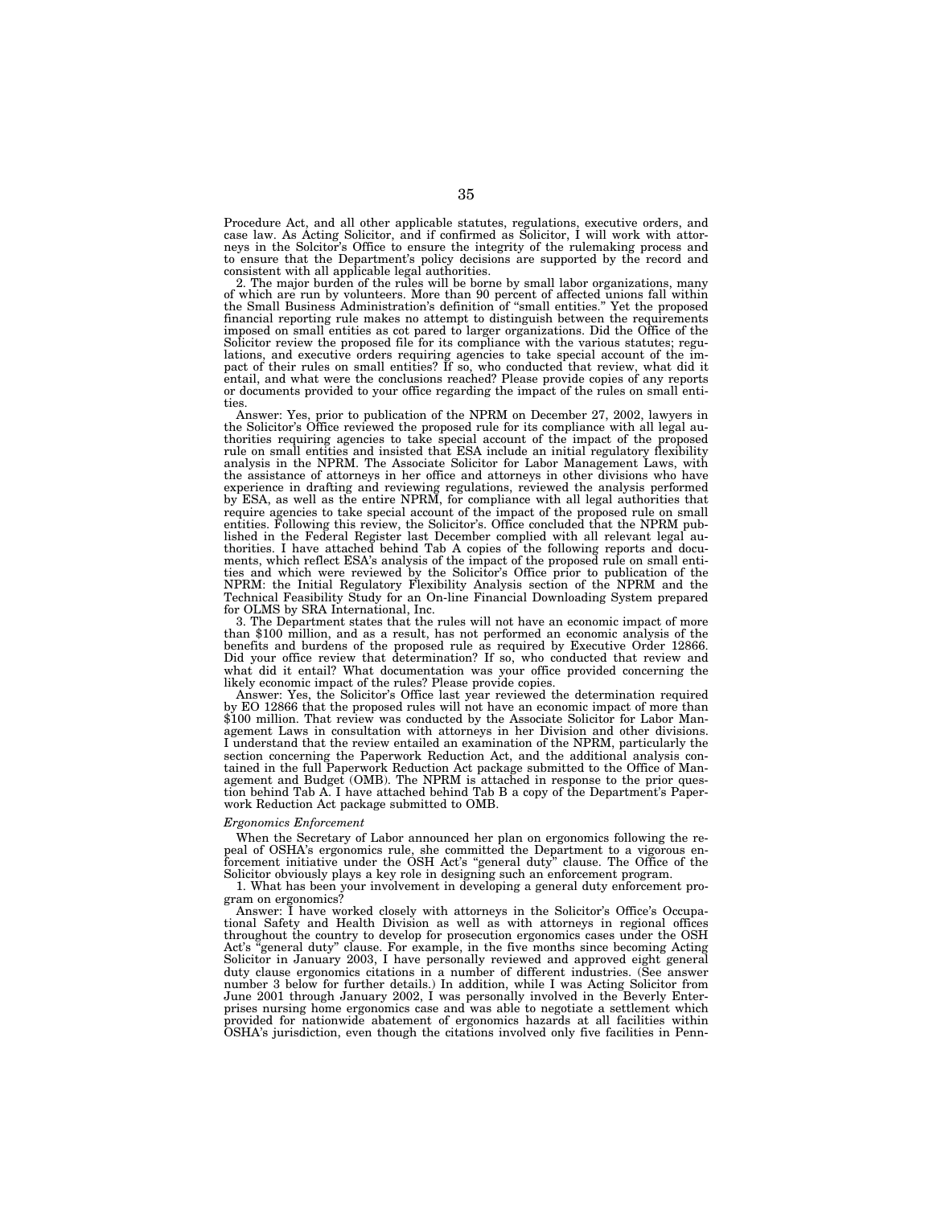Procedure Act, and all other applicable statutes, regulations, executive orders, and case law. As Acting Solicitor, and if confirmed as Solicitor, I will work with attorneys in the Solcitor's Office to ensure the integrity of the rulemaking process and to ensure that the Department's policy decisions are supported by the record and consistent with all applicable legal authorities.

2. The major burden of the rules will be borne by small labor organizations, many of which are run by volunteers. More than 90 percent of affected unions fall within the Small Business Administration's definition of ''small entities.'' Yet the proposed financial reporting rule makes no attempt to distinguish between the requirements imposed on small entities as cot pared to larger organizations. Did the Office of the Solicitor review the proposed file for its compliance with the various statutes; regulations, and executive orders requiring agencies to take special account of the im-pact of their rules on small entities? If so, who conducted that review, what did it entail, and what were the conclusions reached? Please provide copies of any reports or documents provided to your office regarding the impact of the rules on small entities.

Answer: Yes, prior to publication of the NPRM on December 27, 2002, lawyers in the Solicitor's Office reviewed the proposed rule for its compliance with all legal au-thorities requiring agencies to take special account of the impact of the proposed rule on small entities and insisted that ESA include an initial regulatory flexibility analysis in the NPRM. The Associate Solicitor for Labor Management Laws, with the assistance of attorneys in her office and attorneys in other divisions who have experience in drafting and reviewing regulations, reviewed the analysis performed by ESA, as well as the entire NPRM, for compliance with all legal authorities that require agencies to take special account of the impact of the proposed rule on small entities. Following this review, the Solicitor's. Office concluded that the NPRM published in the Federal Register last December complied with all relevant legal authorities. I have attached behind Tab A copies of the following reports and documents, which reflect ESA's analysis of the impact of the proposed rule on small entities and which were reviewed by the Solicitor's Office prior to publication of the NPRM: the Initial Regulatory Flexibility Analysis section of the NPRM and the Technical Feasibility Study for an On-line Financial Downloading System prepared for OLMS by SRA International, Inc.

3. The Department states that the rules will not have an economic impact of more than \$100 million, and as a result, has not performed an economic analysis of the benefits and burdens of the proposed rule as required by Executive Order 12866. Did your office review that determination? If so, who conducted that review and what did it entail? What documentation was your office provided concerning the likely economic impact of the rules? Please provide copies.

Answer: Yes, the Solicitor's Office last year reviewed the determination required by EO 12866 that the proposed rules will not have an economic impact of more than \$100 million. That review was conducted by the Associate Solicitor for Labor Management Laws in consultation with attorneys in her Division and other divisions. I understand that the review entailed an examination of the NPRM, particularly the section concerning the Paperwork Reduction Act, and the additional analysis contained in the full Paperwork Reduction Act package submitted to the Office of Management and Budget (OMB). The NPRM is attached in response to the prior question behind Tab A. I have attached behind Tab B a copy of the Department's Paperwork Reduction Act package submitted to OMB.

### *Ergonomics Enforcement*

When the Secretary of Labor announced her plan on ergonomics following the repeal of OSHA's ergonomics rule, she committed the Department to a vigorous enforcement initiative under the OSH Act's ''general duty'' clause. The Office of the Solicitor obviously plays a key role in designing such an enforcement program.

1. What has been your involvement in developing a general duty enforcement program on ergonomics?

Answer: I have worked closely with attorneys in the Solicitor's Office's Occupational Safety and Health Division as well as with attorneys in regional offices throughout the country to develop for prosecution ergonomics cases under the OSH "general duty" clause. For example, in the five months since becoming Acting Solicitor in January 2003, I have personally reviewed and approved eight general duty clause ergonomics citations in a number of different industries. (See answer number 3 below for further details.) In addition, while I was Acting Solicitor from June 2001 through January 2002, I was personally involved in the Beverly Enterprises nursing home ergonomics case and was able to negotiate a settlement which provided for nationwide abatement of ergonomics hazards at all facilities within OSHA's jurisdiction, even though the citations involved only five facilities in Penn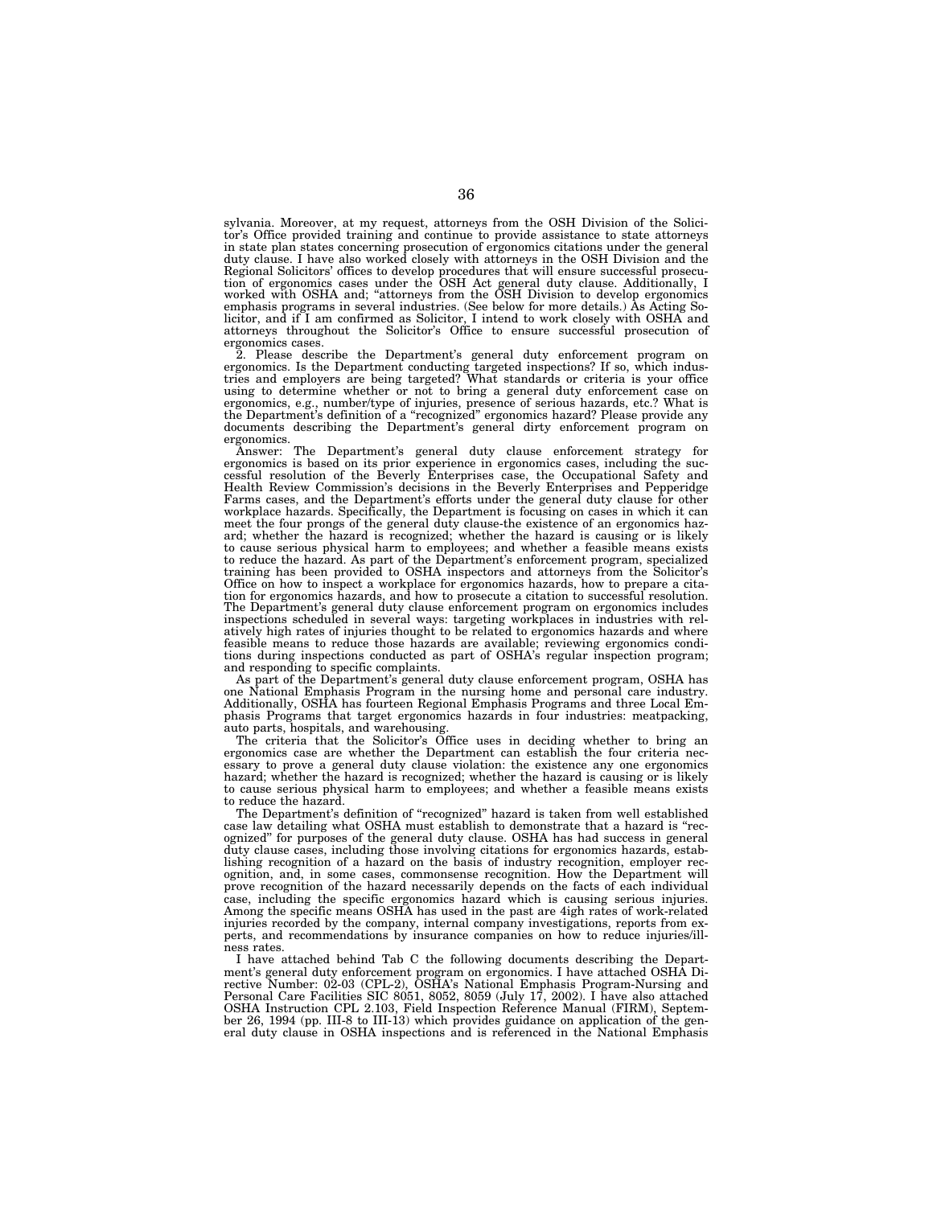sylvania. Moreover, at my request, attorneys from the OSH Division of the Solicitor's Office provided training and continue to provide assistance to state attorneys in state plan states concerning prosecution of ergonomics citations under the general duty clause. I have also worked closely with attorneys in the OSH Division and the Regional Solicitors' offices to develop procedures that will ensure successful prosecution of ergonomics cases under the OSH Act general duty clause. Additionally, I<br>worked with OSHA and; "attorneys from the OSH Division t emphasis programs in several industries. (See below for more details.) As Acting Solicitor, and if I am confirmed as Solicitor, I intend to work closely with OSHA and attorneys throughout the Solicitor's Office to ensure successful prosecution of ergonomics cases.

2. Please describe the Department's general duty enforcement program on ergonomics. Is the Department conducting targeted inspections? If so, which industries and employers are being targeted? What standards or criteria is ergonomics, e.g., number/type of injuries, presence of serious hazards, etc.? What is the Department's definition of a ''recognized'' ergonomics hazard? Please provide any documents describing the Department's general dirty enforcement program on ergonomics.

Answer: The Department's general duty clause enforcement strategy for ergonomics is based on its prior experience in ergonomics cases, including the successful resolution of the Beverly Enterprises case, the Occupational Safety and Health Review Commission's decisions in the Beverly Enterprises and Pepperidge Farms cases, and the Department's efforts under the general duty clause for other workplace hazards. Specifically, the Department is focusing on cases in which it can meet the four prongs of the general duty clause-the existence of an ergonomics haz-ard; whether the hazard is recognized; whether the hazard is causing or is likely to cause serious physical harm to employees; and whether a feasible means exists to reduce the hazard. As part of the Department's enforcement program, specialized training has been provided to OSHA inspectors and attorneys from the Solicitor's Office on how to inspect a workplace for ergonomics hazards, how to prepare a citation for ergonomics hazards, and how to prosecute a citation to successful resolution. The Department's general duty clause enforcement program on ergonomics includes inspections scheduled in several ways: targeting workplaces in industries with relatively high rates of injuries thought to be related to ergonomics hazards and where feasible means to reduce those hazards are available; reviewing ergonomics condi-tions during inspections conducted as part of OSHA's regular inspection program; and responding to specific complaints.

As part of the Department's general duty clause enforcement program, OSHA has one National Emphasis Program in the nursing home and personal care industry. Additionally, OSHA has fourteen Regional Emphasis Programs and three Local Emphasis Programs that target ergonomics hazards in four industries: meatpacking, auto parts, hospitals, and warehousing.

The criteria that the Solicitor's Office uses in deciding whether to bring an ergonomics case are whether the Department can establish the four criteria necessary to prove a general duty clause violation: the existence any one ergonomics hazard; whether the hazard is recognized; whether the hazard is causing or is likely to cause serious physical harm to employees; and whether a feasible means exists to reduce the hazard.

The Department's definition of ''recognized'' hazard is taken from well established case law detailing what OSHA must establish to demonstrate that a hazard is ''recognized'' for purposes of the general duty clause. OSHA has had success in general duty clause cases, including those involving citations for ergonomics hazards, establishing recognition of a hazard on the basis of industry recognition, employer recognition, and, in some cases, commonsense recognition. How the Department will prove recognition of the hazard necessarily depends on the facts of each individual case, including the specific ergonomics hazard which is causing serious injuries. Among the specific means OSHA has used in the past are 4igh rates of work-related injuries recorded by the company, internal company investigations, reports from experts, and recommendations by insurance companies on how to reduce injuries/illness rates.

I have attached behind Tab C the following documents describing the Department's general duty enforcement program on ergonomics. I have attached OSHA Directive Number: 02-03 (CPL-2), OSHA's National Emphasis Program-Nursing and Personal Care Facilities SIC 8051, 8052, 8059 (July 17, 2002). I have also attached OSHA Instruction CPL 2.103, Field Inspection Reference Manual (FIRM), September 26, 1994 (pp. III-8 to III-13) which provides guidance on application of the general duty clause in OSHA inspections and is referenced in the National Emphasis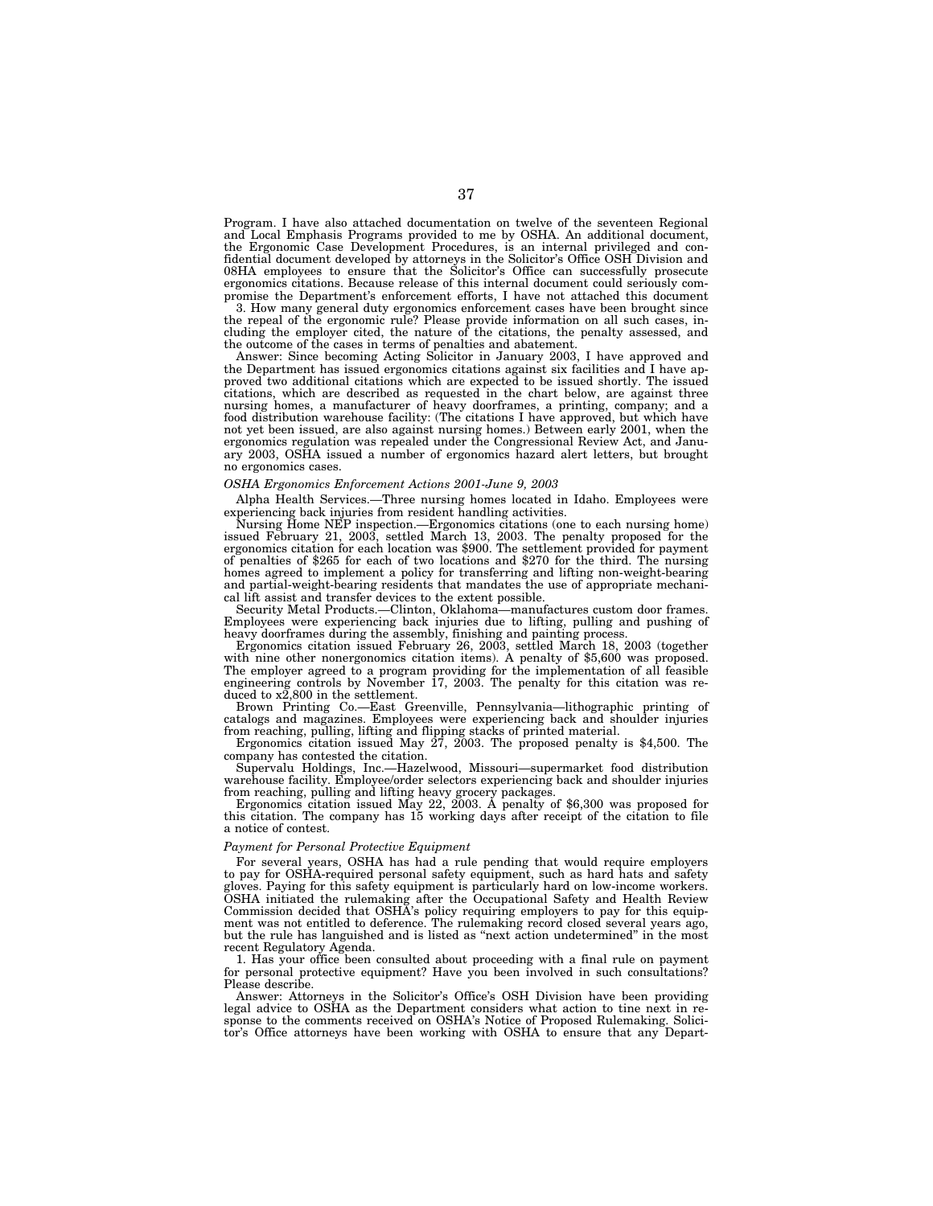Program. I have also attached documentation on twelve of the seventeen Regional and Local Emphasis Programs provided to me by OSHA. An additional document, the Ergonomic Case Development Procedures, is an internal privileged and confidential document developed by attorneys in the Solicitor's Office OSH Division and 08HA employees to ensure that the Solicitor's Office can successfully prosecute ergonomics citations. Because release of this internal document could seriously compromise the Department's enforcement efforts, I have not attached this document

3. How many general duty ergonomics enforcement cases have been brought since the repeal of the ergonomic rule? Please provide information on all such cases, including the employer cited, the nature of the citations, the penalty assessed, and the outcome of the cases in terms of penalties and abatement.

Answer: Since becoming Acting Solicitor in January 2003, I have approved and the Department has issued ergonomics citations against six facilities and I have approved two additional citations which are expected to be issued shortly. The issued citations, which are described as requested in the chart below, are against three nursing homes, a manufacturer of heavy doorframes, a printing, company; and a food distribution warehouse facility: (The citations I have approved, but which have not yet been issued, are also against nursing homes.) Between early 2001, when the ergonomics regulation was repealed under the Congressional Review Act, and January 2003, OSHA issued a number of ergonomics hazard alert letters, but brought no ergonomics cases.

# *OSHA Ergonomics Enforcement Actions 2001-June 9, 2003*

Alpha Health Services.—Three nursing homes located in Idaho. Employees were experiencing back injuries from resident handling activities.

Nursing Home NEP inspection.—Ergonomics citations (one to each nursing home) issued February 21, 2003, settled March 13, 2003. The penalty proposed for the ergonomics citation for each location was \$900. The settlement provided for payment of penalties of \$265 for each of two locations and \$270 for the third. The nursing homes agreed to implement a policy for transferring and lifting non-weight-bearing and partial-weight-bearing residents that mandates the use of appropriate mechanical lift assist and transfer devices to the extent possible.

Security Metal Products.—Clinton, Oklahoma—manufactures custom door frames. Employees were experiencing back injuries due to lifting, pulling and pushing of heavy doorframes during the assembly, finishing and painting process.

Ergonomics citation issued February 26, 2003, settled March 18, 2003 (together with nine other nonergonomics citation items). A penalty of \$5,600 was proposed. The employer agreed to a program providing for the implementation of all feasible engineering controls by November 17, 2003. The penalty for this citation was reduced to x2,800 in the settlement.

Brown Printing Co.—East Greenville, Pennsylvania—lithographic printing of catalogs and magazines. Employees were experiencing back and shoulder injuries from reaching, pulling, lifting and flipping stacks of printed material.

Ergonomics citation issued May 27, 2003. The proposed penalty is \$4,500. The company has contested the citation.

Supervalu Holdings, Inc.—Hazelwood, Missouri—supermarket food distribution warehouse facility. Employee/order selectors experiencing back and shoulder injuries from reaching, pulling and lifting heavy grocery packages.

Ergonomics citation issued May 22, 2003. A penalty of \$6,300 was proposed for this citation. The company has 15 working days after receipt of the citation to file a notice of contest.

### *Payment for Personal Protective Equipment*

For several years, OSHA has had a rule pending that would require employers to pay for OSHA-required personal safety equipment, such as hard hats and safety gloves. Paying for this safety equipment is particularly hard on low-income workers. OSHA initiated the rulemaking after the Occupational Safety and Health Review Commission decided that OSHA's policy requiring employers to pay for this equipment was not entitled to deference. The rulemaking record closed several years ago, but the rule has languished and is listed as ''next action undetermined'' in the most recent Regulatory Agenda.

1. Has your office been consulted about proceeding with a final rule on payment for personal protective equipment? Have you been involved in such consultations? Please describe.

Answer: Attorneys in the Solicitor's Office's OSH Division have been providing legal advice to OSHA as the Department considers what action to tine next in response to the comments received on OSHA's Notice of Proposed Rulemaking. Solicitor's Office attorneys have been working with OSHA to ensure that any Depart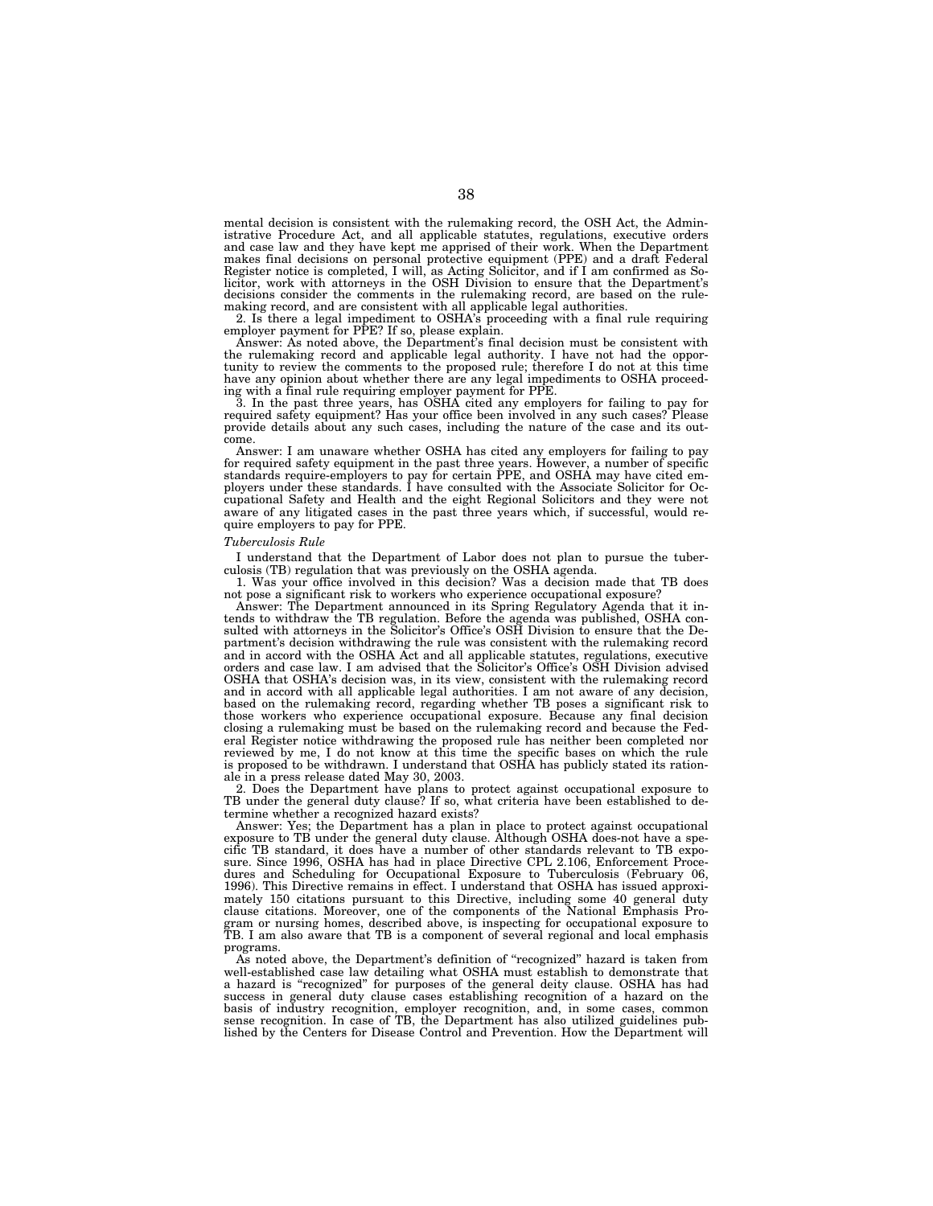mental decision is consistent with the rulemaking record, the OSH Act, the Administrative Procedure Act, and all applicable statutes, regulations, executive orders and case law and they have kept me apprised of their work. When the Department makes final decisions on personal protective equipment (PPE) and a draft Federal Register notice is completed, I will, as Acting Solicitor, and if I am confirmed as Solicitor, work with attorneys in the OSH Division to ensure that the Department's licitor, work with attorneys in the OSH Division to ensure that the Department's decisions consider the comments in the rulemaking record, are based on the rulemaking record, and are consistent with all applicable legal au

2. Is there a legal impediment to OSHA's proceeding with a final rule requiring employer payment for PPE? If so, please explain. Answer: As noted above, the Department's final decision must be consistent with

the rulemaking record and applicable legal authority. I have not had the opportunity to review the comments to the proposed rule; therefore I do not at this time have any opinion about whether there are any legal impediments to OSHA proceed-ing with a final rule requiring employer payment for PPE.

3. In the past three years, has OSHA cited any employers for failing to pay for required safety equipment? Has your office been involved in any such cases? Please provide details about any such cases, including the nature of the case and its out-

come. Answer: I am unaware whether OSHA has cited any employers for failing to pay for required safety equipment in the past three years. However, a number of specific standards require-employers to pay for certain PPE, and OSHA may have cited employers under these standards. I have consulted with the Associate Solicitor for Occupational Safety and Health and the eight Regional Solicitors and they were not aware of any litigated cases in the past three years which, if successful, would require employers to pay for PPE.

### *Tuberculosis Rule*

I understand that the Department of Labor does not plan to pursue the tuberculosis (TB) regulation that was previously on the OSHA agenda.

1. Was your office involved in this decision? Was a decision made that TB does not pose a significant risk to workers who experience occupational exposure?

Answer: The Department announced in its Spring Regulatory Agenda that it intends to withdraw the TB regulation. Before the agenda was published, OSHA consulted with attorneys in the Solicitor's Office's OSH Division to ensure that the Department's decision withdrawing the rule was consistent with the rulemaking record and in accord with the OSHA Act and all applicable statutes, regulations, executive orders and case law. I am advised that the Solicitor's Office's OSH Division advised OSHA that OSHA's decision was, in its view, consistent with the rulemaking record and in accord with all applicable legal authorities. I am not aware of any decision, based on the rulemaking record, regarding whether TB poses a significant risk to those workers who experience occupational exposure. Because any final decision closing a rulemaking must be based on the rulemaking record and because the Federal Register notice withdrawing the proposed rule has neither been completed nor reviewed by me, I do not know at this time the specific bases on which the rule is proposed to be withdrawn. I understand that OSHA has publicly stated its rationale in a press release dated May 30, 2003.

2. Does the Department have plans to protect against occupational exposure to TB under the general duty clause? If so, what criteria have been established to determine whether a recognized hazard exists?

Answer: Yes; the Department has a plan in place to protect against occupational exposure to TB under the general duty clause. Although OSHA does-not have a specific TB standard, it does have a number of other standards relevant to TB exposure. Since 1996, OSHA has had in place Directive CPL 2.106, Enforcement Procedures and Scheduling for Occupational Exposure to Tuberculosis (February 06, 1996). This Directive remains in effect. I understand that OSHA has issued approximately 150 citations pursuant to this Directive, including some 40 general duty clause citations. Moreover, one of the components of the National Emphasis Program or nursing homes, described above, is inspecting for occupational exposure to TB. I am also aware that TB is a component of several regional and local emphasis programs.

As noted above, the Department's definition of ''recognized'' hazard is taken from well-established case law detailing what OSHA must establish to demonstrate that a hazard is ''recognized'' for purposes of the general deity clause. OSHA has had success in general duty clause cases establishing recognition of a hazard on the basis of industry recognition, employer recognition, and, in some cases, common sense recognition. In case of TB, the Department has also utilized guidelines published by the Centers for Disease Control and Prevention. How the Department will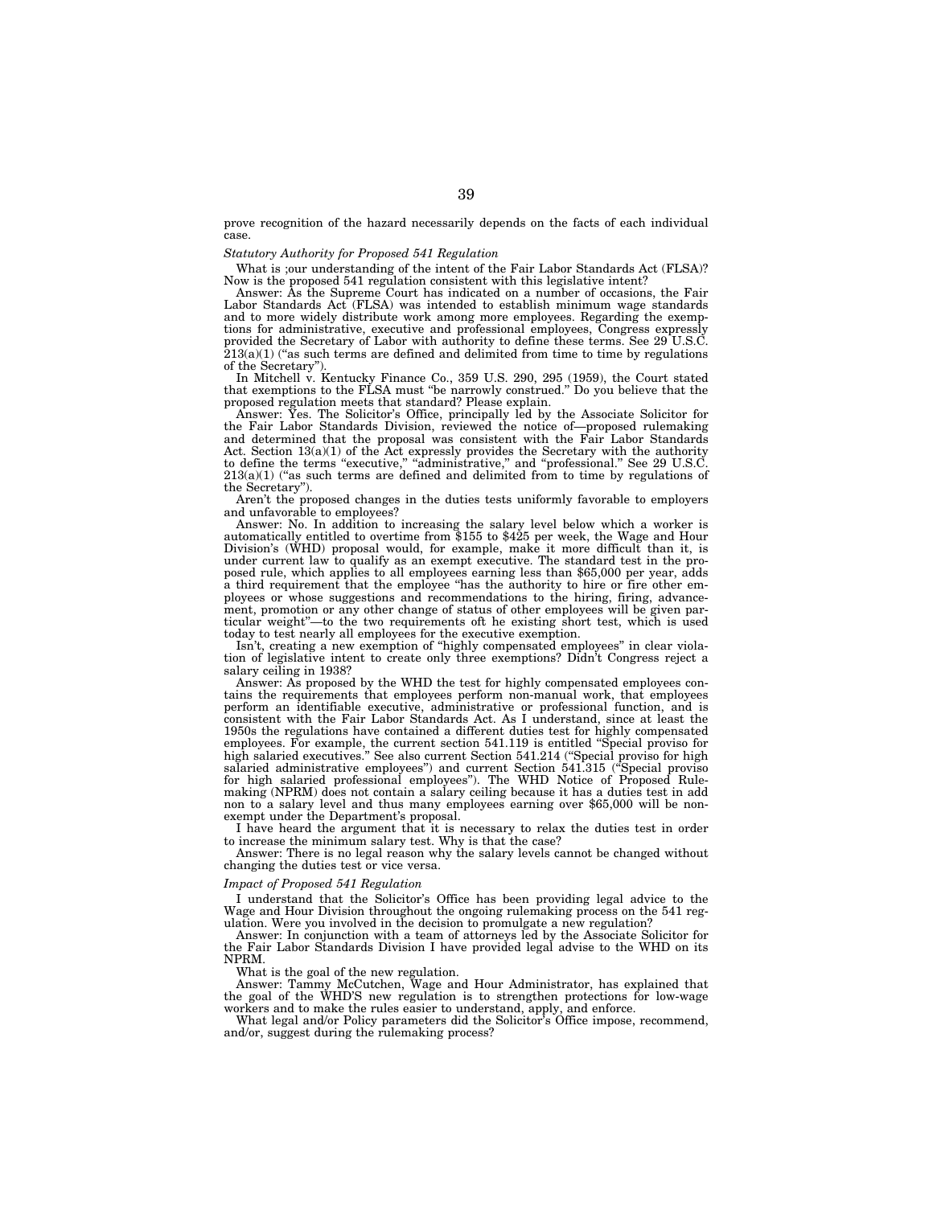prove recognition of the hazard necessarily depends on the facts of each individual case.

# *Statutory Authority for Proposed 541 Regulation*

What is ;our understanding of the intent of the Fair Labor Standards Act (FLSA)? Now is the proposed 541 regulation consistent with this legislative intent?

Answer: As the Supreme Court has indicated on a number of occasions, the Fair Labor Standards Act (FLSA) was intended to establish minimum wage standards and to more widely distribute work among more employees. Regarding the exemptions for administrative, executive and professional employees, Congress expressly provided the Secretary of Labor with authority to define these terms. See 29 U.S.C.  $213(a)(1)$  ("as such terms are defined and delimited from time to time by regulations of the Secretary'').

In Mitchell v. Kentucky Finance Co., 359 U.S. 290, 295 (1959), the Court stated that exemptions to the FLSA must ''be narrowly construed.'' Do you believe that the proposed regulation meets that standard? Please explain.

Answer: Yes. The Solicitor's Office, principally led by the Associate Solicitor for the Fair Labor Standards Division, reviewed the notice of—proposed rulemaking and determined that the proposal was consistent with the Fair Labor Standards Act. Section 13(a)(1) of the Act expressly provides the Secretary with the authority to define the terms "executive," "administrative," and "professional." See 29 U.S.C.  $213(a)(1)$  ("as such terms are defined and delimited from to time by regulations of the Secretary'').

Aren't the proposed changes in the duties tests uniformly favorable to employers and unfavorable to employees?

Answer: No. In addition to increasing the salary level below which a worker is automatically entitled to overtime from \$155 to \$425 per week, the Wage and Hour Division's (WHD) proposal would, for example, make it more difficult than it, is under current law to qualify as an exempt executive. The standard test in the proposed rule, which applies to all employees earning less than \$65,000 per year, adds a third requirement that the employee ''has the authority to hire or fire other employees or whose suggestions and recommendations to the hiring, firing, advancement, promotion or any other change of status of other employees will be given particular weight''—to the two requirements oft he existing short test, which is used today to test nearly all employees for the executive exemption.

Isn't, creating a new exemption of ''highly compensated employees'' in clear violation of legislative intent to create only three exemptions? Didn't Congress reject a salary ceiling in 1938?

Answer: As proposed by the WHD the test for highly compensated employees contains the requirements that employees perform non-manual work, that employees perform an identifiable executive, administrative or professional function, and is consistent with the Fair Labor Standards Act. As I understand, since at least the 1950s the regulations have contained a different duties test for highly compensated employees. For example, the current section 541.119 is entitled ''Special proviso for high salaried executives.'' See also current Section 541.214 (''Special proviso for high salaried administrative employees'') and current Section 541.315 (''Special proviso for high salaried professional employees''). The WHD Notice of Proposed Rulemaking (NPRM) does not contain a salary ceiling because it has a duties test in add non to a salary level and thus many employees earning over \$65,000 will be nonexempt under the Department's proposal.

I have heard the argument that it is necessary to relax the duties test in order to increase the minimum salary test. Why is that the case?

Answer: There is no legal reason why the salary levels cannot be changed without changing the duties test or vice versa.

## *Impact of Proposed 541 Regulation*

I understand that the Solicitor's Office has been providing legal advice to the Wage and Hour Division throughout the ongoing rulemaking process on the 541 regulation. Were you involved in the decision to promulgate a new regulation?

Answer: In conjunction with a team of attorneys led by the Associate Solicitor for the Fair Labor Standards Division I have provided legal advise to the WHD on its NPRM.

What is the goal of the new regulation.

Answer: Tammy McCutchen, Wage and Hour Administrator, has explained that the goal of the WHD'S new regulation is to strengthen protections for low-wage workers and to make the rules easier to understand, apply, and enforce.

What legal and/or Policy parameters did the Solicitor's Office impose, recommend, and/or, suggest during the rulemaking process?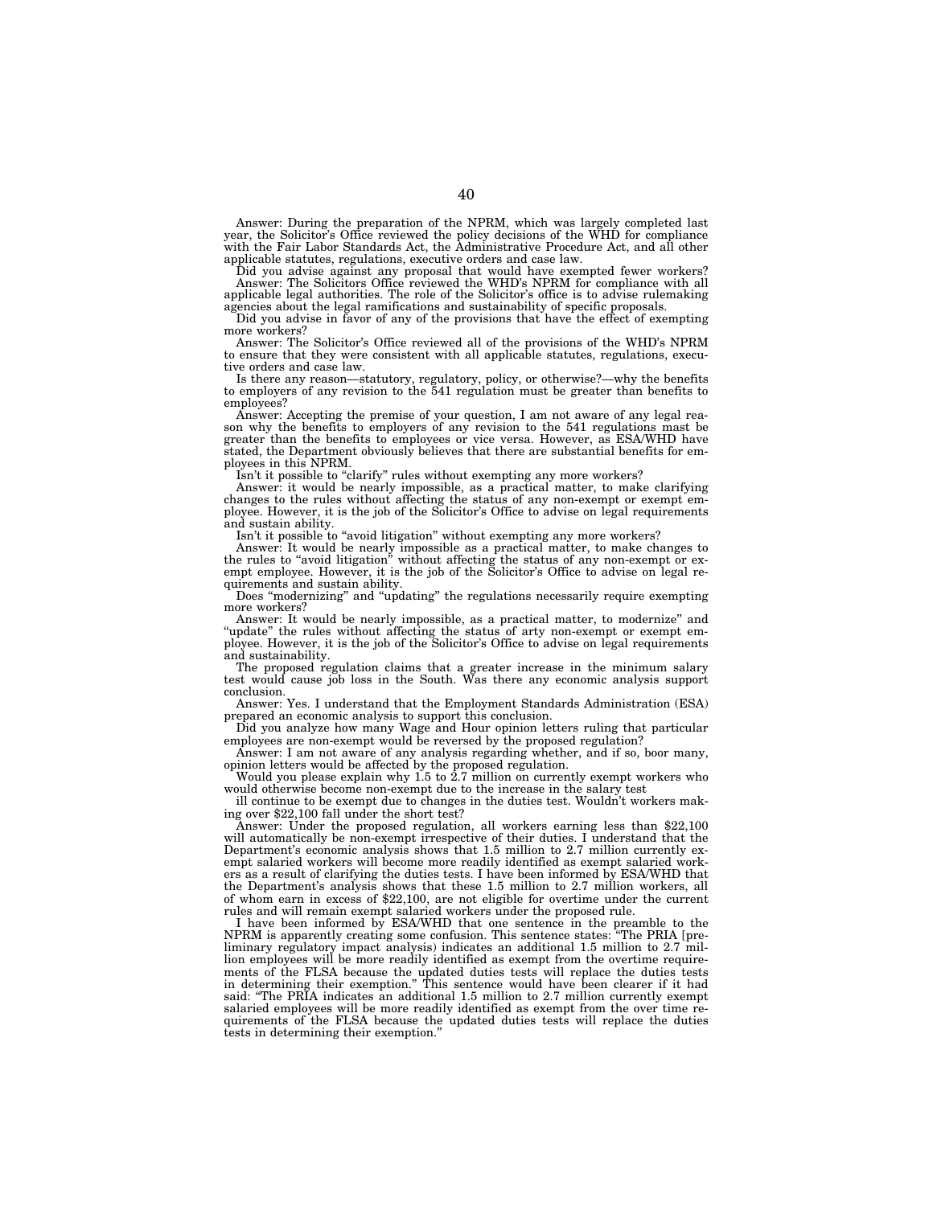Answer: During the preparation of the NPRM, which was largely completed last<br>year, the Solicitor's Office reviewed the policy decisions of the WHD for compliance<br>with the Fair Labor Standards Act, the Administrative Proced applicable statutes, regulations, executive orders and case law.

Did you advise against any proposal that would have exempted fewer workers? Answer: The Solicitors Office reviewed the WHD's NPRM for compliance with all applicable legal authorities. The role of the Solicitor's office is to advise rulemaking agencies about the legal ramifications and sustainability of specific proposals.

Did you advise in favor of any of the provisions that have the effect of exempting more workers?

Answer: The Solicitor's Office reviewed all of the provisions of the WHD's NPRM to ensure that they were consistent with all applicable statutes, regulations, executive orders and case law.

Is there any reason—statutory, regulatory, policy, or otherwise?—why the benefits to employers of any revision to the 541 regulation must be greater than benefits to employees?

Answer: Accepting the premise of your question, I am not aware of any legal reason why the benefits to employers of any revision to the 541 regulations mast be greater than the benefits to employees or vice versa. However, as ESA/WHD have stated, the Department obviously believes that there are substantial benefits for em-ployees in this NPRM.

Isn't it possible to ''clarify'' rules without exempting any more workers? Answer: it would be nearly impossible, as a practical matter, to make clarifying changes to the rules without affecting the status of any non-exempt or exempt em-ployee. However, it is the job of the Solicitor's Office to advise on legal requirements and sustain ability.

Isn't it possible to "avoid litigation" without exempting any more workers?

Answer: It would be nearly impossible as a practical matter, to make changes to the rules to "avoid litigation" without affecting the status of any non-exempt or exempt employee. However, it is the job of the Solicitor's O

Does ''modernizing'' and ''updating'' the regulations necessarily require exempting more workers?<br>Answer: It would be nearly impossible, as a practical matter, to modernize" and

Answer: It would be nearly impossible, as a practical matter, to modernize" and "update" the rules without affecting the status of arty non-exempt or exempt employee. However, it is the job of the Solicitor's Office to adv and sustainability.

The proposed regulation claims that a greater increase in the minimum salary test would cause job loss in the South. Was there any economic analysis support conclusion.

Answer: Yes. I understand that the Employment Standards Administration (ESA) prepared an economic analysis to support this conclusion.

Did you analyze how many Wage and Hour opinion letters ruling that particular employees are non-exempt would be reversed by the proposed regulation?

Answer: I am not aware of any analysis regarding whether, and if so, boor many, opinion letters would be affected by the proposed regulation.

Would you please explain why 1.5 to 2.7 million on currently exempt workers who would otherwise become non-exempt due to the increase in the salary test

ill continue to be exempt due to changes in the duties test. Wouldn't workers making over \$22,100 fall under the short test?

Answer: Under the proposed regulation, all workers earning less than \$22,100 will automatically be non-exempt irrespective of their duties. I understand that the Department's economic analysis shows that 1.5 million to 2.7 million currently exempt salaried workers will become more readily identified as exempt salaried workers as a result of clarifying the duties tests. I have been informed by ESA/WHD that the Department's analysis shows that these 1.5 million to 2.7 million workers, all of whom earn in excess of \$22,100, are not eligible for overtime under the current rules and will remain exempt salaried workers under the proposed rule.

I have been informed by ESA/WHD that one sentence in the preamble to the NPRM is apparently creating some confusion. This sentence states: ''The PRIA [preliminary regulatory impact analysis) indicates an additional 1.5 million to 2.7 million employees will be more readily identified as exempt from the overtime requirements of the FLSA because the updated duties tests will replace the duties tests in determining their exemption.'' This sentence would have been clearer if it had said: "The PRIA indicates an additional 1.5 million to 2.7 million currently exempt salaried employees will be more readily identified as exempt from the over time requirements of the FLSA because the updated duties tests will replace the duties tests in determining their exemption.''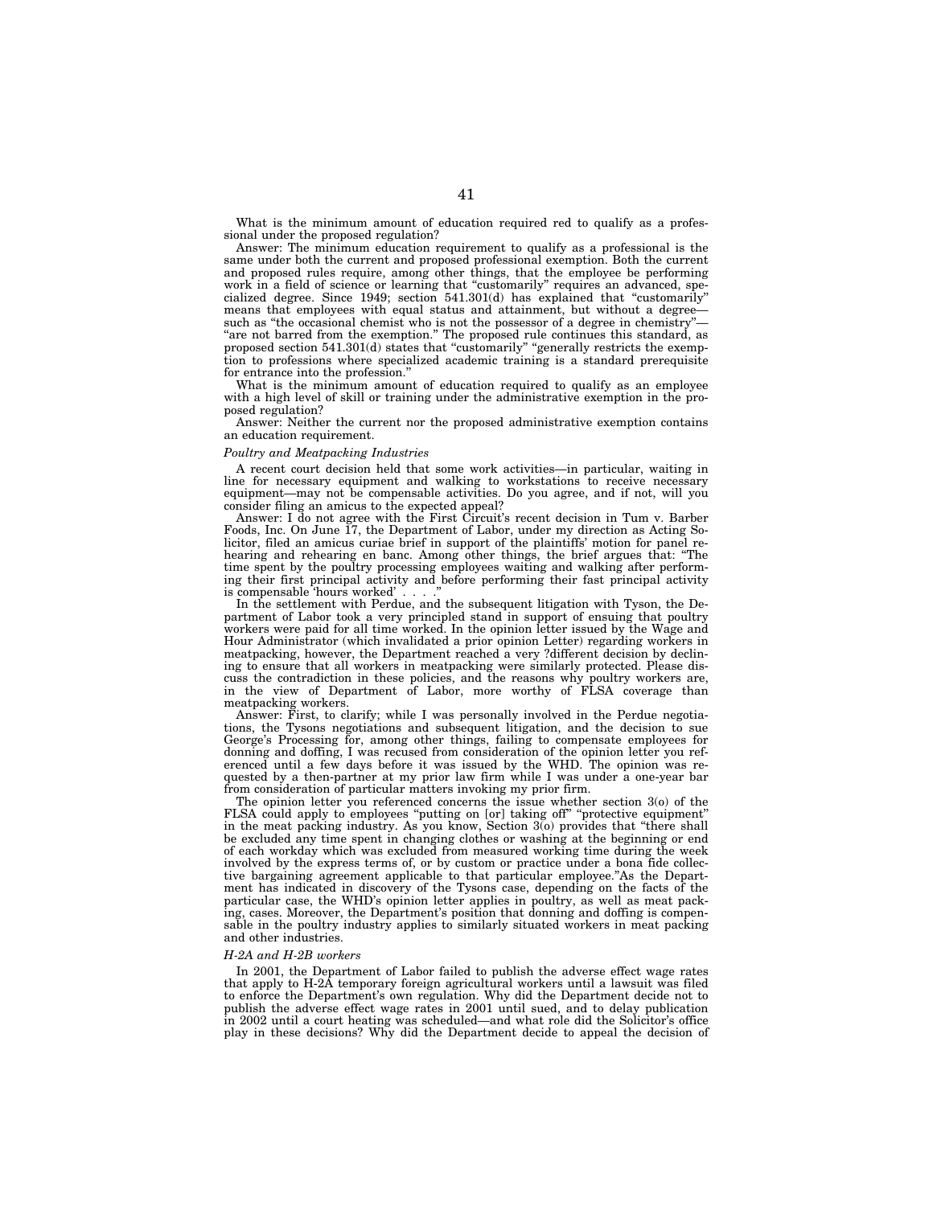What is the minimum amount of education required red to qualify as a professional under the proposed regulation?

Answer: The minimum education requirement to qualify as a professional is the same under both the current and proposed professional exemption. Both the current and proposed rules require, among other things, that the employee be performing work in a field of science or learning that ''customarily'' requires an advanced, specialized degree. Since 1949; section  $541.301(d)$  has explained that "customarily" means that employees with equal status and attainment, but without a degreesuch as "the occasional chemist who is not the possessor of a degree in chemistry "are not barred from the exemption." The proposed rule continues this standard, as proposed section 541.301(d) states that "customarily" "generally restricts the exemption to professions where specialized academic training is a standard prerequisite for entrance into the profession.''

What is the minimum amount of education required to qualify as an employee with a high level of skill or training under the administrative exemption in the proposed regulation?

Answer: Neither the current nor the proposed administrative exemption contains an education requirement.

### *Poultry and Meatpacking Industries*

A recent court decision held that some work activities—in particular, waiting in line for necessary equipment and walking to workstations to receive necessary equipment—may not be compensable activities. Do you agree, and if not, will you consider filing an amicus to the expected appeal?

Answer: I do not agree with the First Circuit's recent decision in Tum v. Barber Foods, Inc. On June 17, the Department of Labor, under my direction as Acting Solicitor, filed an amicus curiae brief in support of the plaintiffs' motion for panel rehearing and rehearing en banc. Among other things, the brief argues that: ''The time spent by the poultry processing employees waiting and walking after performing their first principal activity and before performing their fast principal activity is compensable 'hours worked' ....''

In the settlement with Perdue, and the subsequent litigation with Tyson, the Department of Labor took a very principled stand in support of ensuing that poultry workers were paid for all time worked. In the opinion letter issued by the Wage and Hour Administrator (which invalidated a prior opinion Letter) regarding workers in meatpacking, however, the Department reached a very ?different decision by declining to ensure that all workers in meatpacking were similarly protected. Please discuss the contradiction in these policies, and the reasons why poultry workers are, in the view of Department of Labor, more worthy of FLSA coverage than meatpacking workers.

Answer: First, to clarify; while I was personally involved in the Perdue negotiations, the Tysons negotiations and subsequent litigation, and the decision to sue George's Processing for, among other things, failing to compensate employees for donning and doffing, I was recused from consideration of the opinion letter you referenced until a few days before it was issued by the WHD. The opinion was requested by a then-partner at my prior law firm while I was under a one-year bar from consideration of particular matters invoking my prior firm.

The opinion letter you referenced concerns the issue whether section 3(o) of the FLSA could apply to employees "putting on [or] taking off" "protective equipment" in the meat packing industry. As you know, Section 3(o) provides that ''there shall be excluded any time spent in changing clothes or washing at the beginning or end of each workday which was excluded from measured working time during the week involved by the express terms of, or by custom or practice under a bona fide collective bargaining agreement applicable to that particular employee.''As the Department has indicated in discovery of the Tysons case, depending on the facts of the particular case, the WHD's opinion letter applies in poultry, as well as meat packing, cases. Moreover, the Department's position that donning and doffing is compensable in the poultry industry applies to similarly situated workers in meat packing and other industries.

#### *H-2A and H-2B workers*

In 2001, the Department of Labor failed to publish the adverse effect wage rates that apply to H-2A temporary foreign agricultural workers until a lawsuit was filed to enforce the Department's own regulation. Why did the Department decide not to publish the adverse effect wage rates in 2001 until sued, and to delay publication in 2002 until a court heating was scheduled—and what role did the Solicitor's office play in these decisions? Why did the Department decide to appeal the decision of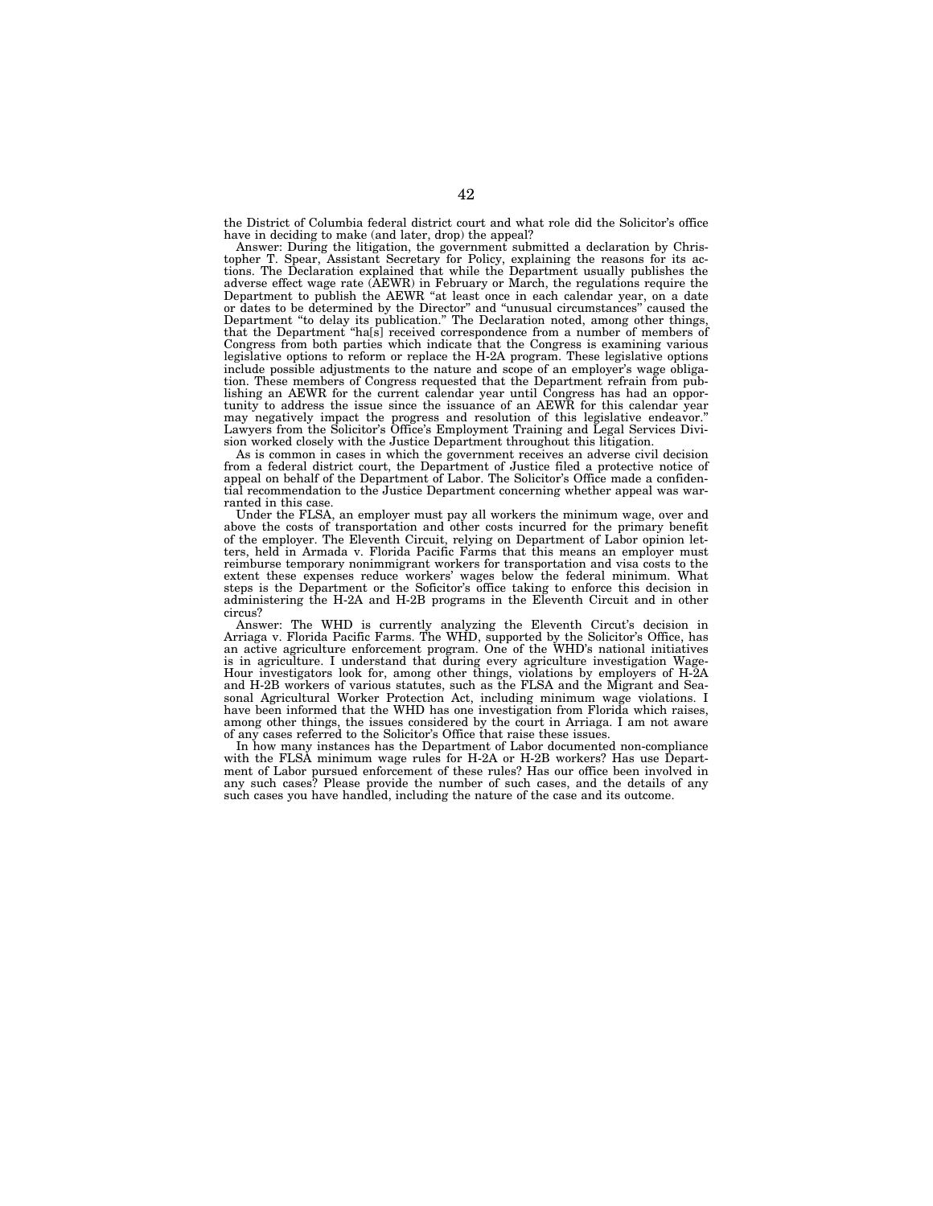the District of Columbia federal district court and what role did the Solicitor's office have in deciding to make (and later, drop) the appeal?

Answer: During the litigation, the government submitted a declaration by Christopher T. Spear, Assistant Secretary for Policy, explaining the reasons for its actions. The Declaration explained that while the Department usually publishes the adverse effect wage rate (AEWR) in February or March, the regulations require the Department to publish the AEWR "at least once in each calendar year, on a date or dates to be determined by the Director'' and ''unusual circumstances'' caused the Department ''to delay its publication.'' The Declaration noted, among other things, that the Department ''ha[s] received correspondence from a number of members of Congress from both parties which indicate that the Congress is examining various legislative options to reform or replace the H-2A program. These legislative options include possible adjustments to the nature and scope of an employer's wage obligation. These members of Congress requested that the Department refrain from publishing an AEWR for the current calendar year until Congress has had an opportunity to address the issue since the issuance of an AEWR for this calendar year may negatively impact the progress and resolution of this legislative endeavor. Lawyers from the Solicitor's Office's Employment Training and Legal Services Division worked closely with the Justice Department throughout this litigation.

As is common in cases in which the government receives an adverse civil decision from a federal district court, the Department of Justice filed a protective notice of appeal on behalf of the Department of Labor. The Solicitor's Office made a confidential recommendation to the Justice Department concerning whether appeal was warranted in this case.

Under the FLSA, an employer must pay all workers the minimum wage, over and above the costs of transportation and other costs incurred for the primary benefit of the employer. The Eleventh Circuit, relying on Department of Labor opinion letters, held in Armada v. Florida Pacific Farms that this means an employer must reimburse temporary nonimmigrant workers for transportation and visa costs to the extent these expenses reduce workers' wages below the federal minimum. What steps is the Department or the Soficitor's office taking to enforce this decision in administering the H-2A and H-2B programs in the Eleventh Circuit and in other circus?

Answer: The WHD is currently analyzing the Eleventh Circut's decision in Arriaga v. Florida Pacific Farms. The WHD, supported by the Solicitor's Office, has an active agriculture enforcement program. One of the WHD's national initiatives is in agriculture. I understand that during every agriculture investigation Wage-Hour investigators look for, among other things, violations by employers of H-2A and H-2B workers of various statutes, such as the FLSA and the Migrant and Seasonal Agricultural Worker Protection Act, including minimum wage violations. I have been informed that the WHD has one investigation from Florida which raises, among other things, the issues considered by the court in Arriaga. I am not aware of any cases referred to the Solicitor's Office that raise these issues.

In how many instances has the Department of Labor documented non-compliance with the FLSA minimum wage rules for H-2A or H-2B workers? Has use Department of Labor pursued enforcement of these rules? Has our office been involved in any such cases? Please provide the number of such cases, and the details of any such cases you have handled, including the nature of the case and its outcome.